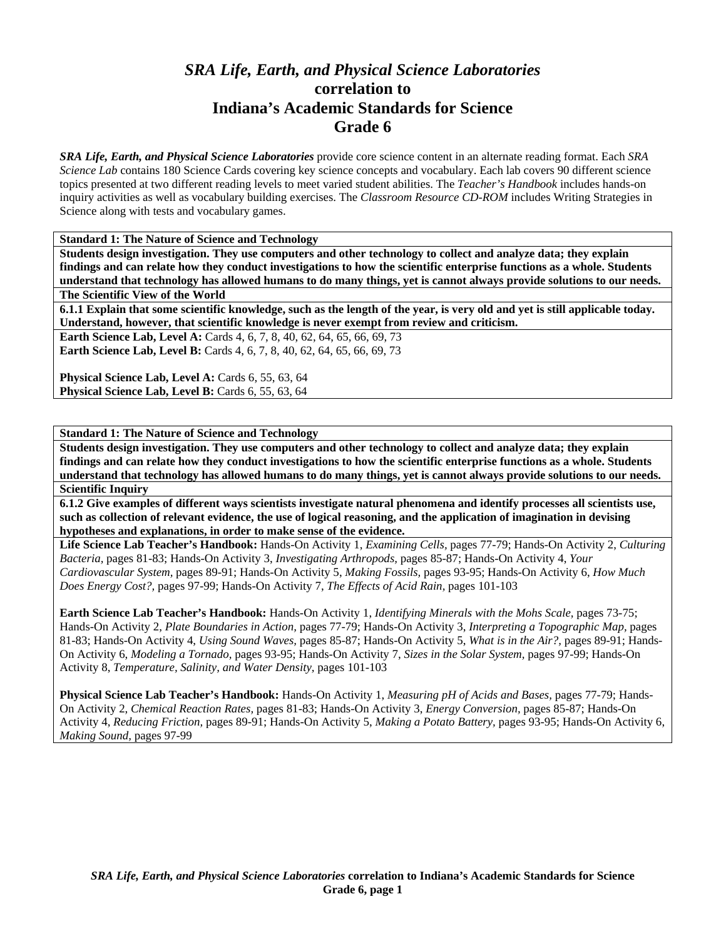# *SRA Life, Earth, and Physical Science Laboratories*  **correlation to Indiana's Academic Standards for Science Grade 6**

*SRA Life, Earth, and Physical Science Laboratories* provide core science content in an alternate reading format. Each *SRA Science Lab* contains 180 Science Cards covering key science concepts and vocabulary. Each lab covers 90 different science topics presented at two different reading levels to meet varied student abilities. The *Teacher's Handbook* includes hands-on inquiry activities as well as vocabulary building exercises. The *Classroom Resource CD-ROM* includes Writing Strategies in Science along with tests and vocabulary games.

**Standard 1: The Nature of Science and Technology** 

**Students design investigation. They use computers and other technology to collect and analyze data; they explain findings and can relate how they conduct investigations to how the scientific enterprise functions as a whole. Students understand that technology has allowed humans to do many things, yet is cannot always provide solutions to our needs. The Scientific View of the World** 

**6.1.1 Explain that some scientific knowledge, such as the length of the year, is very old and yet is still applicable today. Understand, however, that scientific knowledge is never exempt from review and criticism.** 

**Earth Science Lab, Level A:** Cards 4, 6, 7, 8, 40, 62, 64, 65, 66, 69, 73 **Earth Science Lab, Level B:** Cards 4, 6, 7, 8, 40, 62, 64, 65, 66, 69, 73

Physical Science Lab, Level A: Cards 6, 55, 63, 64 Physical Science Lab, Level B: Cards 6, 55, 63, 64

**Standard 1: The Nature of Science and Technology** 

**Students design investigation. They use computers and other technology to collect and analyze data; they explain findings and can relate how they conduct investigations to how the scientific enterprise functions as a whole. Students understand that technology has allowed humans to do many things, yet is cannot always provide solutions to our needs. Scientific Inquiry** 

**6.1.2 Give examples of different ways scientists investigate natural phenomena and identify processes all scientists use, such as collection of relevant evidence, the use of logical reasoning, and the application of imagination in devising hypotheses and explanations, in order to make sense of the evidence.** 

**Life Science Lab Teacher's Handbook:** Hands-On Activity 1, *Examining Cells,* pages 77-79; Hands-On Activity 2, *Culturing Bacteria,* pages 81-83; Hands-On Activity 3, *Investigating Arthropods,* pages 85-87; Hands-On Activity 4, *Your Cardiovascular System,* pages 89-91; Hands-On Activity 5, *Making Fossils,* pages 93-95; Hands-On Activity 6, *How Much Does Energy Cost?,* pages 97-99; Hands-On Activity 7, *The Effects of Acid Rain,* pages 101-103

**Earth Science Lab Teacher's Handbook:** Hands-On Activity 1, *Identifying Minerals with the Mohs Scale,* pages 73-75; Hands-On Activity 2, *Plate Boundaries in Action,* pages 77-79; Hands-On Activity 3, *Interpreting a Topographic Map,* pages 81-83; Hands-On Activity 4, *Using Sound Waves,* pages 85-87; Hands-On Activity 5, *What is in the Air?,* pages 89-91; Hands-On Activity 6, *Modeling a Tornado,* pages 93-95; Hands-On Activity 7, *Sizes in the Solar System,* pages 97-99; Hands-On Activity 8, *Temperature, Salinity, and Water Density,* pages 101-103

**Physical Science Lab Teacher's Handbook:** Hands-On Activity 1, *Measuring pH of Acids and Bases,* pages 77-79; Hands-On Activity 2, *Chemical Reaction Rates,* pages 81-83; Hands-On Activity 3, *Energy Conversion,* pages 85-87; Hands-On Activity 4, *Reducing Friction,* pages 89-91; Hands-On Activity 5, *Making a Potato Battery,* pages 93-95; Hands-On Activity 6, *Making Sound,* pages 97-99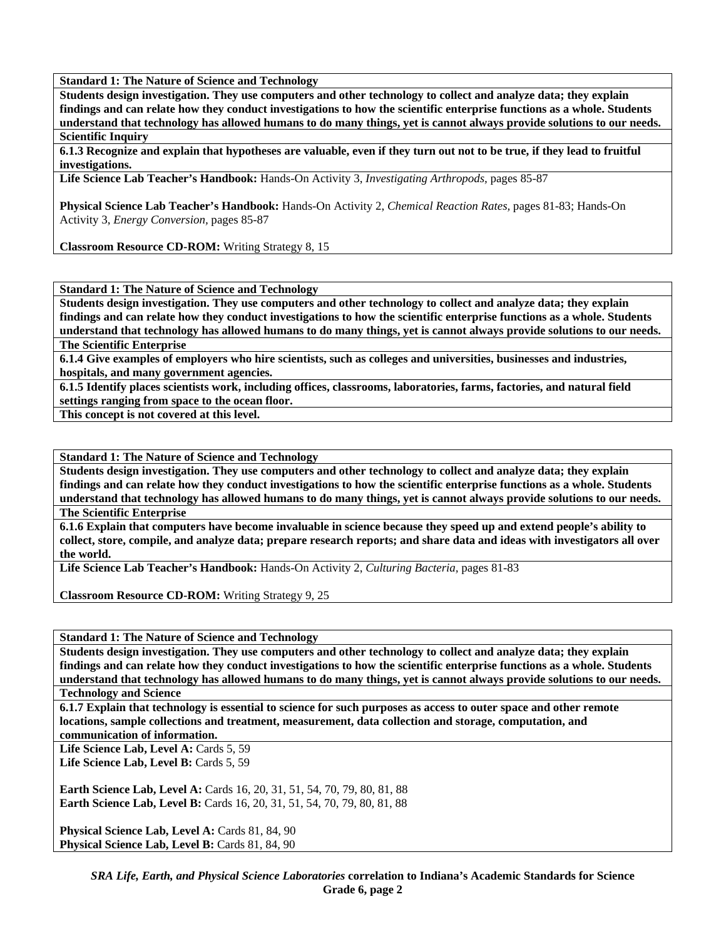**Students design investigation. They use computers and other technology to collect and analyze data; they explain findings and can relate how they conduct investigations to how the scientific enterprise functions as a whole. Students understand that technology has allowed humans to do many things, yet is cannot always provide solutions to our needs. Scientific Inquiry** 

**6.1.3 Recognize and explain that hypotheses are valuable, even if they turn out not to be true, if they lead to fruitful investigations.** 

**Life Science Lab Teacher's Handbook:** Hands-On Activity 3, *Investigating Arthropods,* pages 85-87

**Physical Science Lab Teacher's Handbook:** Hands-On Activity 2, *Chemical Reaction Rates,* pages 81-83; Hands-On Activity 3, *Energy Conversion,* pages 85-87

**Classroom Resource CD-ROM:** Writing Strategy 8, 15

**Standard 1: The Nature of Science and Technology** 

**Students design investigation. They use computers and other technology to collect and analyze data; they explain findings and can relate how they conduct investigations to how the scientific enterprise functions as a whole. Students understand that technology has allowed humans to do many things, yet is cannot always provide solutions to our needs.** 

**The Scientific Enterprise** 

**6.1.4 Give examples of employers who hire scientists, such as colleges and universities, businesses and industries, hospitals, and many government agencies.** 

**6.1.5 Identify places scientists work, including offices, classrooms, laboratories, farms, factories, and natural field settings ranging from space to the ocean floor.** 

**This concept is not covered at this level.** 

**Standard 1: The Nature of Science and Technology** 

**Students design investigation. They use computers and other technology to collect and analyze data; they explain findings and can relate how they conduct investigations to how the scientific enterprise functions as a whole. Students understand that technology has allowed humans to do many things, yet is cannot always provide solutions to our needs. The Scientific Enterprise** 

**6.1.6 Explain that computers have become invaluable in science because they speed up and extend people's ability to collect, store, compile, and analyze data; prepare research reports; and share data and ideas with investigators all over the world.** 

**Life Science Lab Teacher's Handbook:** Hands-On Activity 2, *Culturing Bacteria,* pages 81-83

**Classroom Resource CD-ROM:** Writing Strategy 9, 25

**Standard 1: The Nature of Science and Technology** 

**Students design investigation. They use computers and other technology to collect and analyze data; they explain findings and can relate how they conduct investigations to how the scientific enterprise functions as a whole. Students understand that technology has allowed humans to do many things, yet is cannot always provide solutions to our needs.** 

**Technology and Science** 

**6.1.7 Explain that technology is essential to science for such purposes as access to outer space and other remote locations, sample collections and treatment, measurement, data collection and storage, computation, and** 

**communication of information.** 

Life Science Lab, Level A: Cards 5, 59 Life Science Lab, Level B: Cards 5, 59

**Earth Science Lab, Level A:** Cards 16, 20, 31, 51, 54, 70, 79, 80, 81, 88 **Earth Science Lab, Level B:** Cards 16, 20, 31, 51, 54, 70, 79, 80, 81, 88

Physical Science Lab, Level A: Cards 81, 84, 90 Physical Science Lab, Level B: Cards 81, 84, 90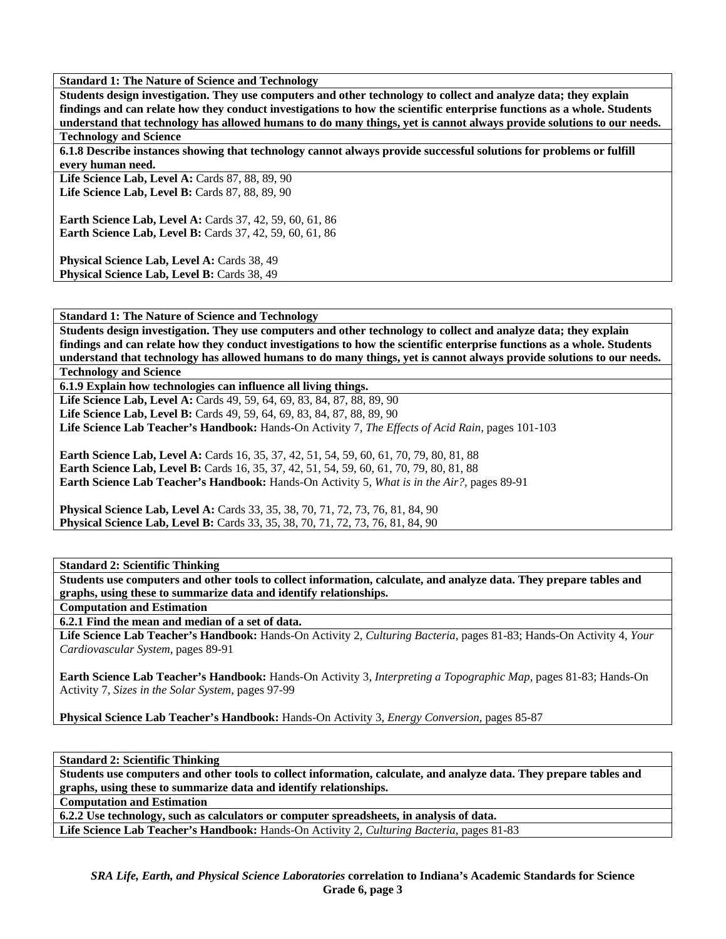**Students design investigation. They use computers and other technology to collect and analyze data; they explain findings and can relate how they conduct investigations to how the scientific enterprise functions as a whole. Students understand that technology has allowed humans to do many things, yet is cannot always provide solutions to our needs. Technology and Science** 

**6.1.8 Describe instances showing that technology cannot always provide successful solutions for problems or fulfill every human need.** 

**Life Science Lab, Level A:** Cards 87, 88, 89, 90 Life Science Lab, Level B: Cards 87, 88, 89, 90

**Earth Science Lab, Level A: Cards 37, 42, 59, 60, 61, 86 Earth Science Lab, Level B:** Cards 37, 42, 59, 60, 61, 86

Physical Science Lab, Level A: Cards 38, 49 Physical Science Lab, Level B: Cards 38, 49

**Standard 1: The Nature of Science and Technology** 

**Students design investigation. They use computers and other technology to collect and analyze data; they explain findings and can relate how they conduct investigations to how the scientific enterprise functions as a whole. Students understand that technology has allowed humans to do many things, yet is cannot always provide solutions to our needs.** 

**Technology and Science** 

**6.1.9 Explain how technologies can influence all living things.** 

**Life Science Lab, Level A:** Cards 49, 59, 64, 69, 83, 84, 87, 88, 89, 90 Life Science Lab, Level B: Cards 49, 59, 64, 69, 83, 84, 87, 88, 89, 90 **Life Science Lab Teacher's Handbook:** Hands-On Activity 7, *The Effects of Acid Rain,* pages 101-103

**Earth Science Lab, Level A:** Cards 16, 35, 37, 42, 51, 54, 59, 60, 61, 70, 79, 80, 81, 88 Earth Science Lab, Level B: Cards 16, 35, 37, 42, 51, 54, 59, 60, 61, 70, 79, 80, 81, 88 **Earth Science Lab Teacher's Handbook:** Hands-On Activity 5, *What is in the Air?,* pages 89-91

**Physical Science Lab, Level A:** Cards 33, 35, 38, 70, 71, 72, 73, 76, 81, 84, 90 **Physical Science Lab, Level B:** Cards 33, 35, 38, 70, 71, 72, 73, 76, 81, 84, 90

**Standard 2: Scientific Thinking** 

**Students use computers and other tools to collect information, calculate, and analyze data. They prepare tables and graphs, using these to summarize data and identify relationships.** 

**Computation and Estimation** 

**6.2.1 Find the mean and median of a set of data.** 

**Life Science Lab Teacher's Handbook:** Hands-On Activity 2, *Culturing Bacteria,* pages 81-83; Hands-On Activity 4, *Your Cardiovascular System,* pages 89-91

**Earth Science Lab Teacher's Handbook:** Hands-On Activity 3, *Interpreting a Topographic Map,* pages 81-83; Hands-On Activity 7, *Sizes in the Solar System,* pages 97-99

**Physical Science Lab Teacher's Handbook:** Hands-On Activity 3, *Energy Conversion,* pages 85-87

**Standard 2: Scientific Thinking** 

**Students use computers and other tools to collect information, calculate, and analyze data. They prepare tables and graphs, using these to summarize data and identify relationships.** 

**Computation and Estimation** 

**6.2.2 Use technology, such as calculators or computer spreadsheets, in analysis of data.** 

**Life Science Lab Teacher's Handbook:** Hands-On Activity 2, *Culturing Bacteria,* pages 81-83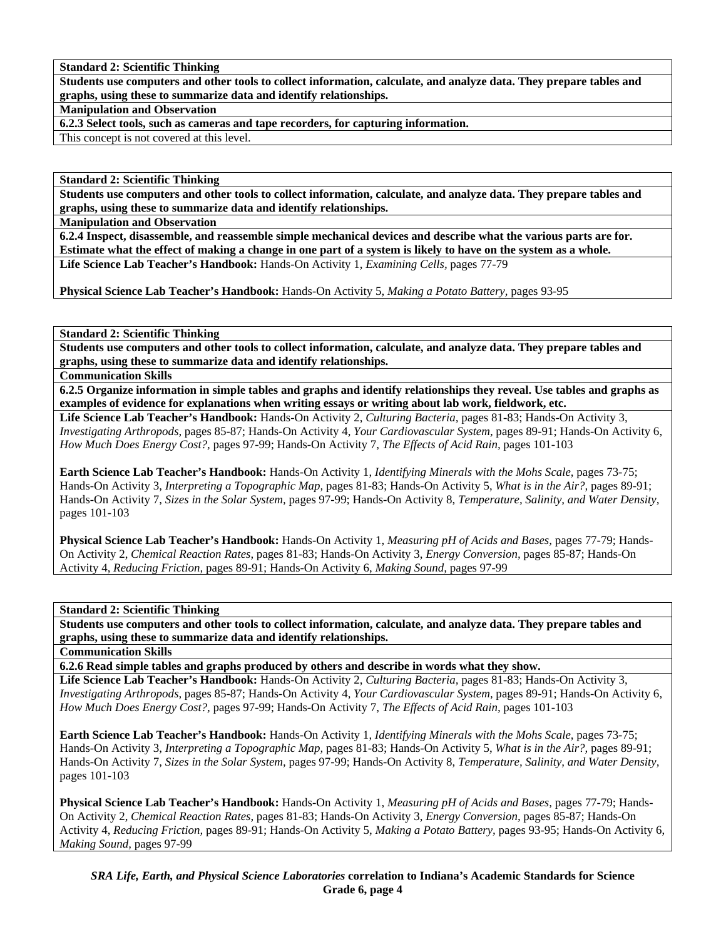**Standard 2: Scientific Thinking** 

**Students use computers and other tools to collect information, calculate, and analyze data. They prepare tables and graphs, using these to summarize data and identify relationships.** 

**Manipulation and Observation** 

**6.2.3 Select tools, such as cameras and tape recorders, for capturing information.** 

This concept is not covered at this level.

**Standard 2: Scientific Thinking** 

**Students use computers and other tools to collect information, calculate, and analyze data. They prepare tables and graphs, using these to summarize data and identify relationships.** 

**Manipulation and Observation** 

**6.2.4 Inspect, disassemble, and reassemble simple mechanical devices and describe what the various parts are for. Estimate what the effect of making a change in one part of a system is likely to have on the system as a whole. Life Science Lab Teacher's Handbook:** Hands-On Activity 1, *Examining Cells,* pages 77-79

**Physical Science Lab Teacher's Handbook:** Hands-On Activity 5, *Making a Potato Battery,* pages 93-95

**Standard 2: Scientific Thinking** 

**Students use computers and other tools to collect information, calculate, and analyze data. They prepare tables and graphs, using these to summarize data and identify relationships.** 

**Communication Skills** 

**6.2.5 Organize information in simple tables and graphs and identify relationships they reveal. Use tables and graphs as examples of evidence for explanations when writing essays or writing about lab work, fieldwork, etc.** 

**Life Science Lab Teacher's Handbook:** Hands-On Activity 2, *Culturing Bacteria,* pages 81-83; Hands-On Activity 3, *Investigating Arthropods,* pages 85-87; Hands-On Activity 4, *Your Cardiovascular System,* pages 89-91; Hands-On Activity 6, *How Much Does Energy Cost?,* pages 97-99; Hands-On Activity 7, *The Effects of Acid Rain,* pages 101-103

**Earth Science Lab Teacher's Handbook:** Hands-On Activity 1, *Identifying Minerals with the Mohs Scale,* pages 73-75; Hands-On Activity 3, *Interpreting a Topographic Map,* pages 81-83; Hands-On Activity 5, *What is in the Air?,* pages 89-91; Hands-On Activity 7, *Sizes in the Solar System,* pages 97-99; Hands-On Activity 8, *Temperature, Salinity, and Water Density,* pages 101-103

**Physical Science Lab Teacher's Handbook:** Hands-On Activity 1, *Measuring pH of Acids and Bases,* pages 77-79; Hands-On Activity 2, *Chemical Reaction Rates,* pages 81-83; Hands-On Activity 3, *Energy Conversion,* pages 85-87; Hands-On Activity 4, *Reducing Friction,* pages 89-91; Hands-On Activity 6, *Making Sound,* pages 97-99

**Standard 2: Scientific Thinking** 

**Students use computers and other tools to collect information, calculate, and analyze data. They prepare tables and graphs, using these to summarize data and identify relationships.** 

**Communication Skills** 

**6.2.6 Read simple tables and graphs produced by others and describe in words what they show.** 

**Life Science Lab Teacher's Handbook:** Hands-On Activity 2, *Culturing Bacteria,* pages 81-83; Hands-On Activity 3, *Investigating Arthropods,* pages 85-87; Hands-On Activity 4, *Your Cardiovascular System,* pages 89-91; Hands-On Activity 6, *How Much Does Energy Cost?,* pages 97-99; Hands-On Activity 7, *The Effects of Acid Rain,* pages 101-103

**Earth Science Lab Teacher's Handbook:** Hands-On Activity 1, *Identifying Minerals with the Mohs Scale,* pages 73-75; Hands-On Activity 3, *Interpreting a Topographic Map,* pages 81-83; Hands-On Activity 5, *What is in the Air?,* pages 89-91; Hands-On Activity 7, *Sizes in the Solar System,* pages 97-99; Hands-On Activity 8, *Temperature, Salinity, and Water Density,* pages 101-103

**Physical Science Lab Teacher's Handbook:** Hands-On Activity 1, *Measuring pH of Acids and Bases,* pages 77-79; Hands-On Activity 2, *Chemical Reaction Rates,* pages 81-83; Hands-On Activity 3, *Energy Conversion,* pages 85-87; Hands-On Activity 4, *Reducing Friction,* pages 89-91; Hands-On Activity 5, *Making a Potato Battery,* pages 93-95; Hands-On Activity 6, *Making Sound,* pages 97-99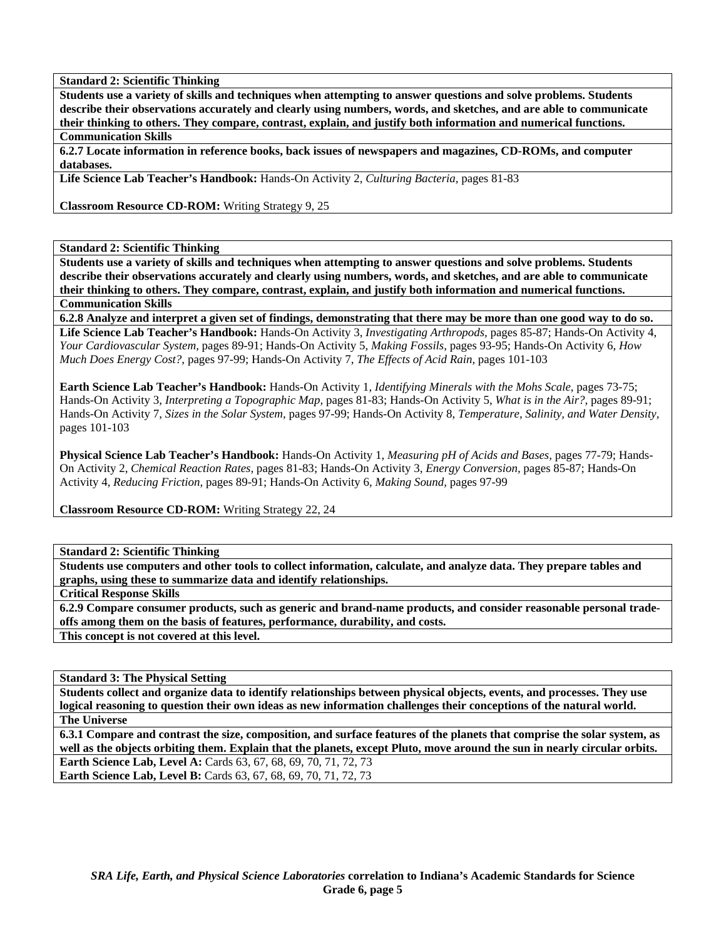**Standard 2: Scientific Thinking** 

**Students use a variety of skills and techniques when attempting to answer questions and solve problems. Students describe their observations accurately and clearly using numbers, words, and sketches, and are able to communicate their thinking to others. They compare, contrast, explain, and justify both information and numerical functions.** 

# **Communication Skills**

**6.2.7 Locate information in reference books, back issues of newspapers and magazines, CD-ROMs, and computer databases.** 

**Life Science Lab Teacher's Handbook:** Hands-On Activity 2, *Culturing Bacteria,* pages 81-83

**Classroom Resource CD-ROM:** Writing Strategy 9, 25

**Standard 2: Scientific Thinking** 

**Students use a variety of skills and techniques when attempting to answer questions and solve problems. Students describe their observations accurately and clearly using numbers, words, and sketches, and are able to communicate their thinking to others. They compare, contrast, explain, and justify both information and numerical functions. Communication Skills** 

**6.2.8 Analyze and interpret a given set of findings, demonstrating that there may be more than one good way to do so. Life Science Lab Teacher's Handbook:** Hands-On Activity 3, *Investigating Arthropods,* pages 85-87; Hands-On Activity 4, *Your Cardiovascular System,* pages 89-91; Hands-On Activity 5, *Making Fossils,* pages 93-95; Hands-On Activity 6, *How Much Does Energy Cost?,* pages 97-99; Hands-On Activity 7, *The Effects of Acid Rain,* pages 101-103

**Earth Science Lab Teacher's Handbook:** Hands-On Activity 1, *Identifying Minerals with the Mohs Scale,* pages 73-75; Hands-On Activity 3, *Interpreting a Topographic Map,* pages 81-83; Hands-On Activity 5, *What is in the Air?,* pages 89-91; Hands-On Activity 7, *Sizes in the Solar System,* pages 97-99; Hands-On Activity 8, *Temperature, Salinity, and Water Density,* pages 101-103

**Physical Science Lab Teacher's Handbook:** Hands-On Activity 1, *Measuring pH of Acids and Bases,* pages 77-79; Hands-On Activity 2, *Chemical Reaction Rates,* pages 81-83; Hands-On Activity 3, *Energy Conversion,* pages 85-87; Hands-On Activity 4, *Reducing Friction,* pages 89-91; Hands-On Activity 6, *Making Sound,* pages 97-99

**Classroom Resource CD-ROM:** Writing Strategy 22, 24

**Standard 2: Scientific Thinking** 

**Students use computers and other tools to collect information, calculate, and analyze data. They prepare tables and graphs, using these to summarize data and identify relationships.** 

**Critical Response Skills** 

**6.2.9 Compare consumer products, such as generic and brand-name products, and consider reasonable personal tradeoffs among them on the basis of features, performance, durability, and costs. This concept is not covered at this level.** 

**Standard 3: The Physical Setting** 

**Students collect and organize data to identify relationships between physical objects, events, and processes. They use logical reasoning to question their own ideas as new information challenges their conceptions of the natural world. The Universe** 

**6.3.1 Compare and contrast the size, composition, and surface features of the planets that comprise the solar system, as well as the objects orbiting them. Explain that the planets, except Pluto, move around the sun in nearly circular orbits. Earth Science Lab, Level A:** Cards 63, 67, 68, 69, 70, 71, 72, 73

**Earth Science Lab, Level B:** Cards 63, 67, 68, 69, 70, 71, 72, 73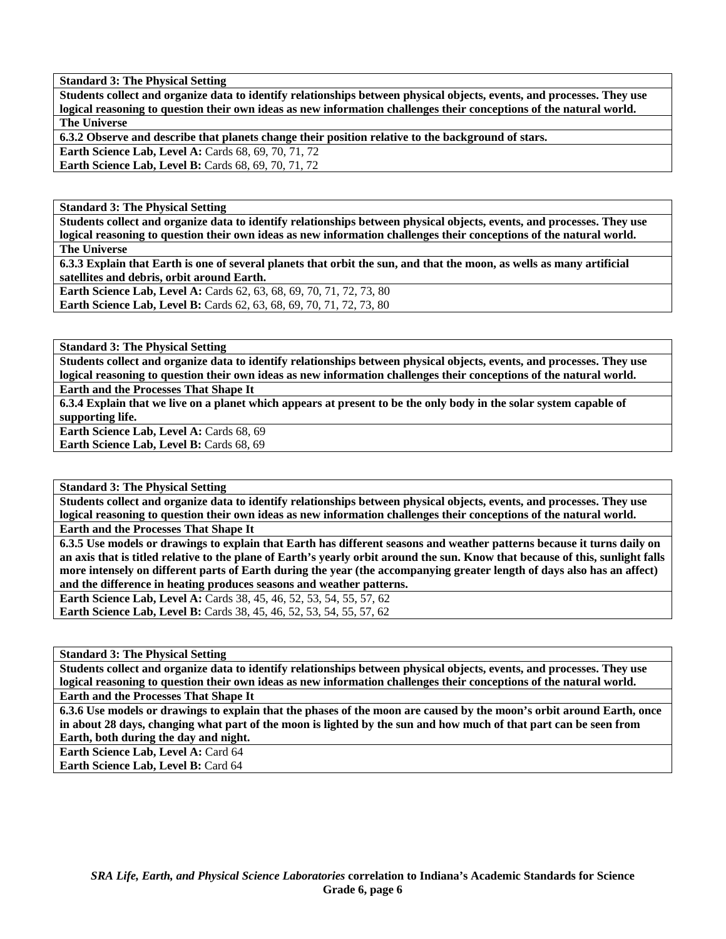**Students collect and organize data to identify relationships between physical objects, events, and processes. They use logical reasoning to question their own ideas as new information challenges their conceptions of the natural world. The Universe** 

**6.3.2 Observe and describe that planets change their position relative to the background of stars.** 

**Earth Science Lab, Level A: Cards 68, 69, 70, 71, 72 Earth Science Lab, Level B: Cards 68, 69, 70, 71, 72** 

**Standard 3: The Physical Setting** 

**Students collect and organize data to identify relationships between physical objects, events, and processes. They use logical reasoning to question their own ideas as new information challenges their conceptions of the natural world. The Universe** 

**6.3.3 Explain that Earth is one of several planets that orbit the sun, and that the moon, as wells as many artificial satellites and debris, orbit around Earth.** 

**Earth Science Lab, Level A: Cards 62, 63, 68, 69, 70, 71, 72, 73, 80 Earth Science Lab, Level B:** Cards 62, 63, 68, 69, 70, 71, 72, 73, 80

**Standard 3: The Physical Setting** 

**Students collect and organize data to identify relationships between physical objects, events, and processes. They use logical reasoning to question their own ideas as new information challenges their conceptions of the natural world. Earth and the Processes That Shape It** 

**6.3.4 Explain that we live on a planet which appears at present to be the only body in the solar system capable of supporting life.** 

**Earth Science Lab, Level A: Cards 68, 69** 

Earth Science Lab, Level B: Cards 68, 69

**Standard 3: The Physical Setting** 

**Students collect and organize data to identify relationships between physical objects, events, and processes. They use logical reasoning to question their own ideas as new information challenges their conceptions of the natural world.** 

**Earth and the Processes That Shape It** 

**6.3.5 Use models or drawings to explain that Earth has different seasons and weather patterns because it turns daily on an axis that is titled relative to the plane of Earth's yearly orbit around the sun. Know that because of this, sunlight falls more intensely on different parts of Earth during the year (the accompanying greater length of days also has an affect) and the difference in heating produces seasons and weather patterns.** 

**Earth Science Lab, Level A: Cards 38, 45, 46, 52, 53, 54, 55, 57, 62 Earth Science Lab, Level B:** Cards 38, 45, 46, 52, 53, 54, 55, 57, 62

**Standard 3: The Physical Setting** 

**Students collect and organize data to identify relationships between physical objects, events, and processes. They use logical reasoning to question their own ideas as new information challenges their conceptions of the natural world.** 

**Earth and the Processes That Shape It** 

**6.3.6 Use models or drawings to explain that the phases of the moon are caused by the moon's orbit around Earth, once in about 28 days, changing what part of the moon is lighted by the sun and how much of that part can be seen from Earth, both during the day and night.** 

**Earth Science Lab, Level A: Card 64** 

**Earth Science Lab, Level B: Card 64**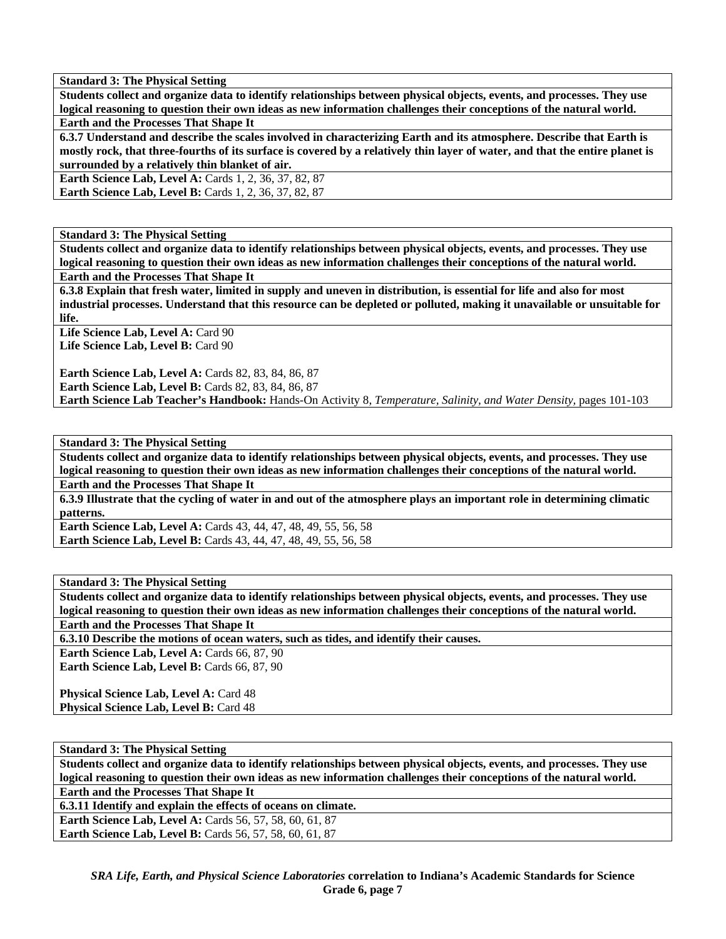**Students collect and organize data to identify relationships between physical objects, events, and processes. They use logical reasoning to question their own ideas as new information challenges their conceptions of the natural world.** 

**Earth and the Processes That Shape It** 

**6.3.7 Understand and describe the scales involved in characterizing Earth and its atmosphere. Describe that Earth is mostly rock, that three-fourths of its surface is covered by a relatively thin layer of water, and that the entire planet is surrounded by a relatively thin blanket of air.** 

**Earth Science Lab, Level A: Cards 1, 2, 36, 37, 82, 87** 

**Earth Science Lab, Level B:** Cards 1, 2, 36, 37, 82, 87

**Standard 3: The Physical Setting** 

**Students collect and organize data to identify relationships between physical objects, events, and processes. They use logical reasoning to question their own ideas as new information challenges their conceptions of the natural world.** 

**Earth and the Processes That Shape It** 

**6.3.8 Explain that fresh water, limited in supply and uneven in distribution, is essential for life and also for most industrial processes. Understand that this resource can be depleted or polluted, making it unavailable or unsuitable for life.** 

Life Science Lab, Level A: Card 90 Life Science Lab, Level B: Card 90

**Earth Science Lab, Level A: Cards 82, 83, 84, 86, 87 Earth Science Lab, Level B: Cards 82, 83, 84, 86, 87 Earth Science Lab Teacher's Handbook:** Hands-On Activity 8, *Temperature, Salinity, and Water Density,* pages 101-103

**Standard 3: The Physical Setting** 

**Students collect and organize data to identify relationships between physical objects, events, and processes. They use logical reasoning to question their own ideas as new information challenges their conceptions of the natural world. Earth and the Processes That Shape It** 

**6.3.9 Illustrate that the cycling of water in and out of the atmosphere plays an important role in determining climatic patterns.** 

**Earth Science Lab, Level A:** Cards 43, 44, 47, 48, 49, 55, 56, 58 **Earth Science Lab, Level B:** Cards 43, 44, 47, 48, 49, 55, 56, 58

**Standard 3: The Physical Setting** 

**Students collect and organize data to identify relationships between physical objects, events, and processes. They use logical reasoning to question their own ideas as new information challenges their conceptions of the natural world.** 

**Earth and the Processes That Shape It** 

**6.3.10 Describe the motions of ocean waters, such as tides, and identify their causes.** 

Earth Science Lab, Level A: Cards 66, 87, 90 Earth Science Lab, Level B: Cards 66, 87, 90

**Physical Science Lab, Level A: Card 48 Physical Science Lab, Level B: Card 48** 

**Standard 3: The Physical Setting** 

**Students collect and organize data to identify relationships between physical objects, events, and processes. They use logical reasoning to question their own ideas as new information challenges their conceptions of the natural world. Earth and the Processes That Shape It** 

**6.3.11 Identify and explain the effects of oceans on climate.** 

**Earth Science Lab, Level A:** Cards 56, 57, 58, 60, 61, 87 **Earth Science Lab, Level B:** Cards 56, 57, 58, 60, 61, 87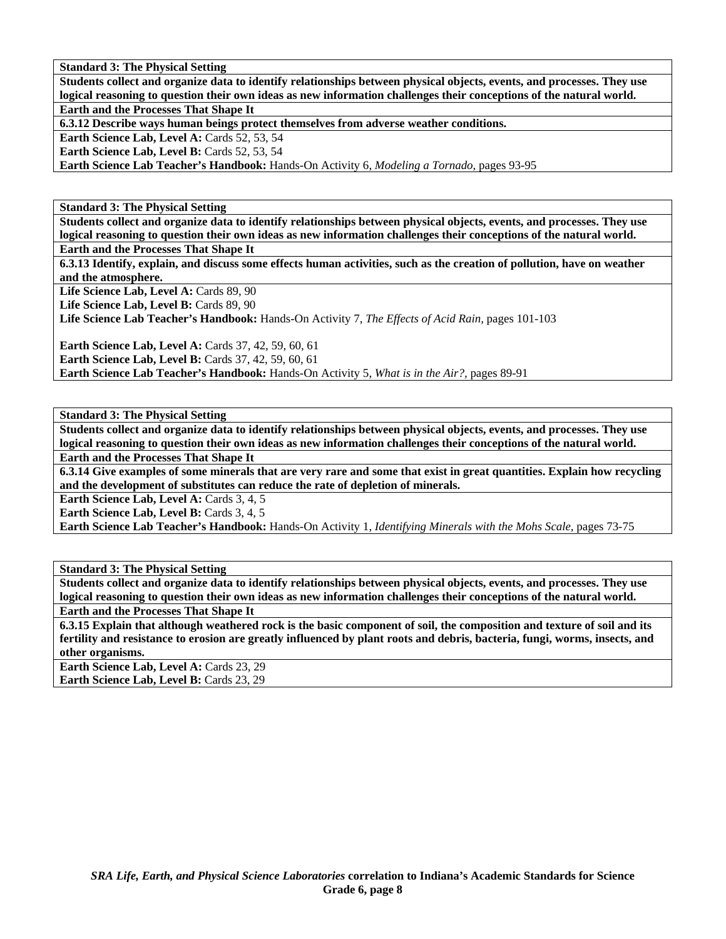**Students collect and organize data to identify relationships between physical objects, events, and processes. They use logical reasoning to question their own ideas as new information challenges their conceptions of the natural world. Earth and the Processes That Shape It** 

**6.3.12 Describe ways human beings protect themselves from adverse weather conditions.** 

**Earth Science Lab, Level A: Cards 52, 53, 54** 

Earth Science Lab, Level B: Cards 52, 53, 54

**Earth Science Lab Teacher's Handbook:** Hands-On Activity 6, *Modeling a Tornado,* pages 93-95

**Standard 3: The Physical Setting** 

**Students collect and organize data to identify relationships between physical objects, events, and processes. They use logical reasoning to question their own ideas as new information challenges their conceptions of the natural world.** 

**Earth and the Processes That Shape It** 

**6.3.13 Identify, explain, and discuss some effects human activities, such as the creation of pollution, have on weather and the atmosphere.** 

Life Science Lab, Level A: Cards 89, 90

Life Science Lab, Level B: Cards 89, 90

**Life Science Lab Teacher's Handbook:** Hands-On Activity 7, *The Effects of Acid Rain,* pages 101-103

**Earth Science Lab, Level A: Cards 37, 42, 59, 60, 61 Earth Science Lab, Level B: Cards 37, 42, 59, 60, 61** 

**Earth Science Lab Teacher's Handbook:** Hands-On Activity 5, *What is in the Air?,* pages 89-91

**Standard 3: The Physical Setting** 

**Students collect and organize data to identify relationships between physical objects, events, and processes. They use logical reasoning to question their own ideas as new information challenges their conceptions of the natural world.** 

**Earth and the Processes That Shape It** 

**6.3.14 Give examples of some minerals that are very rare and some that exist in great quantities. Explain how recycling and the development of substitutes can reduce the rate of depletion of minerals.** 

Earth Science Lab, Level A: Cards 3, 4, 5

**Earth Science Lab, Level B: Cards 3, 4, 5** 

**Earth Science Lab Teacher's Handbook:** Hands-On Activity 1, *Identifying Minerals with the Mohs Scale,* pages 73-75

**Standard 3: The Physical Setting** 

**Students collect and organize data to identify relationships between physical objects, events, and processes. They use logical reasoning to question their own ideas as new information challenges their conceptions of the natural world. Earth and the Processes That Shape It** 

**6.3.15 Explain that although weathered rock is the basic component of soil, the composition and texture of soil and its fertility and resistance to erosion are greatly influenced by plant roots and debris, bacteria, fungi, worms, insects, and other organisms.** 

Earth Science Lab, Level A: Cards 23, 29 **Earth Science Lab, Level B: Cards 23, 29**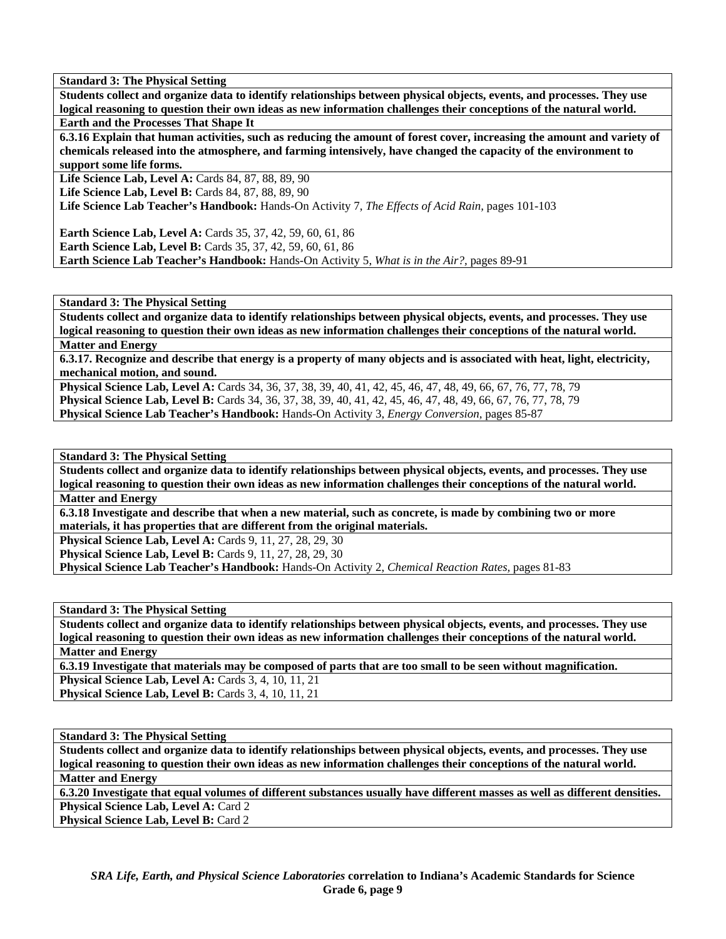**Students collect and organize data to identify relationships between physical objects, events, and processes. They use logical reasoning to question their own ideas as new information challenges their conceptions of the natural world.** 

**Earth and the Processes That Shape It** 

**6.3.16 Explain that human activities, such as reducing the amount of forest cover, increasing the amount and variety of chemicals released into the atmosphere, and farming intensively, have changed the capacity of the environment to support some life forms.** 

**Life Science Lab, Level A:** Cards 84, 87, 88, 89, 90

Life Science Lab, Level B: Cards 84, 87, 88, 89, 90

**Life Science Lab Teacher's Handbook:** Hands-On Activity 7, *The Effects of Acid Rain,* pages 101-103

**Earth Science Lab, Level A:** Cards 35, 37, 42, 59, 60, 61, 86 **Earth Science Lab, Level B:** Cards 35, 37, 42, 59, 60, 61, 86 **Earth Science Lab Teacher's Handbook:** Hands-On Activity 5, *What is in the Air?,* pages 89-91

**Standard 3: The Physical Setting** 

**Students collect and organize data to identify relationships between physical objects, events, and processes. They use logical reasoning to question their own ideas as new information challenges their conceptions of the natural world. Matter and Energy** 

**6.3.17. Recognize and describe that energy is a property of many objects and is associated with heat, light, electricity, mechanical motion, and sound.** 

**Physical Science Lab, Level A:** Cards 34, 36, 37, 38, 39, 40, 41, 42, 45, 46, 47, 48, 49, 66, 67, 76, 77, 78, 79 **Physical Science Lab, Level B:** Cards 34, 36, 37, 38, 39, 40, 41, 42, 45, 46, 47, 48, 49, 66, 67, 76, 77, 78, 79 **Physical Science Lab Teacher's Handbook:** Hands-On Activity 3, *Energy Conversion,* pages 85-87

# **Standard 3: The Physical Setting**

**Students collect and organize data to identify relationships between physical objects, events, and processes. They use logical reasoning to question their own ideas as new information challenges their conceptions of the natural world. Matter and Energy** 

**6.3.18 Investigate and describe that when a new material, such as concrete, is made by combining two or more materials, it has properties that are different from the original materials.** 

**Physical Science Lab, Level A: Cards 9, 11, 27, 28, 29, 30** 

**Physical Science Lab, Level B:** Cards 9, 11, 27, 28, 29, 30

**Physical Science Lab Teacher's Handbook:** Hands-On Activity 2, *Chemical Reaction Rates,* pages 81-83

**Standard 3: The Physical Setting** 

**Students collect and organize data to identify relationships between physical objects, events, and processes. They use logical reasoning to question their own ideas as new information challenges their conceptions of the natural world. Matter and Energy** 

**6.3.19 Investigate that materials may be composed of parts that are too small to be seen without magnification.** 

**Physical Science Lab, Level A: Cards 3, 4, 10, 11, 21** 

**Physical Science Lab, Level B: Cards 3, 4, 10, 11, 21** 

# **Standard 3: The Physical Setting**

**Students collect and organize data to identify relationships between physical objects, events, and processes. They use logical reasoning to question their own ideas as new information challenges their conceptions of the natural world. Matter and Energy** 

**6.3.20 Investigate that equal volumes of different substances usually have different masses as well as different densities. Physical Science Lab, Level A: Card 2** 

Physical Science Lab, Level B: Card 2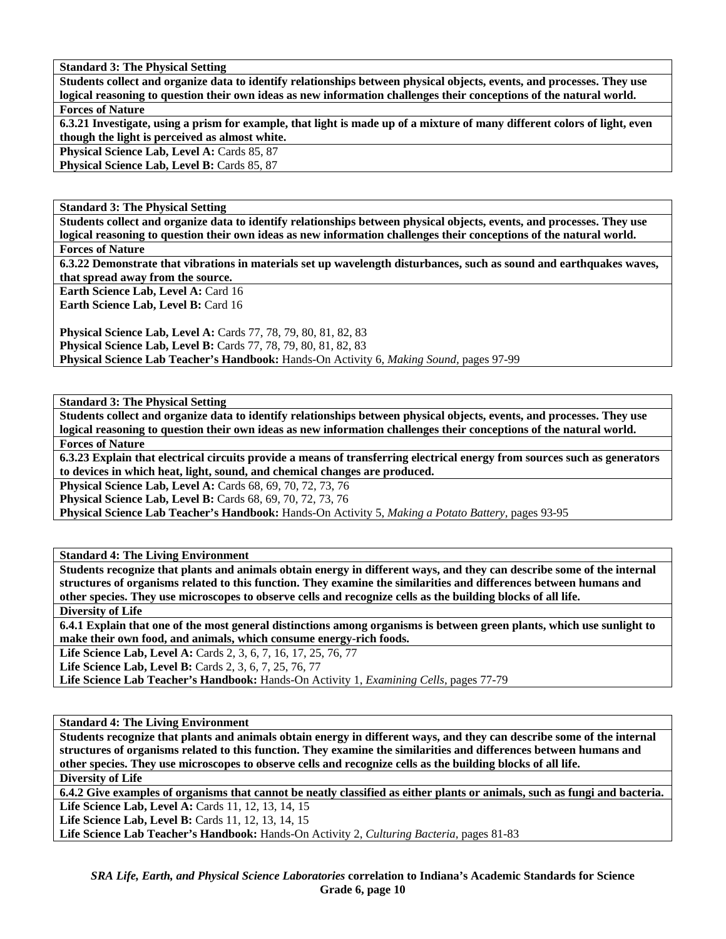**Students collect and organize data to identify relationships between physical objects, events, and processes. They use logical reasoning to question their own ideas as new information challenges their conceptions of the natural world. Forces of Nature** 

**6.3.21 Investigate, using a prism for example, that light is made up of a mixture of many different colors of light, even though the light is perceived as almost white.** 

Physical Science Lab, Level A: Cards 85, 87

**Physical Science Lab, Level B: Cards 85, 87** 

**Standard 3: The Physical Setting** 

**Students collect and organize data to identify relationships between physical objects, events, and processes. They use logical reasoning to question their own ideas as new information challenges their conceptions of the natural world.** 

**Forces of Nature** 

**6.3.22 Demonstrate that vibrations in materials set up wavelength disturbances, such as sound and earthquakes waves, that spread away from the source.** 

**Earth Science Lab, Level A: Card 16 Earth Science Lab, Level B: Card 16** 

**Physical Science Lab, Level A:** Cards 77, 78, 79, 80, 81, 82, 83 **Physical Science Lab, Level B:** Cards 77, 78, 79, 80, 81, 82, 83 **Physical Science Lab Teacher's Handbook:** Hands-On Activity 6, *Making Sound,* pages 97-99

**Standard 3: The Physical Setting** 

**Students collect and organize data to identify relationships between physical objects, events, and processes. They use logical reasoning to question their own ideas as new information challenges their conceptions of the natural world. Forces of Nature** 

**6.3.23 Explain that electrical circuits provide a means of transferring electrical energy from sources such as generators to devices in which heat, light, sound, and chemical changes are produced.** 

**Physical Science Lab, Level A:** Cards 68, 69, 70, 72, 73, 76

**Physical Science Lab, Level B:** Cards 68, 69, 70, 72, 73, 76

**Physical Science Lab Teacher's Handbook:** Hands-On Activity 5, *Making a Potato Battery,* pages 93-95

**Standard 4: The Living Environment** 

**Students recognize that plants and animals obtain energy in different ways, and they can describe some of the internal structures of organisms related to this function. They examine the similarities and differences between humans and other species. They use microscopes to observe cells and recognize cells as the building blocks of all life.** 

**Diversity of Life** 

**6.4.1 Explain that one of the most general distinctions among organisms is between green plants, which use sunlight to make their own food, and animals, which consume energy-rich foods.** 

Life Science Lab, Level A: Cards 2, 3, 6, 7, 16, 17, 25, 76, 77

**Life Science Lab, Level B:** Cards 2, 3, 6, 7, 25, 76, 77

**Life Science Lab Teacher's Handbook:** Hands-On Activity 1, *Examining Cells,* pages 77-79

**Standard 4: The Living Environment** 

**Students recognize that plants and animals obtain energy in different ways, and they can describe some of the internal structures of organisms related to this function. They examine the similarities and differences between humans and other species. They use microscopes to observe cells and recognize cells as the building blocks of all life.** 

**Diversity of Life** 

**6.4.2 Give examples of organisms that cannot be neatly classified as either plants or animals, such as fungi and bacteria. Life Science Lab, Level A: Cards 11, 12, 13, 14, 15** 

**Life Science Lab, Level B:** Cards 11, 12, 13, 14, 15

**Life Science Lab Teacher's Handbook:** Hands-On Activity 2, *Culturing Bacteria,* pages 81-83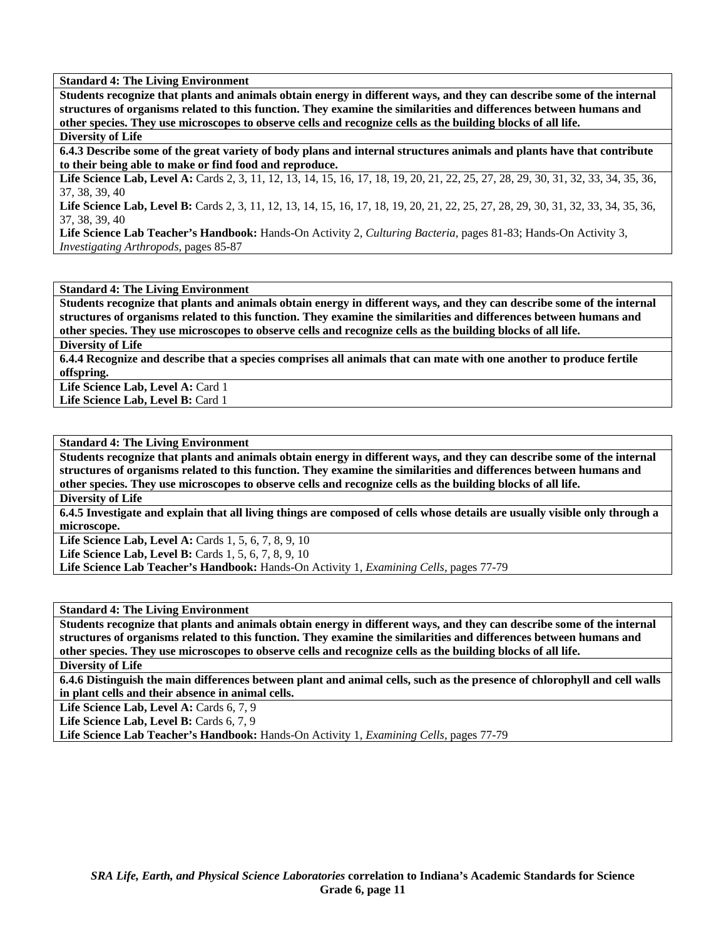**Students recognize that plants and animals obtain energy in different ways, and they can describe some of the internal structures of organisms related to this function. They examine the similarities and differences between humans and other species. They use microscopes to observe cells and recognize cells as the building blocks of all life.** 

# **Diversity of Life**

**6.4.3 Describe some of the great variety of body plans and internal structures animals and plants have that contribute to their being able to make or find food and reproduce.** 

Life Science Lab, Level A: Cards 2, 3, 11, 12, 13, 14, 15, 16, 17, 18, 19, 20, 21, 22, 25, 27, 28, 29, 30, 31, 32, 33, 34, 35, 36, 37, 38, 39, 40

Life Science Lab, Level B: Cards 2, 3, 11, 12, 13, 14, 15, 16, 17, 18, 19, 20, 21, 22, 25, 27, 28, 29, 30, 31, 32, 33, 34, 35, 36, 37, 38, 39, 40

**Life Science Lab Teacher's Handbook:** Hands-On Activity 2, *Culturing Bacteria,* pages 81-83; Hands-On Activity 3, *Investigating Arthropods,* pages 85-87

**Standard 4: The Living Environment** 

**Students recognize that plants and animals obtain energy in different ways, and they can describe some of the internal structures of organisms related to this function. They examine the similarities and differences between humans and other species. They use microscopes to observe cells and recognize cells as the building blocks of all life.** 

**Diversity of Life** 

**6.4.4 Recognize and describe that a species comprises all animals that can mate with one another to produce fertile offspring.** 

Life Science Lab, Level A: Card 1

Life Science Lab, Level B: Card 1

# **Standard 4: The Living Environment**

**Students recognize that plants and animals obtain energy in different ways, and they can describe some of the internal structures of organisms related to this function. They examine the similarities and differences between humans and other species. They use microscopes to observe cells and recognize cells as the building blocks of all life.** 

**Diversity of Life** 

**6.4.5 Investigate and explain that all living things are composed of cells whose details are usually visible only through a microscope.** 

Life Science Lab, Level A: Cards 1, 5, 6, 7, 8, 9, 10

**Life Science Lab, Level B:** Cards 1, 5, 6, 7, 8, 9, 10

**Life Science Lab Teacher's Handbook:** Hands-On Activity 1, *Examining Cells,* pages 77-79

# **Standard 4: The Living Environment**

**Students recognize that plants and animals obtain energy in different ways, and they can describe some of the internal structures of organisms related to this function. They examine the similarities and differences between humans and other species. They use microscopes to observe cells and recognize cells as the building blocks of all life.** 

**Diversity of Life** 

**6.4.6 Distinguish the main differences between plant and animal cells, such as the presence of chlorophyll and cell walls in plant cells and their absence in animal cells.** 

Life Science Lab, Level A: Cards 6, 7, 9

Life Science Lab, Level B: Cards 6, 7, 9

**Life Science Lab Teacher's Handbook:** Hands-On Activity 1, *Examining Cells,* pages 77-79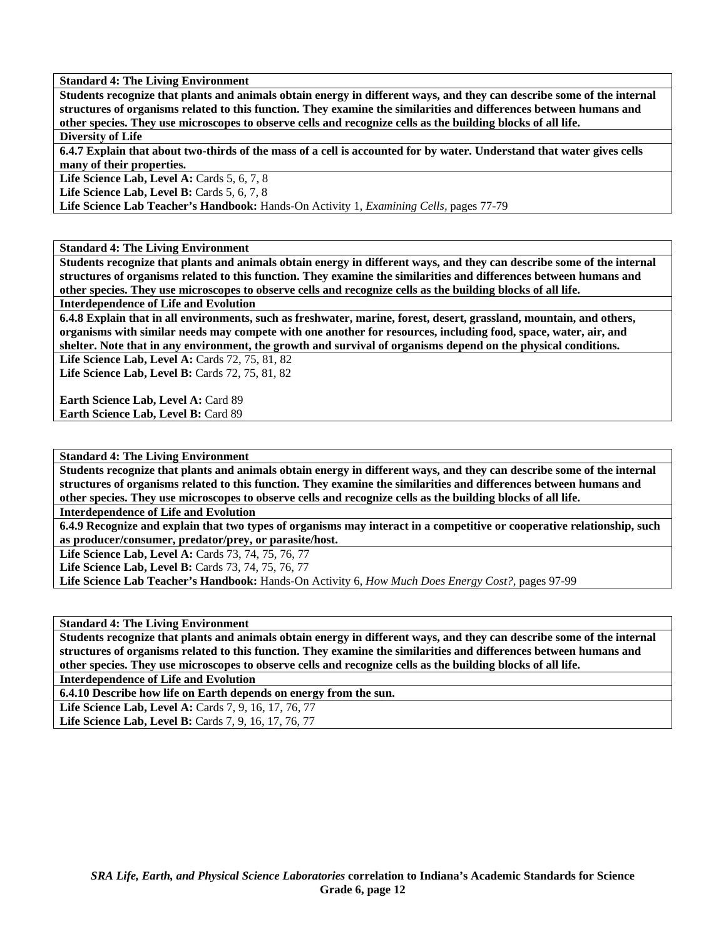**Students recognize that plants and animals obtain energy in different ways, and they can describe some of the internal structures of organisms related to this function. They examine the similarities and differences between humans and other species. They use microscopes to observe cells and recognize cells as the building blocks of all life.** 

# **Diversity of Life**

**6.4.7 Explain that about two-thirds of the mass of a cell is accounted for by water. Understand that water gives cells many of their properties.** 

**Life Science Lab, Level A:** Cards 5, 6, 7, 8

**Life Science Lab, Level B:** Cards 5, 6, 7, 8

**Life Science Lab Teacher's Handbook:** Hands-On Activity 1, *Examining Cells,* pages 77-79

**Standard 4: The Living Environment** 

**Students recognize that plants and animals obtain energy in different ways, and they can describe some of the internal structures of organisms related to this function. They examine the similarities and differences between humans and other species. They use microscopes to observe cells and recognize cells as the building blocks of all life.** 

**Interdependence of Life and Evolution** 

**6.4.8 Explain that in all environments, such as freshwater, marine, forest, desert, grassland, mountain, and others, organisms with similar needs may compete with one another for resources, including food, space, water, air, and shelter. Note that in any environment, the growth and survival of organisms depend on the physical conditions.** 

Life Science Lab, Level A: Cards 72, 75, 81, 82 Life Science Lab, Level B: Cards 72, 75, 81, 82

**Earth Science Lab, Level A: Card 89** Earth Science Lab, Level B: Card 89

**Standard 4: The Living Environment** 

**Students recognize that plants and animals obtain energy in different ways, and they can describe some of the internal structures of organisms related to this function. They examine the similarities and differences between humans and other species. They use microscopes to observe cells and recognize cells as the building blocks of all life.** 

**Interdependence of Life and Evolution** 

**6.4.9 Recognize and explain that two types of organisms may interact in a competitive or cooperative relationship, such as producer/consumer, predator/prey, or parasite/host.** 

**Life Science Lab, Level A:** Cards 73, 74, 75, 76, 77

Life Science Lab, Level B: Cards 73, 74, 75, 76, 77

**Life Science Lab Teacher's Handbook:** Hands-On Activity 6, *How Much Does Energy Cost?,* pages 97-99

**Standard 4: The Living Environment** 

**Students recognize that plants and animals obtain energy in different ways, and they can describe some of the internal structures of organisms related to this function. They examine the similarities and differences between humans and other species. They use microscopes to observe cells and recognize cells as the building blocks of all life.** 

**Interdependence of Life and Evolution** 

**6.4.10 Describe how life on Earth depends on energy from the sun.** 

**Life Science Lab, Level A:** Cards 7, 9, 16, 17, 76, 77

Life Science Lab, Level B: Cards 7, 9, 16, 17, 76, 77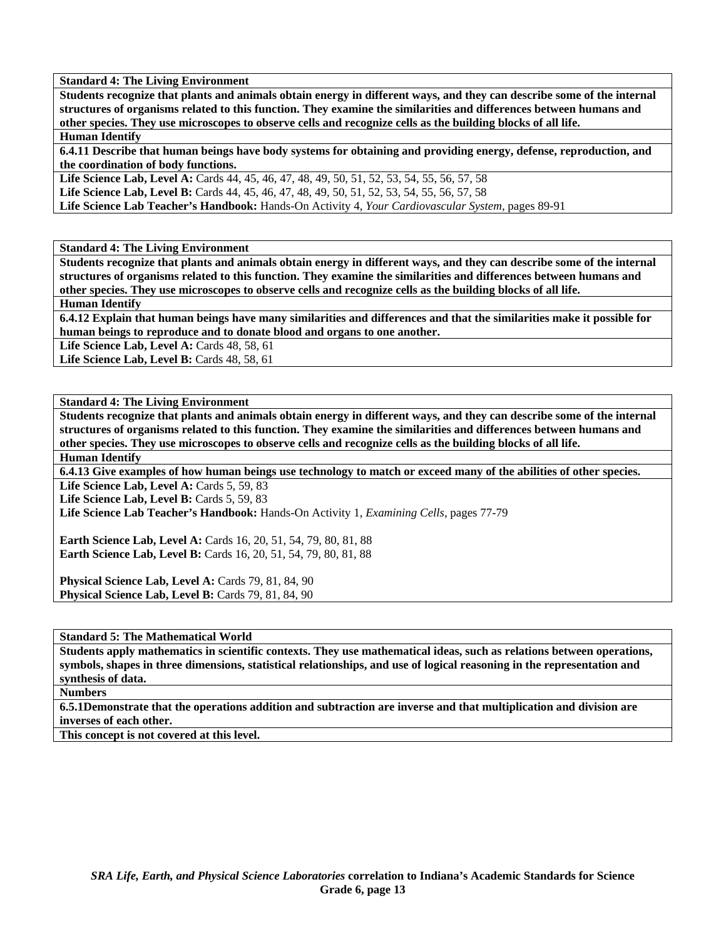**Students recognize that plants and animals obtain energy in different ways, and they can describe some of the internal structures of organisms related to this function. They examine the similarities and differences between humans and other species. They use microscopes to observe cells and recognize cells as the building blocks of all life.** 

# **Human Identify**

**6.4.11 Describe that human beings have body systems for obtaining and providing energy, defense, reproduction, and the coordination of body functions.** 

**Life Science Lab, Level A:** Cards 44, 45, 46, 47, 48, 49, 50, 51, 52, 53, 54, 55, 56, 57, 58 **Life Science Lab, Level B:** Cards 44, 45, 46, 47, 48, 49, 50, 51, 52, 53, 54, 55, 56, 57, 58 **Life Science Lab Teacher's Handbook:** Hands-On Activity 4, *Your Cardiovascular System,* pages 89-91

**Standard 4: The Living Environment** 

**Students recognize that plants and animals obtain energy in different ways, and they can describe some of the internal structures of organisms related to this function. They examine the similarities and differences between humans and other species. They use microscopes to observe cells and recognize cells as the building blocks of all life.** 

**Human Identify** 

**6.4.12 Explain that human beings have many similarities and differences and that the similarities make it possible for human beings to reproduce and to donate blood and organs to one another.** 

**Life Science Lab, Level A: Cards 48, 58, 61** 

**Life Science Lab, Level B: Cards 48, 58, 61** 

### **Standard 4: The Living Environment**

**Students recognize that plants and animals obtain energy in different ways, and they can describe some of the internal structures of organisms related to this function. They examine the similarities and differences between humans and other species. They use microscopes to observe cells and recognize cells as the building blocks of all life. Human Identify** 

**6.4.13 Give examples of how human beings use technology to match or exceed many of the abilities of other species.** 

Life Science Lab, Level A: Cards 5, 59, 83

Life Science Lab, Level B: Cards 5, 59, 83

**Life Science Lab Teacher's Handbook:** Hands-On Activity 1, *Examining Cells,* pages 77-79

**Earth Science Lab, Level A:** Cards 16, 20, 51, 54, 79, 80, 81, 88 **Earth Science Lab, Level B:** Cards 16, 20, 51, 54, 79, 80, 81, 88

Physical Science Lab, Level A: Cards 79, 81, 84, 90 **Physical Science Lab, Level B: Cards 79, 81, 84, 90** 

**Standard 5: The Mathematical World** 

**Students apply mathematics in scientific contexts. They use mathematical ideas, such as relations between operations, symbols, shapes in three dimensions, statistical relationships, and use of logical reasoning in the representation and synthesis of data.** 

**Numbers** 

**6.5.1Demonstrate that the operations addition and subtraction are inverse and that multiplication and division are inverses of each other.** 

**This concept is not covered at this level.**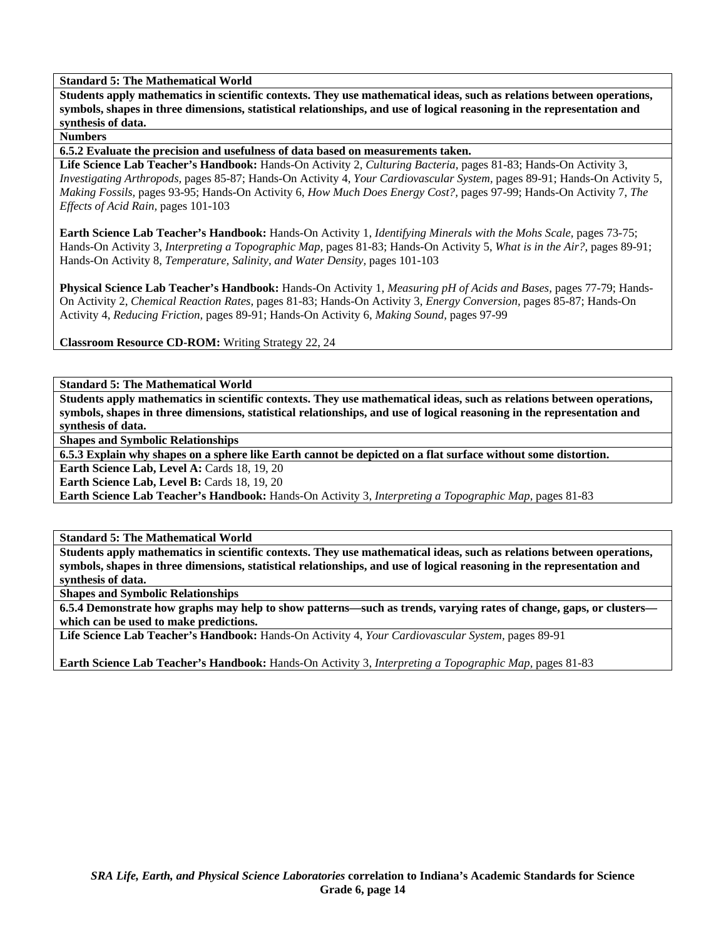**Standard 5: The Mathematical World** 

**Students apply mathematics in scientific contexts. They use mathematical ideas, such as relations between operations, symbols, shapes in three dimensions, statistical relationships, and use of logical reasoning in the representation and synthesis of data.** 

**Numbers** 

**6.5.2 Evaluate the precision and usefulness of data based on measurements taken.** 

**Life Science Lab Teacher's Handbook:** Hands-On Activity 2, *Culturing Bacteria,* pages 81-83; Hands-On Activity 3, *Investigating Arthropods,* pages 85-87; Hands-On Activity 4, *Your Cardiovascular System,* pages 89-91; Hands-On Activity 5, *Making Fossils,* pages 93-95; Hands-On Activity 6, *How Much Does Energy Cost?,* pages 97-99; Hands-On Activity 7, *The Effects of Acid Rain,* pages 101-103

**Earth Science Lab Teacher's Handbook:** Hands-On Activity 1, *Identifying Minerals with the Mohs Scale,* pages 73-75; Hands-On Activity 3, *Interpreting a Topographic Map,* pages 81-83; Hands-On Activity 5, *What is in the Air?,* pages 89-91; Hands-On Activity 8, *Temperature, Salinity, and Water Density,* pages 101-103

**Physical Science Lab Teacher's Handbook:** Hands-On Activity 1, *Measuring pH of Acids and Bases,* pages 77-79; Hands-On Activity 2, *Chemical Reaction Rates,* pages 81-83; Hands-On Activity 3, *Energy Conversion,* pages 85-87; Hands-On Activity 4, *Reducing Friction,* pages 89-91; Hands-On Activity 6, *Making Sound,* pages 97-99

**Classroom Resource CD-ROM:** Writing Strategy 22, 24

**Standard 5: The Mathematical World** 

**Students apply mathematics in scientific contexts. They use mathematical ideas, such as relations between operations, symbols, shapes in three dimensions, statistical relationships, and use of logical reasoning in the representation and synthesis of data.** 

**Shapes and Symbolic Relationships** 

**6.5.3 Explain why shapes on a sphere like Earth cannot be depicted on a flat surface without some distortion.** 

**Earth Science Lab, Level A: Cards 18, 19, 20** 

**Earth Science Lab, Level B: Cards 18, 19, 20** 

**Earth Science Lab Teacher's Handbook:** Hands-On Activity 3, *Interpreting a Topographic Map,* pages 81-83

**Standard 5: The Mathematical World** 

**Students apply mathematics in scientific contexts. They use mathematical ideas, such as relations between operations, symbols, shapes in three dimensions, statistical relationships, and use of logical reasoning in the representation and synthesis of data.** 

**Shapes and Symbolic Relationships** 

**6.5.4 Demonstrate how graphs may help to show patterns—such as trends, varying rates of change, gaps, or clusters which can be used to make predictions.** 

**Life Science Lab Teacher's Handbook:** Hands-On Activity 4, *Your Cardiovascular System,* pages 89-91

**Earth Science Lab Teacher's Handbook:** Hands-On Activity 3, *Interpreting a Topographic Map,* pages 81-83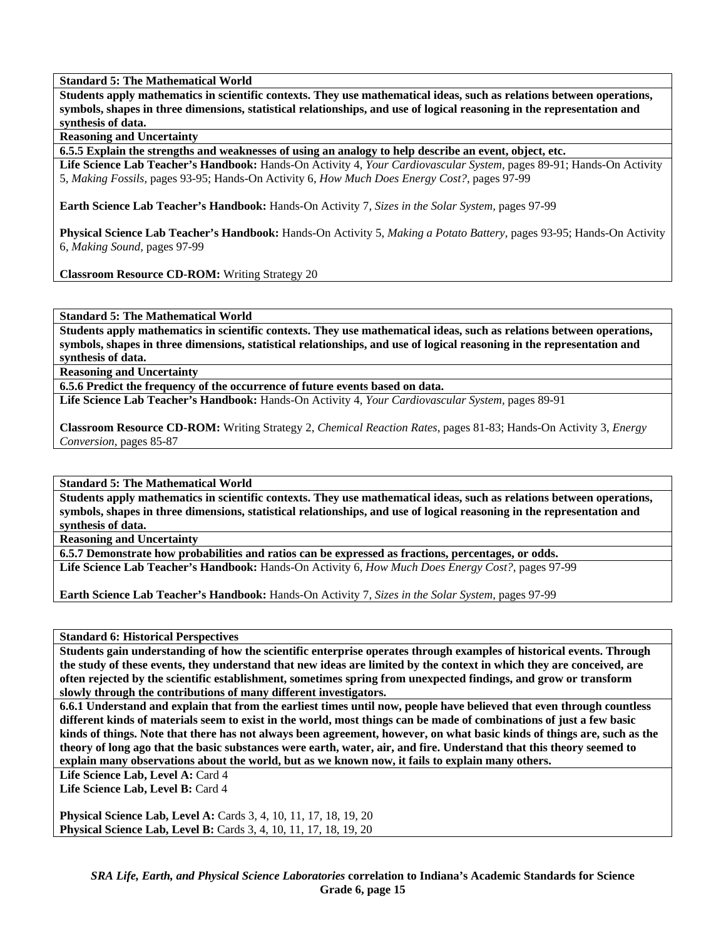**Standard 5: The Mathematical World** 

**Students apply mathematics in scientific contexts. They use mathematical ideas, such as relations between operations, symbols, shapes in three dimensions, statistical relationships, and use of logical reasoning in the representation and synthesis of data.** 

**Reasoning and Uncertainty** 

**6.5.5 Explain the strengths and weaknesses of using an analogy to help describe an event, object, etc.** 

**Life Science Lab Teacher's Handbook:** Hands-On Activity 4, *Your Cardiovascular System,* pages 89-91; Hands-On Activity 5, *Making Fossils,* pages 93-95; Hands-On Activity 6, *How Much Does Energy Cost?,* pages 97-99

**Earth Science Lab Teacher's Handbook:** Hands-On Activity 7, *Sizes in the Solar System,* pages 97-99

**Physical Science Lab Teacher's Handbook:** Hands-On Activity 5, *Making a Potato Battery,* pages 93-95; Hands-On Activity 6, *Making Sound,* pages 97-99

**Classroom Resource CD-ROM:** Writing Strategy 20

**Standard 5: The Mathematical World** 

**Students apply mathematics in scientific contexts. They use mathematical ideas, such as relations between operations, symbols, shapes in three dimensions, statistical relationships, and use of logical reasoning in the representation and synthesis of data.** 

**Reasoning and Uncertainty** 

**6.5.6 Predict the frequency of the occurrence of future events based on data.** 

**Life Science Lab Teacher's Handbook:** Hands-On Activity 4, *Your Cardiovascular System,* pages 89-91

**Classroom Resource CD-ROM:** Writing Strategy 2, *Chemical Reaction Rates,* pages 81-83; Hands-On Activity 3, *Energy Conversion,* pages 85-87

**Standard 5: The Mathematical World** 

**Students apply mathematics in scientific contexts. They use mathematical ideas, such as relations between operations, symbols, shapes in three dimensions, statistical relationships, and use of logical reasoning in the representation and synthesis of data.** 

**Reasoning and Uncertainty** 

**6.5.7 Demonstrate how probabilities and ratios can be expressed as fractions, percentages, or odds. Life Science Lab Teacher's Handbook:** Hands-On Activity 6, *How Much Does Energy Cost?,* pages 97-99

**Earth Science Lab Teacher's Handbook:** Hands-On Activity 7, *Sizes in the Solar System,* pages 97-99

**Standard 6: Historical Perspectives** 

**Students gain understanding of how the scientific enterprise operates through examples of historical events. Through the study of these events, they understand that new ideas are limited by the context in which they are conceived, are often rejected by the scientific establishment, sometimes spring from unexpected findings, and grow or transform slowly through the contributions of many different investigators.** 

**6.6.1 Understand and explain that from the earliest times until now, people have believed that even through countless different kinds of materials seem to exist in the world, most things can be made of combinations of just a few basic kinds of things. Note that there has not always been agreement, however, on what basic kinds of things are, such as the theory of long ago that the basic substances were earth, water, air, and fire. Understand that this theory seemed to explain many observations about the world, but as we known now, it fails to explain many others.** 

Life Science Lab, Level A: Card 4

Life Science Lab, Level B: Card 4

**Physical Science Lab, Level A:** Cards 3, 4, 10, 11, 17, 18, 19, 20 **Physical Science Lab, Level B:** Cards 3, 4, 10, 11, 17, 18, 19, 20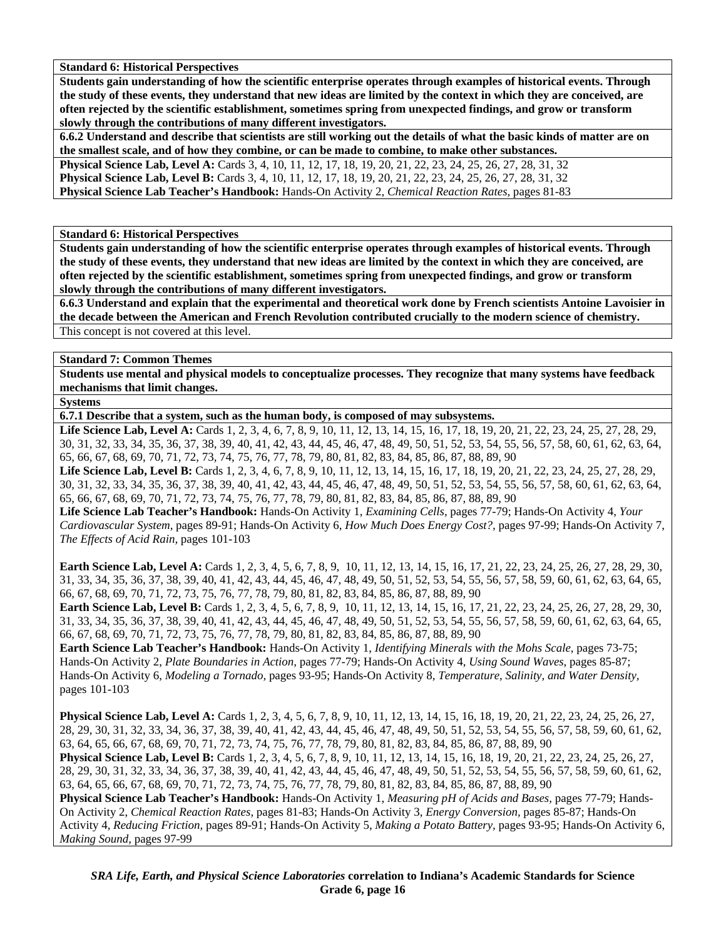**Standard 6: Historical Perspectives** 

**Students gain understanding of how the scientific enterprise operates through examples of historical events. Through the study of these events, they understand that new ideas are limited by the context in which they are conceived, are often rejected by the scientific establishment, sometimes spring from unexpected findings, and grow or transform slowly through the contributions of many different investigators.** 

**6.6.2 Understand and describe that scientists are still working out the details of what the basic kinds of matter are on the smallest scale, and of how they combine, or can be made to combine, to make other substances. Physical Science Lab, Level A:** Cards 3, 4, 10, 11, 12, 17, 18, 19, 20, 21, 22, 23, 24, 25, 26, 27, 28, 31, 32 **Physical Science Lab, Level B:** Cards 3, 4, 10, 11, 12, 17, 18, 19, 20, 21, 22, 23, 24, 25, 26, 27, 28, 31, 32

**Physical Science Lab Teacher's Handbook:** Hands-On Activity 2, *Chemical Reaction Rates,* pages 81-83

**Standard 6: Historical Perspectives** 

**Students gain understanding of how the scientific enterprise operates through examples of historical events. Through the study of these events, they understand that new ideas are limited by the context in which they are conceived, are often rejected by the scientific establishment, sometimes spring from unexpected findings, and grow or transform slowly through the contributions of many different investigators.** 

**6.6.3 Understand and explain that the experimental and theoretical work done by French scientists Antoine Lavoisier in the decade between the American and French Revolution contributed crucially to the modern science of chemistry.**  This concept is not covered at this level.

**Standard 7: Common Themes** 

**Students use mental and physical models to conceptualize processes. They recognize that many systems have feedback mechanisms that limit changes.** 

**Systems** 

**6.7.1 Describe that a system, such as the human body, is composed of may subsystems.** 

Life Science Lab, Level A: Cards 1, 2, 3, 4, 6, 7, 8, 9, 10, 11, 12, 13, 14, 15, 16, 17, 18, 19, 20, 21, 22, 23, 24, 25, 27, 28, 29, 30, 31, 32, 33, 34, 35, 36, 37, 38, 39, 40, 41, 42, 43, 44, 45, 46, 47, 48, 49, 50, 51, 52, 53, 54, 55, 56, 57, 58, 60, 61, 62, 63, 64, 65, 66, 67, 68, 69, 70, 71, 72, 73, 74, 75, 76, 77, 78, 79, 80, 81, 82, 83, 84, 85, 86, 87, 88, 89, 90

Life Science Lab, Level B: Cards 1, 2, 3, 4, 6, 7, 8, 9, 10, 11, 12, 13, 14, 15, 16, 17, 18, 19, 20, 21, 22, 23, 24, 25, 27, 28, 29, 30, 31, 32, 33, 34, 35, 36, 37, 38, 39, 40, 41, 42, 43, 44, 45, 46, 47, 48, 49, 50, 51, 52, 53, 54, 55, 56, 57, 58, 60, 61, 62, 63, 64, 65, 66, 67, 68, 69, 70, 71, 72, 73, 74, 75, 76, 77, 78, 79, 80, 81, 82, 83, 84, 85, 86, 87, 88, 89, 90

**Life Science Lab Teacher's Handbook:** Hands-On Activity 1, *Examining Cells,* pages 77-79; Hands-On Activity 4, *Your Cardiovascular System,* pages 89-91; Hands-On Activity 6, *How Much Does Energy Cost?,* pages 97-99; Hands-On Activity 7, *The Effects of Acid Rain,* pages 101-103

**Earth Science Lab, Level A:** Cards 1, 2, 3, 4, 5, 6, 7, 8, 9, 10, 11, 12, 13, 14, 15, 16, 17, 21, 22, 23, 24, 25, 26, 27, 28, 29, 30, 31, 33, 34, 35, 36, 37, 38, 39, 40, 41, 42, 43, 44, 45, 46, 47, 48, 49, 50, 51, 52, 53, 54, 55, 56, 57, 58, 59, 60, 61, 62, 63, 64, 65, 66, 67, 68, 69, 70, 71, 72, 73, 75, 76, 77, 78, 79, 80, 81, 82, 83, 84, 85, 86, 87, 88, 89, 90

**Earth Science Lab, Level B:** Cards 1, 2, 3, 4, 5, 6, 7, 8, 9, 10, 11, 12, 13, 14, 15, 16, 17, 21, 22, 23, 24, 25, 26, 27, 28, 29, 30, 31, 33, 34, 35, 36, 37, 38, 39, 40, 41, 42, 43, 44, 45, 46, 47, 48, 49, 50, 51, 52, 53, 54, 55, 56, 57, 58, 59, 60, 61, 62, 63, 64, 65, 66, 67, 68, 69, 70, 71, 72, 73, 75, 76, 77, 78, 79, 80, 81, 82, 83, 84, 85, 86, 87, 88, 89, 90

**Earth Science Lab Teacher's Handbook:** Hands-On Activity 1, *Identifying Minerals with the Mohs Scale,* pages 73-75; Hands-On Activity 2, *Plate Boundaries in Action,* pages 77-79; Hands-On Activity 4, *Using Sound Waves,* pages 85-87; Hands-On Activity 6, *Modeling a Tornado,* pages 93-95; Hands-On Activity 8, *Temperature, Salinity, and Water Density,* pages 101-103

**Physical Science Lab, Level A:** Cards 1, 2, 3, 4, 5, 6, 7, 8, 9, 10, 11, 12, 13, 14, 15, 16, 18, 19, 20, 21, 22, 23, 24, 25, 26, 27, 28, 29, 30, 31, 32, 33, 34, 36, 37, 38, 39, 40, 41, 42, 43, 44, 45, 46, 47, 48, 49, 50, 51, 52, 53, 54, 55, 56, 57, 58, 59, 60, 61, 62, 63, 64, 65, 66, 67, 68, 69, 70, 71, 72, 73, 74, 75, 76, 77, 78, 79, 80, 81, 82, 83, 84, 85, 86, 87, 88, 89, 90 **Physical Science Lab, Level B:** Cards 1, 2, 3, 4, 5, 6, 7, 8, 9, 10, 11, 12, 13, 14, 15, 16, 18, 19, 20, 21, 22, 23, 24, 25, 26, 27, 28, 29, 30, 31, 32, 33, 34, 36, 37, 38, 39, 40, 41, 42, 43, 44, 45, 46, 47, 48, 49, 50, 51, 52, 53, 54, 55, 56, 57, 58, 59, 60, 61, 62, 63, 64, 65, 66, 67, 68, 69, 70, 71, 72, 73, 74, 75, 76, 77, 78, 79, 80, 81, 82, 83, 84, 85, 86, 87, 88, 89, 90 **Physical Science Lab Teacher's Handbook:** Hands-On Activity 1, *Measuring pH of Acids and Bases,* pages 77-79; Hands-On Activity 2, *Chemical Reaction Rates,* pages 81-83; Hands-On Activity 3, *Energy Conversion,* pages 85-87; Hands-On Activity 4, *Reducing Friction,* pages 89-91; Hands-On Activity 5, *Making a Potato Battery,* pages 93-95; Hands-On Activity 6, *Making Sound,* pages 97-99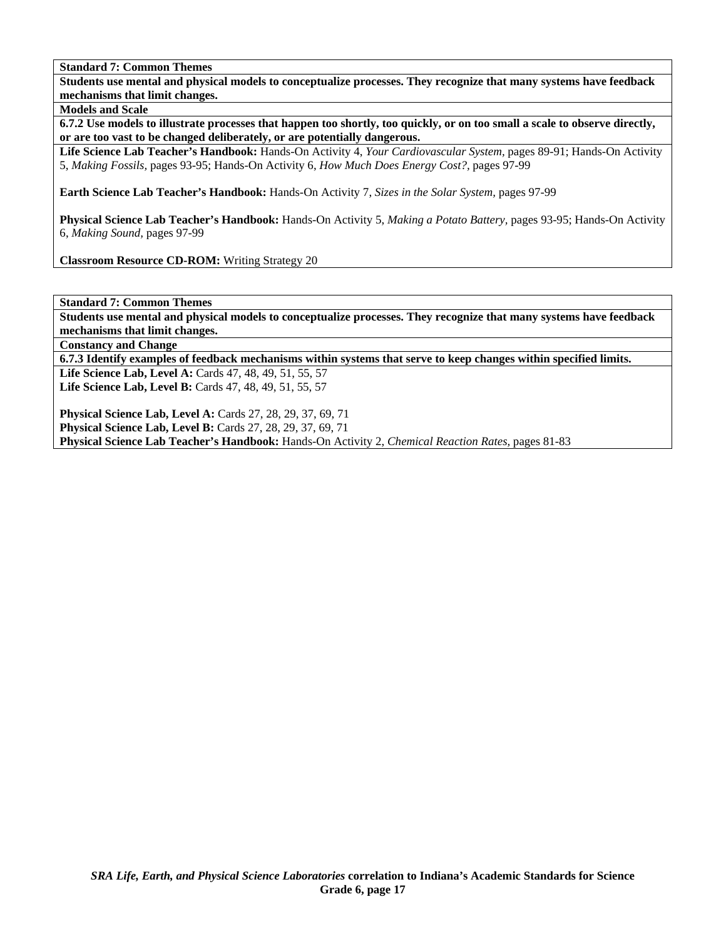**Students use mental and physical models to conceptualize processes. They recognize that many systems have feedback mechanisms that limit changes.** 

**Models and Scale** 

**6.7.2 Use models to illustrate processes that happen too shortly, too quickly, or on too small a scale to observe directly, or are too vast to be changed deliberately, or are potentially dangerous.** 

**Life Science Lab Teacher's Handbook:** Hands-On Activity 4, *Your Cardiovascular System,* pages 89-91; Hands-On Activity 5, *Making Fossils,* pages 93-95; Hands-On Activity 6, *How Much Does Energy Cost?,* pages 97-99

**Earth Science Lab Teacher's Handbook:** Hands-On Activity 7, *Sizes in the Solar System,* pages 97-99

**Physical Science Lab Teacher's Handbook:** Hands-On Activity 5, *Making a Potato Battery,* pages 93-95; Hands-On Activity 6, *Making Sound,* pages 97-99

**Classroom Resource CD-ROM:** Writing Strategy 20

**Standard 7: Common Themes** 

**Students use mental and physical models to conceptualize processes. They recognize that many systems have feedback mechanisms that limit changes.** 

**Constancy and Change** 

**6.7.3 Identify examples of feedback mechanisms within systems that serve to keep changes within specified limits.** 

**Life Science Lab, Level A:** Cards 47, 48, 49, 51, 55, 57 **Life Science Lab, Level B:** Cards 47, 48, 49, 51, 55, 57

**Physical Science Lab, Level A:** Cards 27, 28, 29, 37, 69, 71 **Physical Science Lab, Level B:** Cards 27, 28, 29, 37, 69, 71 **Physical Science Lab Teacher's Handbook:** Hands-On Activity 2, *Chemical Reaction Rates,* pages 81-83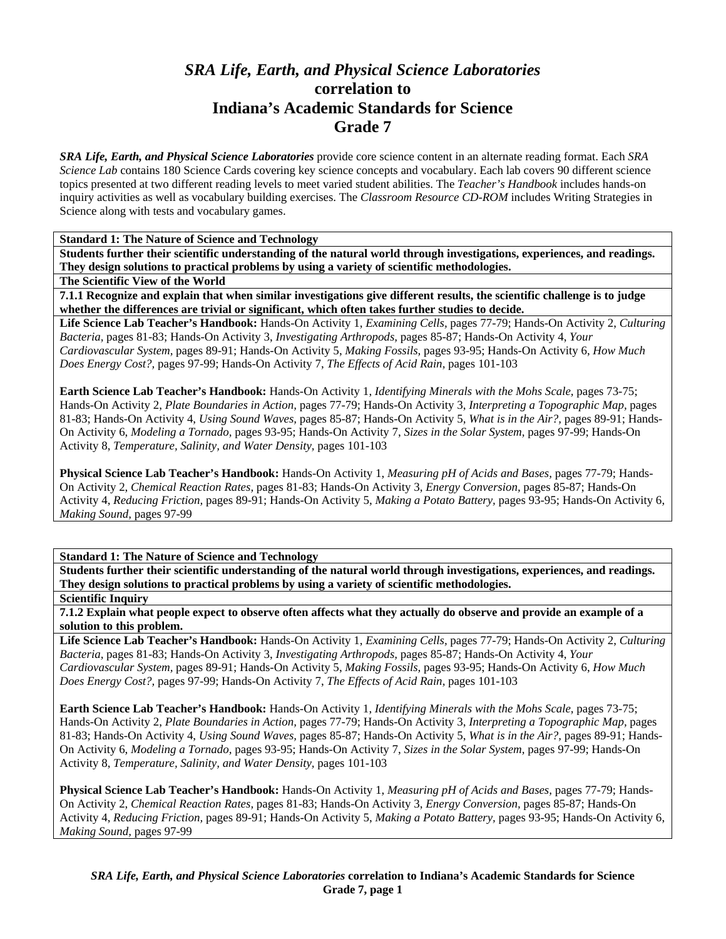# *SRA Life, Earth, and Physical Science Laboratories*  **correlation to Indiana's Academic Standards for Science Grade 7**

*SRA Life, Earth, and Physical Science Laboratories* provide core science content in an alternate reading format. Each *SRA Science Lab* contains 180 Science Cards covering key science concepts and vocabulary. Each lab covers 90 different science topics presented at two different reading levels to meet varied student abilities. The *Teacher's Handbook* includes hands-on inquiry activities as well as vocabulary building exercises. The *Classroom Resource CD-ROM* includes Writing Strategies in Science along with tests and vocabulary games.

**Standard 1: The Nature of Science and Technology** 

**Students further their scientific understanding of the natural world through investigations, experiences, and readings. They design solutions to practical problems by using a variety of scientific methodologies.** 

#### **The Scientific View of the World**

**7.1.1 Recognize and explain that when similar investigations give different results, the scientific challenge is to judge whether the differences are trivial or significant, which often takes further studies to decide.** 

**Life Science Lab Teacher's Handbook:** Hands-On Activity 1, *Examining Cells,* pages 77-79; Hands-On Activity 2, *Culturing Bacteria,* pages 81-83; Hands-On Activity 3, *Investigating Arthropods,* pages 85-87; Hands-On Activity 4, *Your Cardiovascular System,* pages 89-91; Hands-On Activity 5, *Making Fossils,* pages 93-95; Hands-On Activity 6, *How Much Does Energy Cost?,* pages 97-99; Hands-On Activity 7, *The Effects of Acid Rain,* pages 101-103

**Earth Science Lab Teacher's Handbook:** Hands-On Activity 1, *Identifying Minerals with the Mohs Scale,* pages 73-75; Hands-On Activity 2, *Plate Boundaries in Action,* pages 77-79; Hands-On Activity 3, *Interpreting a Topographic Map,* pages 81-83; Hands-On Activity 4, *Using Sound Waves,* pages 85-87; Hands-On Activity 5, *What is in the Air?,* pages 89-91; Hands-On Activity 6, *Modeling a Tornado,* pages 93-95; Hands-On Activity 7, *Sizes in the Solar System,* pages 97-99; Hands-On Activity 8, *Temperature, Salinity, and Water Density,* pages 101-103

**Physical Science Lab Teacher's Handbook:** Hands-On Activity 1, *Measuring pH of Acids and Bases,* pages 77-79; Hands-On Activity 2, *Chemical Reaction Rates,* pages 81-83; Hands-On Activity 3, *Energy Conversion,* pages 85-87; Hands-On Activity 4, *Reducing Friction,* pages 89-91; Hands-On Activity 5, *Making a Potato Battery,* pages 93-95; Hands-On Activity 6, *Making Sound,* pages 97-99

# **Standard 1: The Nature of Science and Technology**

**Students further their scientific understanding of the natural world through investigations, experiences, and readings. They design solutions to practical problems by using a variety of scientific methodologies.** 

#### **Scientific Inquiry**

**7.1.2 Explain what people expect to observe often affects what they actually do observe and provide an example of a solution to this problem.** 

**Life Science Lab Teacher's Handbook:** Hands-On Activity 1, *Examining Cells,* pages 77-79; Hands-On Activity 2, *Culturing Bacteria,* pages 81-83; Hands-On Activity 3, *Investigating Arthropods,* pages 85-87; Hands-On Activity 4, *Your Cardiovascular System,* pages 89-91; Hands-On Activity 5, *Making Fossils,* pages 93-95; Hands-On Activity 6, *How Much Does Energy Cost?,* pages 97-99; Hands-On Activity 7, *The Effects of Acid Rain,* pages 101-103

**Earth Science Lab Teacher's Handbook:** Hands-On Activity 1, *Identifying Minerals with the Mohs Scale,* pages 73-75; Hands-On Activity 2, *Plate Boundaries in Action,* pages 77-79; Hands-On Activity 3, *Interpreting a Topographic Map,* pages 81-83; Hands-On Activity 4, *Using Sound Waves,* pages 85-87; Hands-On Activity 5, *What is in the Air?,* pages 89-91; Hands-On Activity 6, *Modeling a Tornado,* pages 93-95; Hands-On Activity 7, *Sizes in the Solar System,* pages 97-99; Hands-On Activity 8, *Temperature, Salinity, and Water Density,* pages 101-103

**Physical Science Lab Teacher's Handbook:** Hands-On Activity 1, *Measuring pH of Acids and Bases,* pages 77-79; Hands-On Activity 2, *Chemical Reaction Rates,* pages 81-83; Hands-On Activity 3, *Energy Conversion,* pages 85-87; Hands-On Activity 4, *Reducing Friction,* pages 89-91; Hands-On Activity 5, *Making a Potato Battery,* pages 93-95; Hands-On Activity 6, *Making Sound,* pages 97-99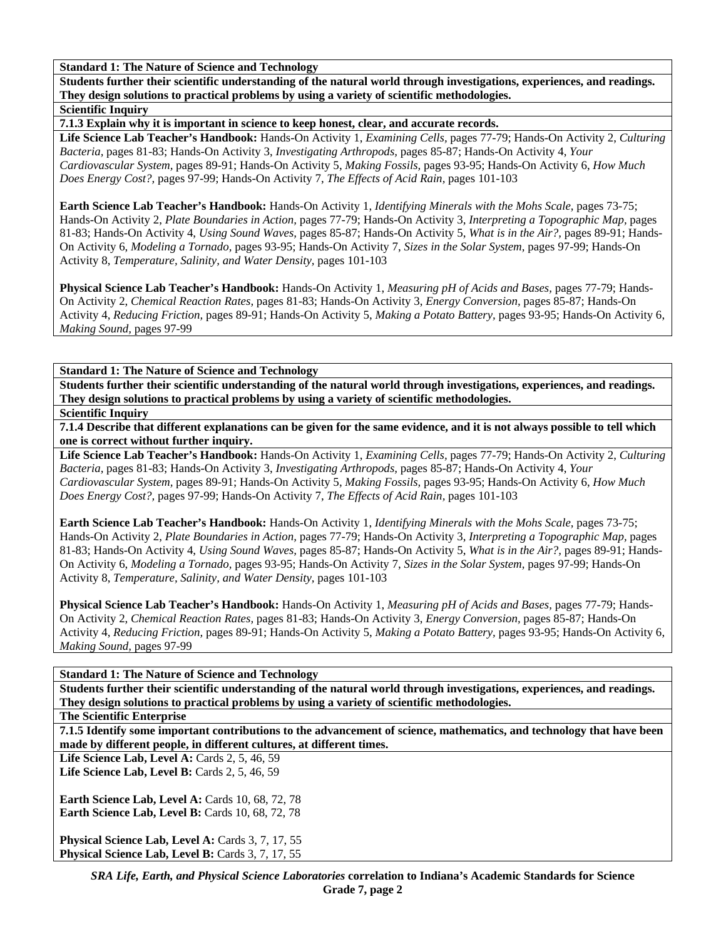**Students further their scientific understanding of the natural world through investigations, experiences, and readings. They design solutions to practical problems by using a variety of scientific methodologies.** 

**Scientific Inquiry** 

**7.1.3 Explain why it is important in science to keep honest, clear, and accurate records.** 

**Life Science Lab Teacher's Handbook:** Hands-On Activity 1, *Examining Cells,* pages 77-79; Hands-On Activity 2, *Culturing Bacteria,* pages 81-83; Hands-On Activity 3, *Investigating Arthropods,* pages 85-87; Hands-On Activity 4, *Your Cardiovascular System,* pages 89-91; Hands-On Activity 5, *Making Fossils,* pages 93-95; Hands-On Activity 6, *How Much Does Energy Cost?,* pages 97-99; Hands-On Activity 7, *The Effects of Acid Rain,* pages 101-103

**Earth Science Lab Teacher's Handbook:** Hands-On Activity 1, *Identifying Minerals with the Mohs Scale,* pages 73-75; Hands-On Activity 2, *Plate Boundaries in Action,* pages 77-79; Hands-On Activity 3, *Interpreting a Topographic Map,* pages 81-83; Hands-On Activity 4, *Using Sound Waves,* pages 85-87; Hands-On Activity 5, *What is in the Air?,* pages 89-91; Hands-On Activity 6, *Modeling a Tornado,* pages 93-95; Hands-On Activity 7, *Sizes in the Solar System,* pages 97-99; Hands-On Activity 8, *Temperature, Salinity, and Water Density,* pages 101-103

**Physical Science Lab Teacher's Handbook:** Hands-On Activity 1, *Measuring pH of Acids and Bases,* pages 77-79; Hands-On Activity 2, *Chemical Reaction Rates,* pages 81-83; Hands-On Activity 3, *Energy Conversion,* pages 85-87; Hands-On Activity 4, *Reducing Friction,* pages 89-91; Hands-On Activity 5, *Making a Potato Battery,* pages 93-95; Hands-On Activity 6, *Making Sound,* pages 97-99

**Standard 1: The Nature of Science and Technology** 

**Students further their scientific understanding of the natural world through investigations, experiences, and readings. They design solutions to practical problems by using a variety of scientific methodologies.** 

**Scientific Inquiry** 

**7.1.4 Describe that different explanations can be given for the same evidence, and it is not always possible to tell which one is correct without further inquiry.** 

**Life Science Lab Teacher's Handbook:** Hands-On Activity 1, *Examining Cells,* pages 77-79; Hands-On Activity 2, *Culturing Bacteria,* pages 81-83; Hands-On Activity 3, *Investigating Arthropods,* pages 85-87; Hands-On Activity 4, *Your Cardiovascular System,* pages 89-91; Hands-On Activity 5, *Making Fossils,* pages 93-95; Hands-On Activity 6, *How Much Does Energy Cost?,* pages 97-99; Hands-On Activity 7, *The Effects of Acid Rain,* pages 101-103

**Earth Science Lab Teacher's Handbook:** Hands-On Activity 1, *Identifying Minerals with the Mohs Scale,* pages 73-75; Hands-On Activity 2, *Plate Boundaries in Action,* pages 77-79; Hands-On Activity 3, *Interpreting a Topographic Map,* pages 81-83; Hands-On Activity 4, *Using Sound Waves,* pages 85-87; Hands-On Activity 5, *What is in the Air?,* pages 89-91; Hands-On Activity 6, *Modeling a Tornado,* pages 93-95; Hands-On Activity 7, *Sizes in the Solar System,* pages 97-99; Hands-On Activity 8, *Temperature, Salinity, and Water Density,* pages 101-103

**Physical Science Lab Teacher's Handbook:** Hands-On Activity 1, *Measuring pH of Acids and Bases,* pages 77-79; Hands-On Activity 2, *Chemical Reaction Rates,* pages 81-83; Hands-On Activity 3, *Energy Conversion,* pages 85-87; Hands-On Activity 4, *Reducing Friction,* pages 89-91; Hands-On Activity 5, *Making a Potato Battery,* pages 93-95; Hands-On Activity 6, *Making Sound,* pages 97-99

**Standard 1: The Nature of Science and Technology** 

**Students further their scientific understanding of the natural world through investigations, experiences, and readings. They design solutions to practical problems by using a variety of scientific methodologies.** 

**The Scientific Enterprise** 

**7.1.5 Identify some important contributions to the advancement of science, mathematics, and technology that have been made by different people, in different cultures, at different times.** 

**Life Science Lab, Level A: Cards 2, 5, 46, 59 Life Science Lab, Level B:** Cards 2, 5, 46, 59

**Earth Science Lab, Level A: Cards 10, 68, 72, 78 Earth Science Lab, Level B: Cards 10, 68, 72, 78** 

Physical Science Lab, Level A: Cards 3, 7, 17, 55 Physical Science Lab, Level B: Cards 3, 7, 17, 55

> *SRA Life, Earth, and Physical Science Laboratories* **correlation to Indiana's Academic Standards for Science Grade 7, page 2**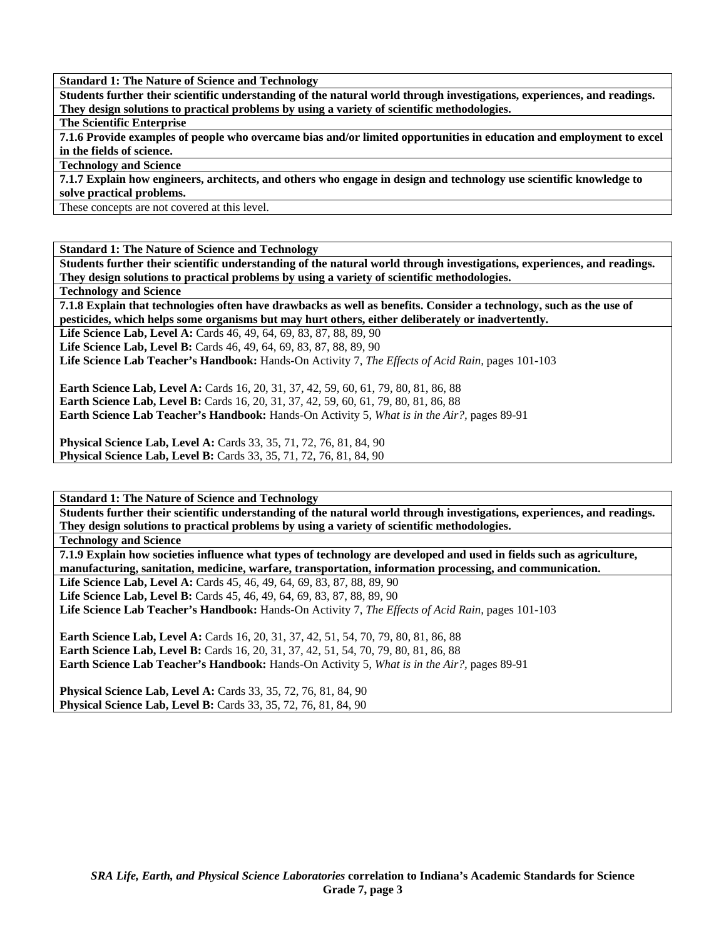**Students further their scientific understanding of the natural world through investigations, experiences, and readings. They design solutions to practical problems by using a variety of scientific methodologies.** 

**The Scientific Enterprise** 

**7.1.6 Provide examples of people who overcame bias and/or limited opportunities in education and employment to excel in the fields of science.** 

**Technology and Science** 

**7.1.7 Explain how engineers, architects, and others who engage in design and technology use scientific knowledge to solve practical problems.** 

These concepts are not covered at this level.

**Standard 1: The Nature of Science and Technology** 

**Students further their scientific understanding of the natural world through investigations, experiences, and readings. They design solutions to practical problems by using a variety of scientific methodologies.** 

**Technology and Science** 

**7.1.8 Explain that technologies often have drawbacks as well as benefits. Consider a technology, such as the use of pesticides, which helps some organisms but may hurt others, either deliberately or inadvertently.** 

Life Science Lab, Level A: Cards 46, 49, 64, 69, 83, 87, 88, 89, 90

Life Science Lab, Level B: Cards 46, 49, 64, 69, 83, 87, 88, 89, 90

**Life Science Lab Teacher's Handbook:** Hands-On Activity 7, *The Effects of Acid Rain,* pages 101-103

**Earth Science Lab, Level A:** Cards 16, 20, 31, 37, 42, 59, 60, 61, 79, 80, 81, 86, 88 **Earth Science Lab, Level B:** Cards 16, 20, 31, 37, 42, 59, 60, 61, 79, 80, 81, 86, 88 **Earth Science Lab Teacher's Handbook:** Hands-On Activity 5, *What is in the Air?,* pages 89-91

**Physical Science Lab, Level A:** Cards 33, 35, 71, 72, 76, 81, 84, 90 **Physical Science Lab, Level B:** Cards 33, 35, 71, 72, 76, 81, 84, 90

**Standard 1: The Nature of Science and Technology** 

**Students further their scientific understanding of the natural world through investigations, experiences, and readings. They design solutions to practical problems by using a variety of scientific methodologies.** 

**Technology and Science** 

**7.1.9 Explain how societies influence what types of technology are developed and used in fields such as agriculture, manufacturing, sanitation, medicine, warfare, transportation, information processing, and communication.** 

Life Science Lab, Level A: Cards 45, 46, 49, 64, 69, 83, 87, 88, 89, 90

Life Science Lab, Level B: Cards 45, 46, 49, 64, 69, 83, 87, 88, 89, 90

**Life Science Lab Teacher's Handbook:** Hands-On Activity 7, *The Effects of Acid Rain,* pages 101-103

**Earth Science Lab, Level A:** Cards 16, 20, 31, 37, 42, 51, 54, 70, 79, 80, 81, 86, 88 **Earth Science Lab, Level B:** Cards 16, 20, 31, 37, 42, 51, 54, 70, 79, 80, 81, 86, 88 **Earth Science Lab Teacher's Handbook:** Hands-On Activity 5, *What is in the Air?,* pages 89-91

**Physical Science Lab, Level A:** Cards 33, 35, 72, 76, 81, 84, 90 **Physical Science Lab, Level B:** Cards 33, 35, 72, 76, 81, 84, 90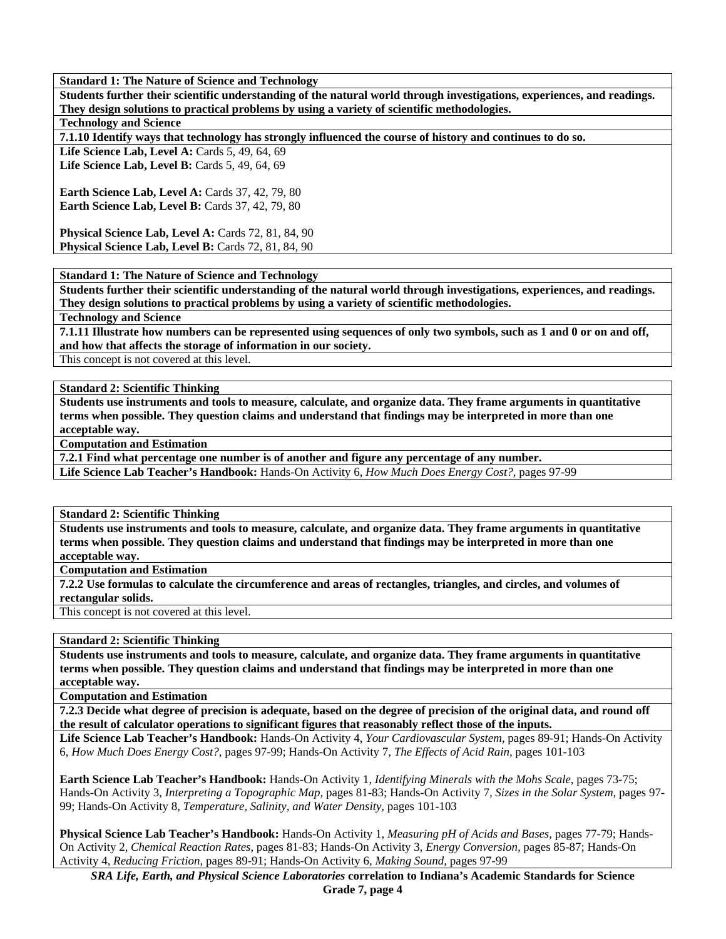**Students further their scientific understanding of the natural world through investigations, experiences, and readings. They design solutions to practical problems by using a variety of scientific methodologies.** 

**Technology and Science** 

**7.1.10 Identify ways that technology has strongly influenced the course of history and continues to do so.** 

Life Science Lab, Level A: Cards 5, 49, 64, 69 **Life Science Lab, Level B:** Cards 5, 49, 64, 69

**Earth Science Lab, Level A: Cards 37, 42, 79, 80 Earth Science Lab, Level B: Cards 37, 42, 79, 80** 

**Physical Science Lab, Level A: Cards 72, 81, 84, 90 Physical Science Lab, Level B: Cards 72, 81, 84, 90** 

**Standard 1: The Nature of Science and Technology** 

**Students further their scientific understanding of the natural world through investigations, experiences, and readings. They design solutions to practical problems by using a variety of scientific methodologies.** 

**Technology and Science** 

**7.1.11 Illustrate how numbers can be represented using sequences of only two symbols, such as 1 and 0 or on and off, and how that affects the storage of information in our society.** 

This concept is not covered at this level.

**Standard 2: Scientific Thinking** 

**Students use instruments and tools to measure, calculate, and organize data. They frame arguments in quantitative terms when possible. They question claims and understand that findings may be interpreted in more than one acceptable way.** 

**Computation and Estimation** 

**7.2.1 Find what percentage one number is of another and figure any percentage of any number.** 

**Life Science Lab Teacher's Handbook:** Hands-On Activity 6, *How Much Does Energy Cost?,* pages 97-99

**Standard 2: Scientific Thinking** 

**Students use instruments and tools to measure, calculate, and organize data. They frame arguments in quantitative terms when possible. They question claims and understand that findings may be interpreted in more than one acceptable way.** 

**Computation and Estimation** 

**7.2.2 Use formulas to calculate the circumference and areas of rectangles, triangles, and circles, and volumes of rectangular solids.** 

This concept is not covered at this level.

**Standard 2: Scientific Thinking** 

**Students use instruments and tools to measure, calculate, and organize data. They frame arguments in quantitative terms when possible. They question claims and understand that findings may be interpreted in more than one acceptable way.** 

**Computation and Estimation** 

**7.2.3 Decide what degree of precision is adequate, based on the degree of precision of the original data, and round off the result of calculator operations to significant figures that reasonably reflect those of the inputs.** 

**Life Science Lab Teacher's Handbook:** Hands-On Activity 4, *Your Cardiovascular System,* pages 89-91; Hands-On Activity 6, *How Much Does Energy Cost?,* pages 97-99; Hands-On Activity 7, *The Effects of Acid Rain,* pages 101-103

**Earth Science Lab Teacher's Handbook:** Hands-On Activity 1, *Identifying Minerals with the Mohs Scale,* pages 73-75; Hands-On Activity 3, *Interpreting a Topographic Map,* pages 81-83; Hands-On Activity 7, *Sizes in the Solar System,* pages 97- 99; Hands-On Activity 8, *Temperature, Salinity, and Water Density,* pages 101-103

**Physical Science Lab Teacher's Handbook:** Hands-On Activity 1, *Measuring pH of Acids and Bases,* pages 77-79; Hands-On Activity 2, *Chemical Reaction Rates,* pages 81-83; Hands-On Activity 3, *Energy Conversion,* pages 85-87; Hands-On Activity 4, *Reducing Friction,* pages 89-91; Hands-On Activity 6, *Making Sound,* pages 97-99

*SRA Life, Earth, and Physical Science Laboratories* **correlation to Indiana's Academic Standards for Science Grade 7, page 4**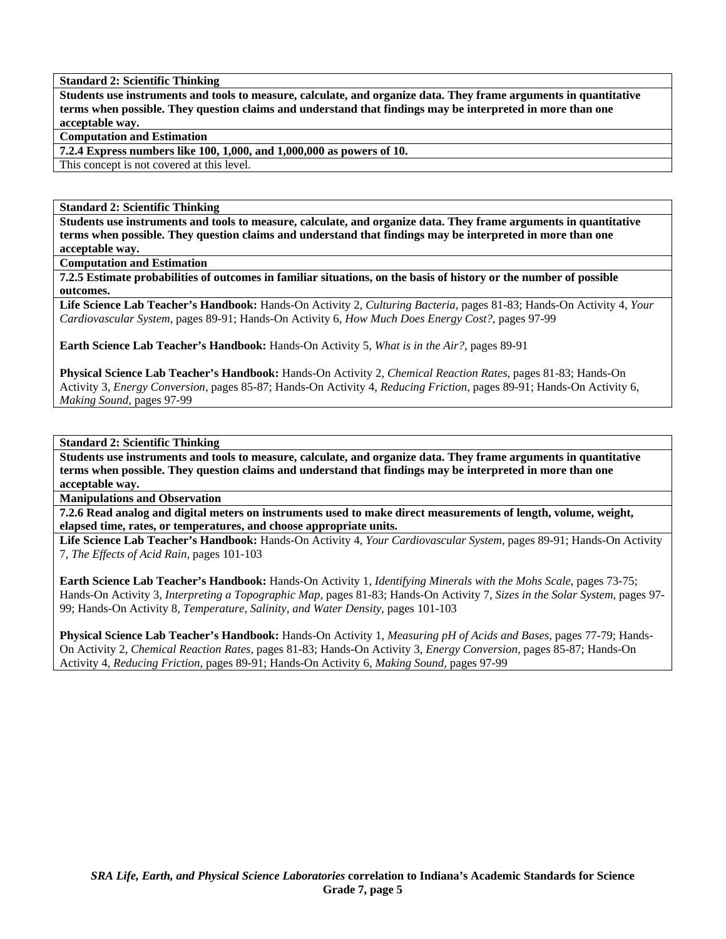**Standard 2: Scientific Thinking** 

**Students use instruments and tools to measure, calculate, and organize data. They frame arguments in quantitative terms when possible. They question claims and understand that findings may be interpreted in more than one acceptable way.** 

**Computation and Estimation** 

**7.2.4 Express numbers like 100, 1,000, and 1,000,000 as powers of 10.** 

This concept is not covered at this level.

**Standard 2: Scientific Thinking** 

**Students use instruments and tools to measure, calculate, and organize data. They frame arguments in quantitative terms when possible. They question claims and understand that findings may be interpreted in more than one acceptable way.** 

**Computation and Estimation** 

**7.2.5 Estimate probabilities of outcomes in familiar situations, on the basis of history or the number of possible outcomes.** 

**Life Science Lab Teacher's Handbook:** Hands-On Activity 2, *Culturing Bacteria,* pages 81-83; Hands-On Activity 4, *Your Cardiovascular System,* pages 89-91; Hands-On Activity 6, *How Much Does Energy Cost?,* pages 97-99

**Earth Science Lab Teacher's Handbook:** Hands-On Activity 5, *What is in the Air?,* pages 89-91

**Physical Science Lab Teacher's Handbook:** Hands-On Activity 2, *Chemical Reaction Rates,* pages 81-83; Hands-On Activity 3, *Energy Conversion,* pages 85-87; Hands-On Activity 4, *Reducing Friction,* pages 89-91; Hands-On Activity 6, *Making Sound,* pages 97-99

**Standard 2: Scientific Thinking** 

**Students use instruments and tools to measure, calculate, and organize data. They frame arguments in quantitative terms when possible. They question claims and understand that findings may be interpreted in more than one acceptable way.** 

**Manipulations and Observation** 

**7.2.6 Read analog and digital meters on instruments used to make direct measurements of length, volume, weight, elapsed time, rates, or temperatures, and choose appropriate units.** 

**Life Science Lab Teacher's Handbook:** Hands-On Activity 4, *Your Cardiovascular System,* pages 89-91; Hands-On Activity 7, *The Effects of Acid Rain,* pages 101-103

**Earth Science Lab Teacher's Handbook:** Hands-On Activity 1, *Identifying Minerals with the Mohs Scale,* pages 73-75; Hands-On Activity 3, *Interpreting a Topographic Map,* pages 81-83; Hands-On Activity 7, *Sizes in the Solar System,* pages 97- 99; Hands-On Activity 8, *Temperature, Salinity, and Water Density,* pages 101-103

**Physical Science Lab Teacher's Handbook:** Hands-On Activity 1, *Measuring pH of Acids and Bases,* pages 77-79; Hands-On Activity 2, *Chemical Reaction Rates,* pages 81-83; Hands-On Activity 3, *Energy Conversion,* pages 85-87; Hands-On Activity 4, *Reducing Friction,* pages 89-91; Hands-On Activity 6, *Making Sound,* pages 97-99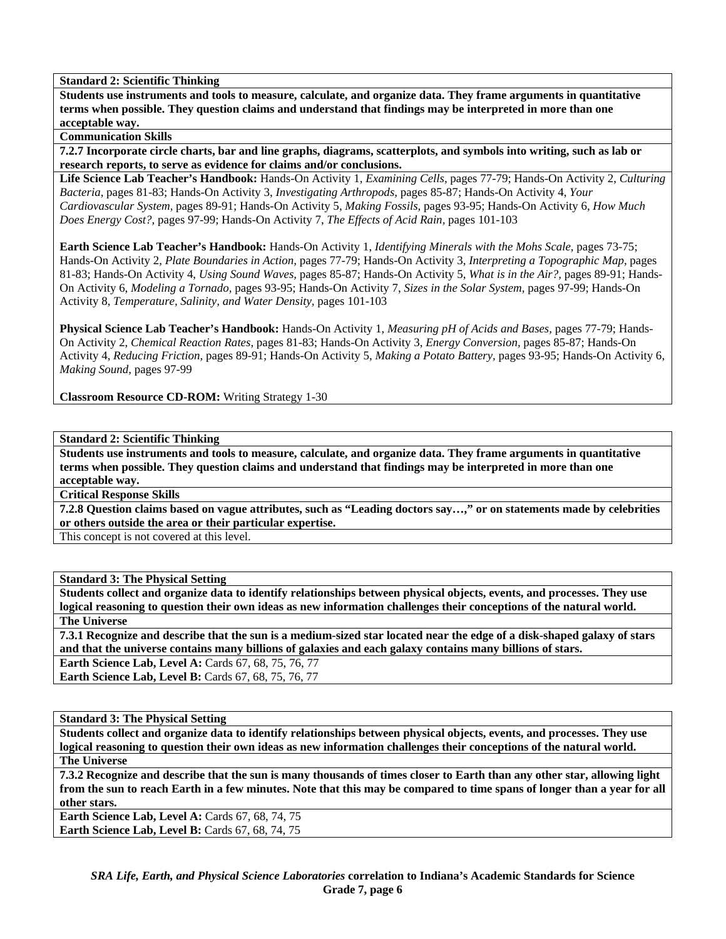**Standard 2: Scientific Thinking** 

**Students use instruments and tools to measure, calculate, and organize data. They frame arguments in quantitative terms when possible. They question claims and understand that findings may be interpreted in more than one acceptable way.** 

**Communication Skills** 

**7.2.7 Incorporate circle charts, bar and line graphs, diagrams, scatterplots, and symbols into writing, such as lab or research reports, to serve as evidence for claims and/or conclusions.** 

**Life Science Lab Teacher's Handbook:** Hands-On Activity 1, *Examining Cells,* pages 77-79; Hands-On Activity 2, *Culturing Bacteria,* pages 81-83; Hands-On Activity 3, *Investigating Arthropods,* pages 85-87; Hands-On Activity 4, *Your Cardiovascular System,* pages 89-91; Hands-On Activity 5, *Making Fossils,* pages 93-95; Hands-On Activity 6, *How Much Does Energy Cost?,* pages 97-99; Hands-On Activity 7, *The Effects of Acid Rain,* pages 101-103

**Earth Science Lab Teacher's Handbook:** Hands-On Activity 1, *Identifying Minerals with the Mohs Scale,* pages 73-75; Hands-On Activity 2, *Plate Boundaries in Action,* pages 77-79; Hands-On Activity 3, *Interpreting a Topographic Map,* pages 81-83; Hands-On Activity 4, *Using Sound Waves,* pages 85-87; Hands-On Activity 5, *What is in the Air?,* pages 89-91; Hands-On Activity 6, *Modeling a Tornado,* pages 93-95; Hands-On Activity 7, *Sizes in the Solar System,* pages 97-99; Hands-On Activity 8, *Temperature, Salinity, and Water Density,* pages 101-103

**Physical Science Lab Teacher's Handbook:** Hands-On Activity 1, *Measuring pH of Acids and Bases,* pages 77-79; Hands-On Activity 2, *Chemical Reaction Rates,* pages 81-83; Hands-On Activity 3, *Energy Conversion,* pages 85-87; Hands-On Activity 4, *Reducing Friction,* pages 89-91; Hands-On Activity 5, *Making a Potato Battery,* pages 93-95; Hands-On Activity 6, *Making Sound,* pages 97-99

**Classroom Resource CD-ROM:** Writing Strategy 1-30

**Standard 2: Scientific Thinking** 

**Students use instruments and tools to measure, calculate, and organize data. They frame arguments in quantitative terms when possible. They question claims and understand that findings may be interpreted in more than one acceptable way.** 

**Critical Response Skills** 

**7.2.8 Question claims based on vague attributes, such as "Leading doctors say…," or on statements made by celebrities or others outside the area or their particular expertise.** 

This concept is not covered at this level.

**Standard 3: The Physical Setting** 

**Students collect and organize data to identify relationships between physical objects, events, and processes. They use logical reasoning to question their own ideas as new information challenges their conceptions of the natural world. The Universe** 

**7.3.1 Recognize and describe that the sun is a medium-sized star located near the edge of a disk-shaped galaxy of stars and that the universe contains many billions of galaxies and each galaxy contains many billions of stars.** 

**Earth Science Lab, Level A: Cards 67, 68, 75, 76, 77 Earth Science Lab, Level B: Cards 67, 68, 75, 76, 77** 

**Standard 3: The Physical Setting** 

**Students collect and organize data to identify relationships between physical objects, events, and processes. They use logical reasoning to question their own ideas as new information challenges their conceptions of the natural world. The Universe** 

**7.3.2 Recognize and describe that the sun is many thousands of times closer to Earth than any other star, allowing light from the sun to reach Earth in a few minutes. Note that this may be compared to time spans of longer than a year for all other stars.** 

**Earth Science Lab, Level A: Cards 67, 68, 74, 75 Earth Science Lab, Level B: Cards 67, 68, 74, 75**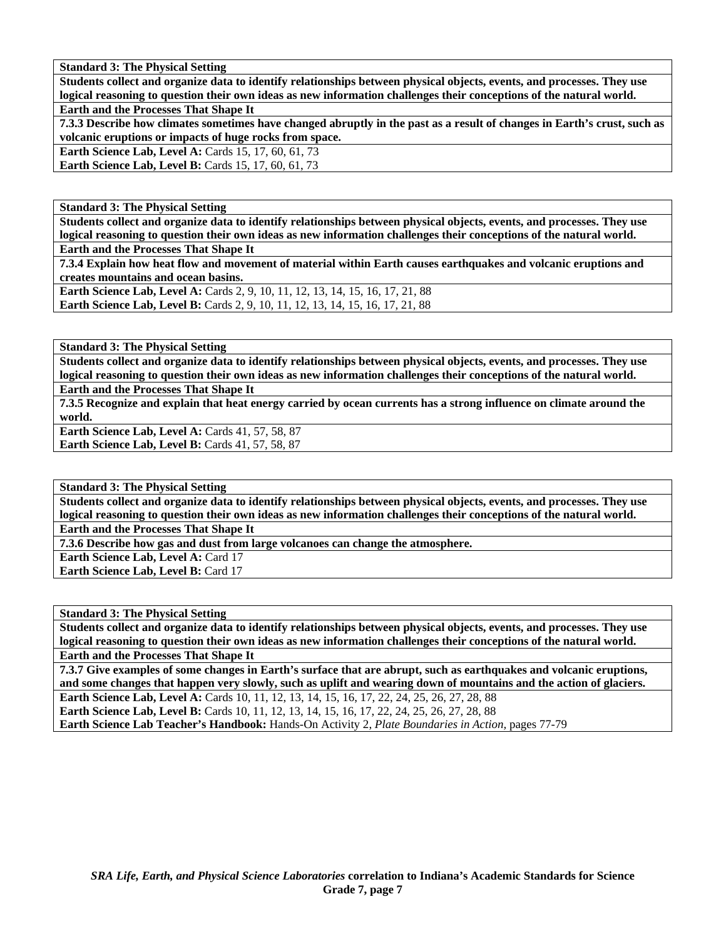**Students collect and organize data to identify relationships between physical objects, events, and processes. They use logical reasoning to question their own ideas as new information challenges their conceptions of the natural world. Earth and the Processes That Shape It** 

**7.3.3 Describe how climates sometimes have changed abruptly in the past as a result of changes in Earth's crust, such as volcanic eruptions or impacts of huge rocks from space.** 

**Earth Science Lab, Level A: Cards 15, 17, 60, 61, 73 Earth Science Lab, Level B: Cards 15, 17, 60, 61, 73** 

**Standard 3: The Physical Setting** 

**Students collect and organize data to identify relationships between physical objects, events, and processes. They use logical reasoning to question their own ideas as new information challenges their conceptions of the natural world.** 

**Earth and the Processes That Shape It** 

**7.3.4 Explain how heat flow and movement of material within Earth causes earthquakes and volcanic eruptions and creates mountains and ocean basins.** 

**Earth Science Lab, Level A: Cards 2, 9, 10, 11, 12, 13, 14, 15, 16, 17, 21, 88 Earth Science Lab, Level B:** Cards 2, 9, 10, 11, 12, 13, 14, 15, 16, 17, 21, 88

**Standard 3: The Physical Setting** 

**Students collect and organize data to identify relationships between physical objects, events, and processes. They use logical reasoning to question their own ideas as new information challenges their conceptions of the natural world.** 

**Earth and the Processes That Shape It** 

**7.3.5 Recognize and explain that heat energy carried by ocean currents has a strong influence on climate around the world.** 

**Earth Science Lab, Level A: Cards 41, 57, 58, 87 Earth Science Lab, Level B: Cards 41, 57, 58, 87** 

**Standard 3: The Physical Setting** 

**Students collect and organize data to identify relationships between physical objects, events, and processes. They use logical reasoning to question their own ideas as new information challenges their conceptions of the natural world.** 

**Earth and the Processes That Shape It** 

**7.3.6 Describe how gas and dust from large volcanoes can change the atmosphere.** 

**Earth Science Lab, Level A: Card 17** 

**Earth Science Lab, Level B: Card 17** 

**Standard 3: The Physical Setting** 

**Students collect and organize data to identify relationships between physical objects, events, and processes. They use logical reasoning to question their own ideas as new information challenges their conceptions of the natural world. Earth and the Processes That Shape It** 

**7.3.7 Give examples of some changes in Earth's surface that are abrupt, such as earthquakes and volcanic eruptions, and some changes that happen very slowly, such as uplift and wearing down of mountains and the action of glaciers.** 

**Earth Science Lab, Level A:** Cards 10, 11, 12, 13, 14, 15, 16, 17, 22, 24, 25, 26, 27, 28, 88 **Earth Science Lab, Level B:** Cards 10, 11, 12, 13, 14, 15, 16, 17, 22, 24, 25, 26, 27, 28, 88

**Earth Science Lab Teacher's Handbook:** Hands-On Activity 2, *Plate Boundaries in Action,* pages 77-79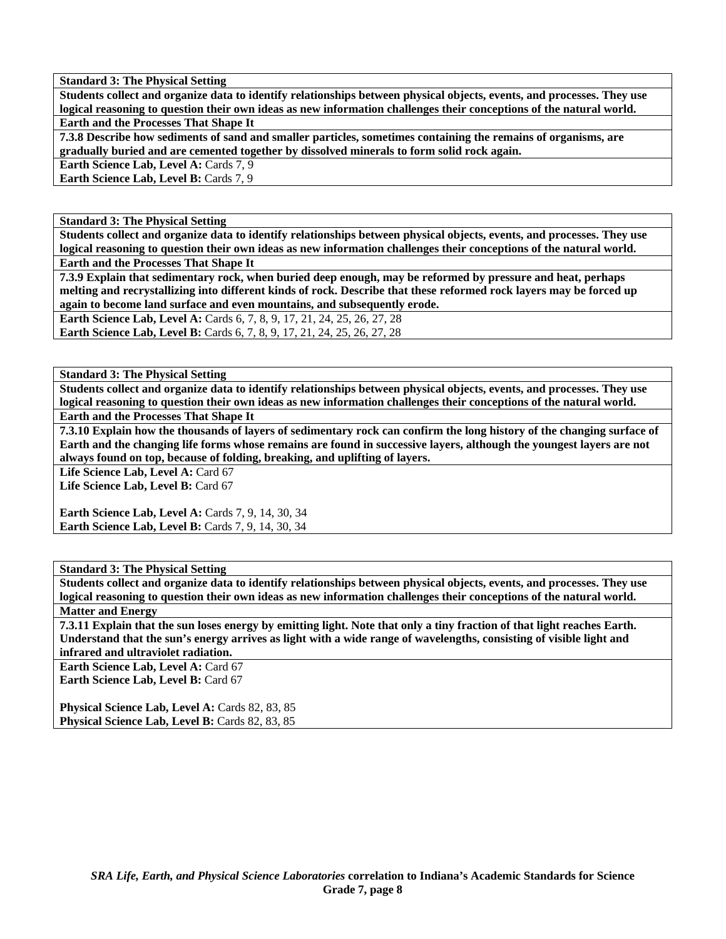**Students collect and organize data to identify relationships between physical objects, events, and processes. They use logical reasoning to question their own ideas as new information challenges their conceptions of the natural world.** 

**Earth and the Processes That Shape It** 

**7.3.8 Describe how sediments of sand and smaller particles, sometimes containing the remains of organisms, are gradually buried and are cemented together by dissolved minerals to form solid rock again.** 

**Earth Science Lab, Level A: Cards 7, 9** 

**Earth Science Lab, Level B: Cards 7, 9** 

**Standard 3: The Physical Setting** 

**Students collect and organize data to identify relationships between physical objects, events, and processes. They use logical reasoning to question their own ideas as new information challenges their conceptions of the natural world. Earth and the Processes That Shape It** 

**7.3.9 Explain that sedimentary rock, when buried deep enough, may be reformed by pressure and heat, perhaps melting and recrystallizing into different kinds of rock. Describe that these reformed rock layers may be forced up again to become land surface and even mountains, and subsequently erode.** 

**Earth Science Lab, Level A:** Cards 6, 7, 8, 9, 17, 21, 24, 25, 26, 27, 28 **Earth Science Lab, Level B:** Cards 6, 7, 8, 9, 17, 21, 24, 25, 26, 27, 28

**Standard 3: The Physical Setting** 

**Students collect and organize data to identify relationships between physical objects, events, and processes. They use logical reasoning to question their own ideas as new information challenges their conceptions of the natural world. Earth and the Processes That Shape It** 

**7.3.10 Explain how the thousands of layers of sedimentary rock can confirm the long history of the changing surface of Earth and the changing life forms whose remains are found in successive layers, although the youngest layers are not always found on top, because of folding, breaking, and uplifting of layers.** 

Life Science Lab, Level A: Card 67

Life Science Lab, Level B: Card 67

**Earth Science Lab, Level A: Cards 7, 9, 14, 30, 34 Earth Science Lab, Level B: Cards 7, 9, 14, 30, 34** 

**Standard 3: The Physical Setting** 

**Students collect and organize data to identify relationships between physical objects, events, and processes. They use logical reasoning to question their own ideas as new information challenges their conceptions of the natural world. Matter and Energy** 

**7.3.11 Explain that the sun loses energy by emitting light. Note that only a tiny fraction of that light reaches Earth. Understand that the sun's energy arrives as light with a wide range of wavelengths, consisting of visible light and infrared and ultraviolet radiation.** 

**Earth Science Lab, Level A: Card 67 Earth Science Lab, Level B: Card 67** 

**Physical Science Lab, Level A: Cards 82, 83, 85** Physical Science Lab, Level B: Cards 82, 83, 85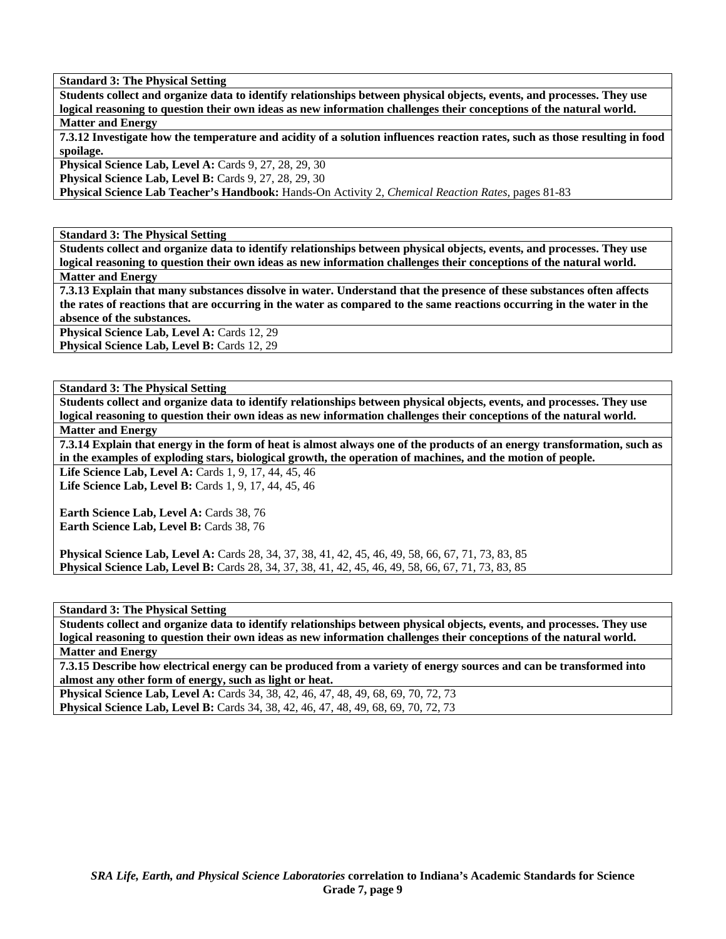**Students collect and organize data to identify relationships between physical objects, events, and processes. They use logical reasoning to question their own ideas as new information challenges their conceptions of the natural world. Matter and Energy** 

**7.3.12 Investigate how the temperature and acidity of a solution influences reaction rates, such as those resulting in food spoilage.** 

**Physical Science Lab, Level A: Cards 9, 27, 28, 29, 30** 

**Physical Science Lab, Level B: Cards 9, 27, 28, 29, 30** 

**Physical Science Lab Teacher's Handbook:** Hands-On Activity 2, *Chemical Reaction Rates,* pages 81-83

**Standard 3: The Physical Setting** 

**Students collect and organize data to identify relationships between physical objects, events, and processes. They use logical reasoning to question their own ideas as new information challenges their conceptions of the natural world. Matter and Energy** 

**7.3.13 Explain that many substances dissolve in water. Understand that the presence of these substances often affects the rates of reactions that are occurring in the water as compared to the same reactions occurring in the water in the absence of the substances.** 

Physical Science Lab, Level A: Cards 12, 29 Physical Science Lab, Level B: Cards 12, 29

**Standard 3: The Physical Setting** 

**Students collect and organize data to identify relationships between physical objects, events, and processes. They use logical reasoning to question their own ideas as new information challenges their conceptions of the natural world.** 

**Matter and Energy** 

**7.3.14 Explain that energy in the form of heat is almost always one of the products of an energy transformation, such as in the examples of exploding stars, biological growth, the operation of machines, and the motion of people.** 

Life Science Lab, Level A: Cards 1, 9, 17, 44, 45, 46

Life Science Lab, Level B: Cards 1, 9, 17, 44, 45, 46

**Earth Science Lab, Level A: Cards 38, 76** Earth Science Lab, Level B: Cards 38, 76

**Physical Science Lab, Level A:** Cards 28, 34, 37, 38, 41, 42, 45, 46, 49, 58, 66, 67, 71, 73, 83, 85 **Physical Science Lab, Level B:** Cards 28, 34, 37, 38, 41, 42, 45, 46, 49, 58, 66, 67, 71, 73, 83, 85

**Standard 3: The Physical Setting** 

**Students collect and organize data to identify relationships between physical objects, events, and processes. They use logical reasoning to question their own ideas as new information challenges their conceptions of the natural world. Matter and Energy** 

**7.3.15 Describe how electrical energy can be produced from a variety of energy sources and can be transformed into almost any other form of energy, such as light or heat.** 

**Physical Science Lab, Level A:** Cards 34, 38, 42, 46, 47, 48, 49, 68, 69, 70, 72, 73 **Physical Science Lab, Level B:** Cards 34, 38, 42, 46, 47, 48, 49, 68, 69, 70, 72, 73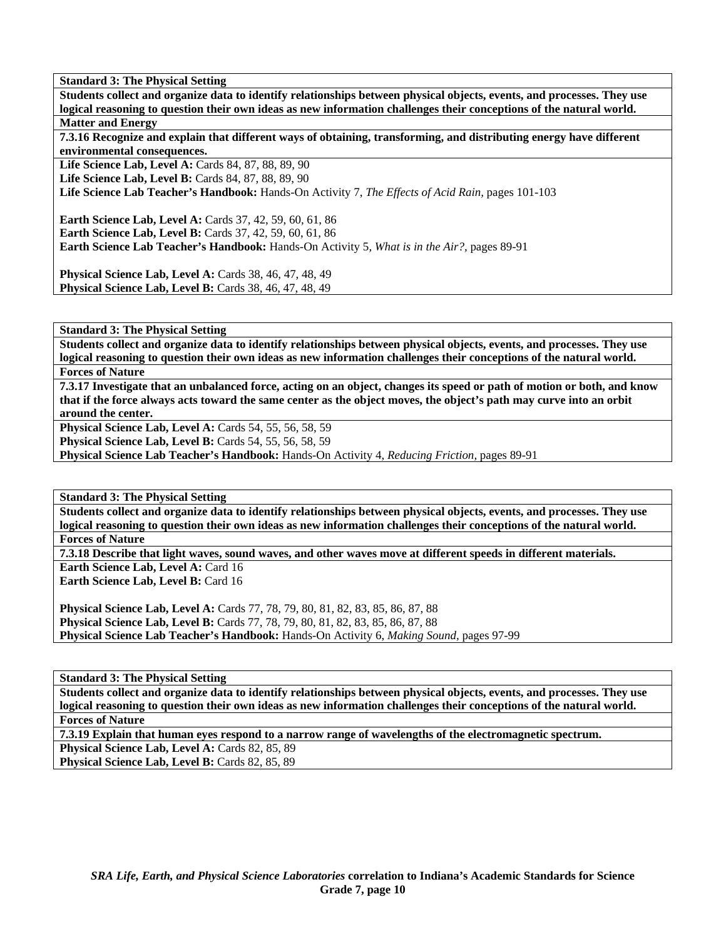**Students collect and organize data to identify relationships between physical objects, events, and processes. They use logical reasoning to question their own ideas as new information challenges their conceptions of the natural world. Matter and Energy** 

**7.3.16 Recognize and explain that different ways of obtaining, transforming, and distributing energy have different environmental consequences.** 

**Life Science Lab, Level A:** Cards 84, 87, 88, 89, 90

**Life Science Lab, Level B:** Cards 84, 87, 88, 89, 90

**Life Science Lab Teacher's Handbook:** Hands-On Activity 7, *The Effects of Acid Rain,* pages 101-103

**Earth Science Lab, Level A: Cards 37, 42, 59, 60, 61, 86 Earth Science Lab, Level B:** Cards 37, 42, 59, 60, 61, 86 **Earth Science Lab Teacher's Handbook:** Hands-On Activity 5, *What is in the Air?,* pages 89-91

**Physical Science Lab, Level A:** Cards 38, 46, 47, 48, 49 **Physical Science Lab, Level B:** Cards 38, 46, 47, 48, 49

**Standard 3: The Physical Setting** 

**Students collect and organize data to identify relationships between physical objects, events, and processes. They use logical reasoning to question their own ideas as new information challenges their conceptions of the natural world.** 

# **Forces of Nature**

**7.3.17 Investigate that an unbalanced force, acting on an object, changes its speed or path of motion or both, and know that if the force always acts toward the same center as the object moves, the object's path may curve into an orbit around the center.** 

**Physical Science Lab, Level A: Cards 54, 55, 56, 58, 59** 

**Physical Science Lab, Level B:** Cards 54, 55, 56, 58, 59

**Physical Science Lab Teacher's Handbook:** Hands-On Activity 4, *Reducing Friction,* pages 89-91

**Standard 3: The Physical Setting** 

**Students collect and organize data to identify relationships between physical objects, events, and processes. They use logical reasoning to question their own ideas as new information challenges their conceptions of the natural world. Forces of Nature** 

**7.3.18 Describe that light waves, sound waves, and other waves move at different speeds in different materials.** 

**Earth Science Lab, Level A: Card 16 Earth Science Lab, Level B: Card 16** 

**Physical Science Lab, Level A:** Cards 77, 78, 79, 80, 81, 82, 83, 85, 86, 87, 88 **Physical Science Lab, Level B:** Cards 77, 78, 79, 80, 81, 82, 83, 85, 86, 87, 88 **Physical Science Lab Teacher's Handbook:** Hands-On Activity 6, *Making Sound,* pages 97-99

**Standard 3: The Physical Setting** 

**Students collect and organize data to identify relationships between physical objects, events, and processes. They use logical reasoning to question their own ideas as new information challenges their conceptions of the natural world. Forces of Nature** 

**7.3.19 Explain that human eyes respond to a narrow range of wavelengths of the electromagnetic spectrum.** 

**Physical Science Lab, Level A: Cards 82, 85, 89** 

Physical Science Lab, Level B: Cards 82, 85, 89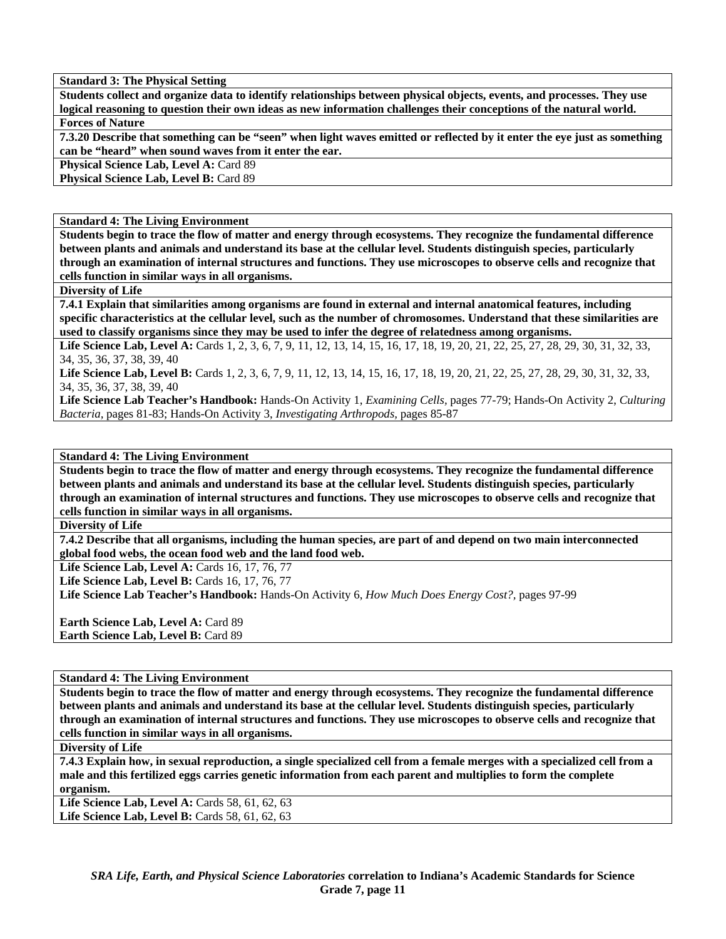**Students collect and organize data to identify relationships between physical objects, events, and processes. They use logical reasoning to question their own ideas as new information challenges their conceptions of the natural world. Forces of Nature** 

**7.3.20 Describe that something can be "seen" when light waves emitted or reflected by it enter the eye just as something can be "heard" when sound waves from it enter the ear.** 

**Physical Science Lab, Level A: Card 89** 

Physical Science Lab, Level B: Card 89

**Standard 4: The Living Environment** 

**Students begin to trace the flow of matter and energy through ecosystems. They recognize the fundamental difference between plants and animals and understand its base at the cellular level. Students distinguish species, particularly through an examination of internal structures and functions. They use microscopes to observe cells and recognize that cells function in similar ways in all organisms.** 

**Diversity of Life** 

**7.4.1 Explain that similarities among organisms are found in external and internal anatomical features, including specific characteristics at the cellular level, such as the number of chromosomes. Understand that these similarities are used to classify organisms since they may be used to infer the degree of relatedness among organisms.** 

Life Science Lab, Level A: Cards 1, 2, 3, 6, 7, 9, 11, 12, 13, 14, 15, 16, 17, 18, 19, 20, 21, 22, 25, 27, 28, 29, 30, 31, 32, 33, 34, 35, 36, 37, 38, 39, 40

Life Science Lab, Level B: Cards 1, 2, 3, 6, 7, 9, 11, 12, 13, 14, 15, 16, 17, 18, 19, 20, 21, 22, 25, 27, 28, 29, 30, 31, 32, 33, 34, 35, 36, 37, 38, 39, 40

**Life Science Lab Teacher's Handbook:** Hands-On Activity 1, *Examining Cells,* pages 77-79; Hands-On Activity 2, *Culturing Bacteria,* pages 81-83; Hands-On Activity 3, *Investigating Arthropods,* pages 85-87

**Standard 4: The Living Environment** 

**Students begin to trace the flow of matter and energy through ecosystems. They recognize the fundamental difference between plants and animals and understand its base at the cellular level. Students distinguish species, particularly through an examination of internal structures and functions. They use microscopes to observe cells and recognize that cells function in similar ways in all organisms.** 

**Diversity of Life** 

**7.4.2 Describe that all organisms, including the human species, are part of and depend on two main interconnected global food webs, the ocean food web and the land food web.** 

Life Science Lab, Level A: Cards 16, 17, 76, 77

Life Science Lab, Level B: Cards 16, 17, 76, 77

**Life Science Lab Teacher's Handbook:** Hands-On Activity 6, *How Much Does Energy Cost?,* pages 97-99

**Earth Science Lab, Level A: Card 89 Earth Science Lab, Level B: Card 89** 

**Standard 4: The Living Environment** 

**Students begin to trace the flow of matter and energy through ecosystems. They recognize the fundamental difference between plants and animals and understand its base at the cellular level. Students distinguish species, particularly through an examination of internal structures and functions. They use microscopes to observe cells and recognize that cells function in similar ways in all organisms.** 

**Diversity of Life** 

**7.4.3 Explain how, in sexual reproduction, a single specialized cell from a female merges with a specialized cell from a male and this fertilized eggs carries genetic information from each parent and multiplies to form the complete organism.** 

Life Science Lab, Level A: Cards 58, 61, 62, 63 **Life Science Lab, Level B:** Cards 58, 61, 62, 63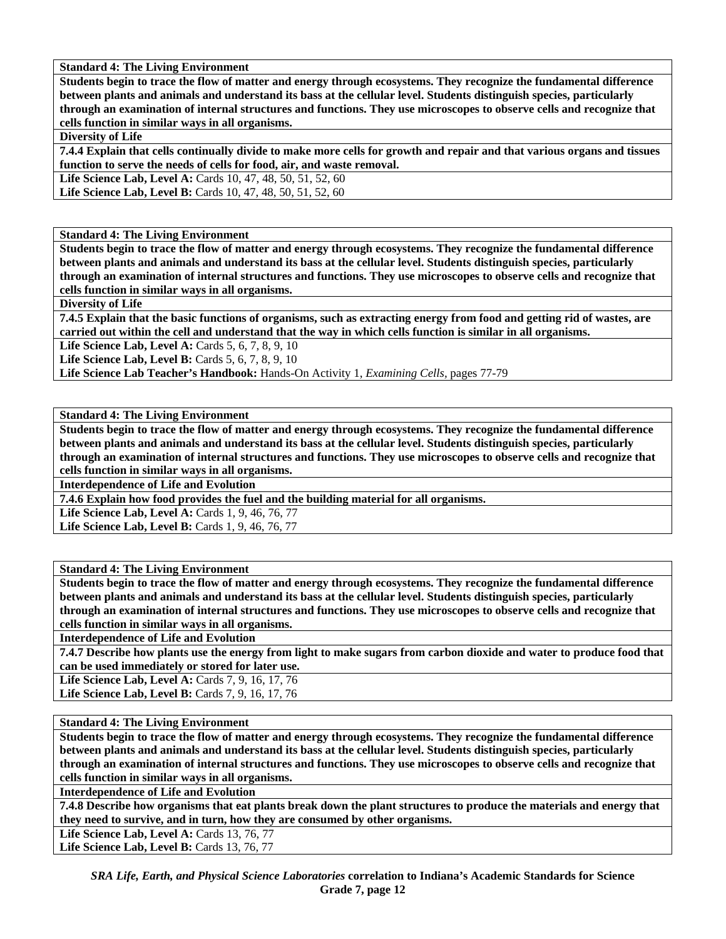**Students begin to trace the flow of matter and energy through ecosystems. They recognize the fundamental difference between plants and animals and understand its bass at the cellular level. Students distinguish species, particularly through an examination of internal structures and functions. They use microscopes to observe cells and recognize that cells function in similar ways in all organisms.** 

# **Diversity of Life**

**7.4.4 Explain that cells continually divide to make more cells for growth and repair and that various organs and tissues function to serve the needs of cells for food, air, and waste removal.** 

**Life Science Lab, Level A:** Cards 10, 47, 48, 50, 51, 52, 60

Life Science Lab, Level B: Cards 10, 47, 48, 50, 51, 52, 60

**Standard 4: The Living Environment** 

**Students begin to trace the flow of matter and energy through ecosystems. They recognize the fundamental difference between plants and animals and understand its bass at the cellular level. Students distinguish species, particularly through an examination of internal structures and functions. They use microscopes to observe cells and recognize that cells function in similar ways in all organisms.** 

**Diversity of Life** 

**7.4.5 Explain that the basic functions of organisms, such as extracting energy from food and getting rid of wastes, are carried out within the cell and understand that the way in which cells function is similar in all organisms.** 

**Life Science Lab, Level A: Cards 5, 6, 7, 8, 9, 10** 

**Life Science Lab, Level B:** Cards 5, 6, 7, 8, 9, 10

**Life Science Lab Teacher's Handbook:** Hands-On Activity 1, *Examining Cells,* pages 77-79

**Standard 4: The Living Environment** 

**Students begin to trace the flow of matter and energy through ecosystems. They recognize the fundamental difference between plants and animals and understand its bass at the cellular level. Students distinguish species, particularly through an examination of internal structures and functions. They use microscopes to observe cells and recognize that cells function in similar ways in all organisms.** 

**Interdependence of Life and Evolution** 

**7.4.6 Explain how food provides the fuel and the building material for all organisms.** 

**Life Science Lab, Level A: Cards 1, 9, 46, 76, 77** 

**Life Science Lab, Level B:** Cards 1, 9, 46, 76, 77

**Standard 4: The Living Environment** 

**Students begin to trace the flow of matter and energy through ecosystems. They recognize the fundamental difference between plants and animals and understand its bass at the cellular level. Students distinguish species, particularly through an examination of internal structures and functions. They use microscopes to observe cells and recognize that cells function in similar ways in all organisms.** 

**Interdependence of Life and Evolution** 

**7.4.7 Describe how plants use the energy from light to make sugars from carbon dioxide and water to produce food that can be used immediately or stored for later use.** 

**Life Science Lab, Level A: Cards 7, 9, 16, 17, 76 Life Science Lab, Level B: Cards 7, 9, 16, 17, 76** 

**Standard 4: The Living Environment** 

**Students begin to trace the flow of matter and energy through ecosystems. They recognize the fundamental difference between plants and animals and understand its bass at the cellular level. Students distinguish species, particularly through an examination of internal structures and functions. They use microscopes to observe cells and recognize that cells function in similar ways in all organisms.** 

**Interdependence of Life and Evolution** 

**7.4.8 Describe how organisms that eat plants break down the plant structures to produce the materials and energy that they need to survive, and in turn, how they are consumed by other organisms.** 

Life Science Lab, Level A: Cards 13, 76, 77

Life Science Lab, Level B: Cards 13, 76, 77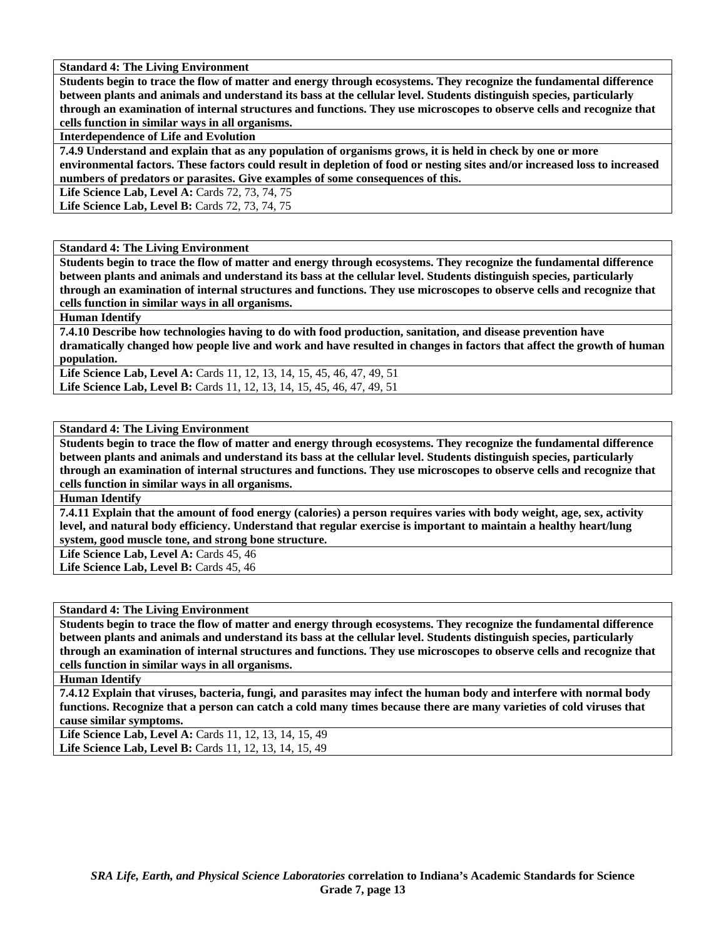**Students begin to trace the flow of matter and energy through ecosystems. They recognize the fundamental difference between plants and animals and understand its bass at the cellular level. Students distinguish species, particularly through an examination of internal structures and functions. They use microscopes to observe cells and recognize that cells function in similar ways in all organisms.** 

**Interdependence of Life and Evolution** 

**7.4.9 Understand and explain that as any population of organisms grows, it is held in check by one or more environmental factors. These factors could result in depletion of food or nesting sites and/or increased loss to increased numbers of predators or parasites. Give examples of some consequences of this.** 

Life Science Lab, Level A: Cards 72, 73, 74, 75

Life Science Lab, Level B: Cards 72, 73, 74, 75

### **Standard 4: The Living Environment**

**Students begin to trace the flow of matter and energy through ecosystems. They recognize the fundamental difference between plants and animals and understand its bass at the cellular level. Students distinguish species, particularly through an examination of internal structures and functions. They use microscopes to observe cells and recognize that cells function in similar ways in all organisms.** 

**Human Identify** 

**7.4.10 Describe how technologies having to do with food production, sanitation, and disease prevention have dramatically changed how people live and work and have resulted in changes in factors that affect the growth of human population.** 

Life Science Lab, Level A: Cards 11, 12, 13, 14, 15, 45, 46, 47, 49, 51 Life Science Lab, Level B: Cards 11, 12, 13, 14, 15, 45, 46, 47, 49, 51

#### **Standard 4: The Living Environment**

**Students begin to trace the flow of matter and energy through ecosystems. They recognize the fundamental difference between plants and animals and understand its bass at the cellular level. Students distinguish species, particularly through an examination of internal structures and functions. They use microscopes to observe cells and recognize that cells function in similar ways in all organisms.** 

**Human Identify** 

**7.4.11 Explain that the amount of food energy (calories) a person requires varies with body weight, age, sex, activity level, and natural body efficiency. Understand that regular exercise is important to maintain a healthy heart/lung system, good muscle tone, and strong bone structure.** 

Life Science Lab, Level A: Cards 45, 46

Life Science Lab, Level B: Cards 45, 46

#### **Standard 4: The Living Environment**

**Students begin to trace the flow of matter and energy through ecosystems. They recognize the fundamental difference between plants and animals and understand its bass at the cellular level. Students distinguish species, particularly through an examination of internal structures and functions. They use microscopes to observe cells and recognize that cells function in similar ways in all organisms.** 

**Human Identify** 

**7.4.12 Explain that viruses, bacteria, fungi, and parasites may infect the human body and interfere with normal body functions. Recognize that a person can catch a cold many times because there are many varieties of cold viruses that cause similar symptoms.** 

**Life Science Lab, Level A:** Cards 11, 12, 13, 14, 15, 49 **Life Science Lab, Level B:** Cards 11, 12, 13, 14, 15, 49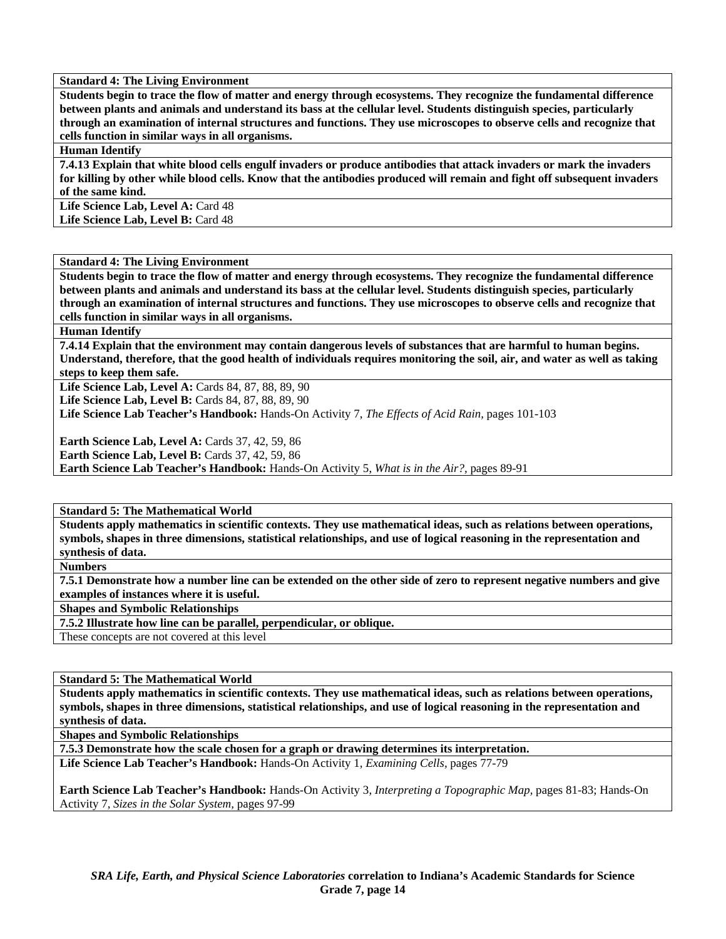**Students begin to trace the flow of matter and energy through ecosystems. They recognize the fundamental difference between plants and animals and understand its bass at the cellular level. Students distinguish species, particularly through an examination of internal structures and functions. They use microscopes to observe cells and recognize that cells function in similar ways in all organisms.** 

**Human Identify** 

**7.4.13 Explain that white blood cells engulf invaders or produce antibodies that attack invaders or mark the invaders for killing by other while blood cells. Know that the antibodies produced will remain and fight off subsequent invaders of the same kind.** 

Life Science Lab, Level A: Card 48 Life Science Lab, Level B: Card 48

**Standard 4: The Living Environment** 

**Students begin to trace the flow of matter and energy through ecosystems. They recognize the fundamental difference between plants and animals and understand its bass at the cellular level. Students distinguish species, particularly through an examination of internal structures and functions. They use microscopes to observe cells and recognize that cells function in similar ways in all organisms.** 

**Human Identify** 

**7.4.14 Explain that the environment may contain dangerous levels of substances that are harmful to human begins. Understand, therefore, that the good health of individuals requires monitoring the soil, air, and water as well as taking steps to keep them safe.** 

Life Science Lab, Level A: Cards 84, 87, 88, 89, 90

**Life Science Lab, Level B: Cards 84, 87, 88, 89, 90** 

**Life Science Lab Teacher's Handbook:** Hands-On Activity 7, *The Effects of Acid Rain,* pages 101-103

**Earth Science Lab, Level A: Cards 37, 42, 59, 86 Earth Science Lab, Level B: Cards 37, 42, 59, 86 Earth Science Lab Teacher's Handbook:** Hands-On Activity 5, *What is in the Air?,* pages 89-91

**Standard 5: The Mathematical World** 

**Students apply mathematics in scientific contexts. They use mathematical ideas, such as relations between operations, symbols, shapes in three dimensions, statistical relationships, and use of logical reasoning in the representation and synthesis of data.** 

**Numbers** 

**7.5.1 Demonstrate how a number line can be extended on the other side of zero to represent negative numbers and give examples of instances where it is useful.** 

**Shapes and Symbolic Relationships** 

**7.5.2 Illustrate how line can be parallel, perpendicular, or oblique.** 

These concepts are not covered at this level

**Standard 5: The Mathematical World** 

**Students apply mathematics in scientific contexts. They use mathematical ideas, such as relations between operations, symbols, shapes in three dimensions, statistical relationships, and use of logical reasoning in the representation and synthesis of data.** 

**Shapes and Symbolic Relationships** 

**7.5.3 Demonstrate how the scale chosen for a graph or drawing determines its interpretation.** 

**Life Science Lab Teacher's Handbook:** Hands-On Activity 1, *Examining Cells,* pages 77-79

**Earth Science Lab Teacher's Handbook:** Hands-On Activity 3, *Interpreting a Topographic Map,* pages 81-83; Hands-On Activity 7, *Sizes in the Solar System,* pages 97-99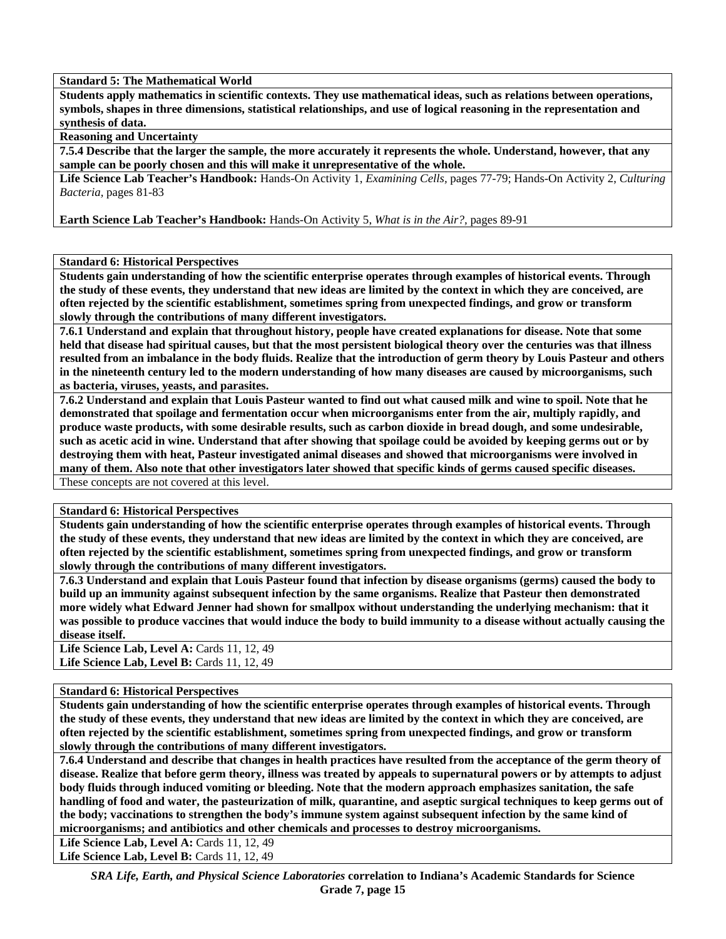#### **Standard 5: The Mathematical World**

**Students apply mathematics in scientific contexts. They use mathematical ideas, such as relations between operations, symbols, shapes in three dimensions, statistical relationships, and use of logical reasoning in the representation and synthesis of data.** 

**Reasoning and Uncertainty** 

**7.5.4 Describe that the larger the sample, the more accurately it represents the whole. Understand, however, that any sample can be poorly chosen and this will make it unrepresentative of the whole.** 

**Life Science Lab Teacher's Handbook:** Hands-On Activity 1, *Examining Cells,* pages 77-79; Hands-On Activity 2, *Culturing Bacteria,* pages 81-83

**Earth Science Lab Teacher's Handbook:** Hands-On Activity 5, *What is in the Air?,* pages 89-91

#### **Standard 6: Historical Perspectives**

**Students gain understanding of how the scientific enterprise operates through examples of historical events. Through the study of these events, they understand that new ideas are limited by the context in which they are conceived, are often rejected by the scientific establishment, sometimes spring from unexpected findings, and grow or transform slowly through the contributions of many different investigators.** 

**7.6.1 Understand and explain that throughout history, people have created explanations for disease. Note that some held that disease had spiritual causes, but that the most persistent biological theory over the centuries was that illness resulted from an imbalance in the body fluids. Realize that the introduction of germ theory by Louis Pasteur and others in the nineteenth century led to the modern understanding of how many diseases are caused by microorganisms, such as bacteria, viruses, yeasts, and parasites.** 

**7.6.2 Understand and explain that Louis Pasteur wanted to find out what caused milk and wine to spoil. Note that he demonstrated that spoilage and fermentation occur when microorganisms enter from the air, multiply rapidly, and produce waste products, with some desirable results, such as carbon dioxide in bread dough, and some undesirable, such as acetic acid in wine. Understand that after showing that spoilage could be avoided by keeping germs out or by destroying them with heat, Pasteur investigated animal diseases and showed that microorganisms were involved in many of them. Also note that other investigators later showed that specific kinds of germs caused specific diseases.**  These concepts are not covered at this level.

#### **Standard 6: Historical Perspectives**

**Students gain understanding of how the scientific enterprise operates through examples of historical events. Through the study of these events, they understand that new ideas are limited by the context in which they are conceived, are often rejected by the scientific establishment, sometimes spring from unexpected findings, and grow or transform slowly through the contributions of many different investigators.** 

**7.6.3 Understand and explain that Louis Pasteur found that infection by disease organisms (germs) caused the body to build up an immunity against subsequent infection by the same organisms. Realize that Pasteur then demonstrated more widely what Edward Jenner had shown for smallpox without understanding the underlying mechanism: that it was possible to produce vaccines that would induce the body to build immunity to a disease without actually causing the disease itself.** 

**Life Science Lab, Level A: Cards 11, 12, 49 Life Science Lab, Level B: Cards 11, 12, 49** 

#### **Standard 6: Historical Perspectives**

**Students gain understanding of how the scientific enterprise operates through examples of historical events. Through the study of these events, they understand that new ideas are limited by the context in which they are conceived, are often rejected by the scientific establishment, sometimes spring from unexpected findings, and grow or transform slowly through the contributions of many different investigators.** 

**7.6.4 Understand and describe that changes in health practices have resulted from the acceptance of the germ theory of disease. Realize that before germ theory, illness was treated by appeals to supernatural powers or by attempts to adjust body fluids through induced vomiting or bleeding. Note that the modern approach emphasizes sanitation, the safe handling of food and water, the pasteurization of milk, quarantine, and aseptic surgical techniques to keep germs out of the body; vaccinations to strengthen the body's immune system against subsequent infection by the same kind of microorganisms; and antibiotics and other chemicals and processes to destroy microorganisms.** 

Life Science Lab, Level A: Cards 11, 12, 49 **Life Science Lab, Level B: Cards 11, 12, 49** 

> *SRA Life, Earth, and Physical Science Laboratories* **correlation to Indiana's Academic Standards for Science Grade 7, page 15**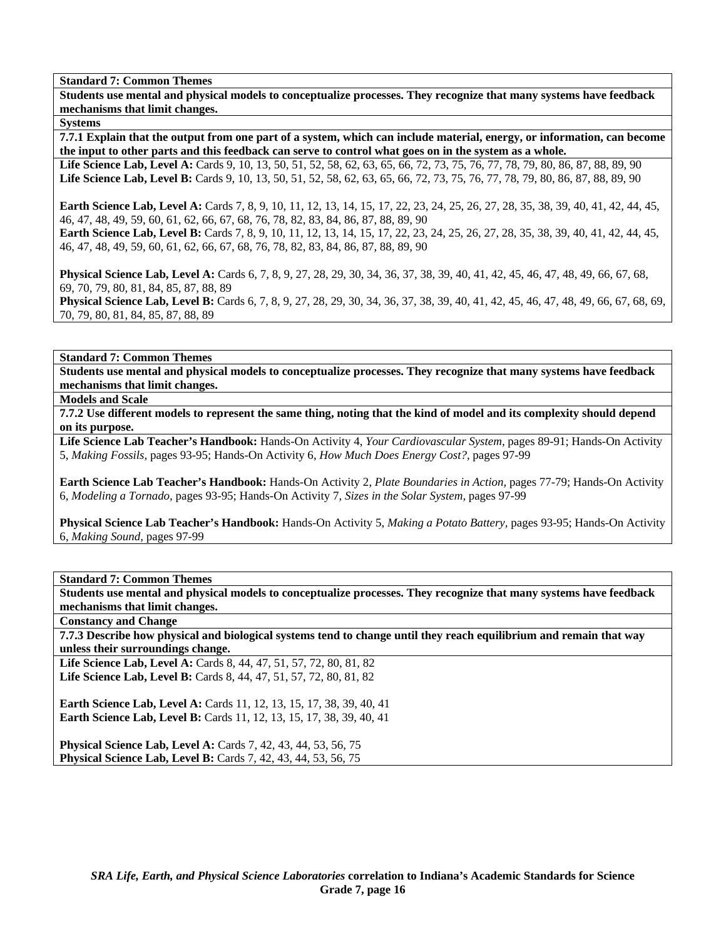**Students use mental and physical models to conceptualize processes. They recognize that many systems have feedback mechanisms that limit changes.** 

**Systems** 

**7.7.1 Explain that the output from one part of a system, which can include material, energy, or information, can become the input to other parts and this feedback can serve to control what goes on in the system as a whole.** 

Life Science Lab, Level A: Cards 9, 10, 13, 50, 51, 52, 58, 62, 63, 65, 66, 72, 73, 75, 76, 77, 78, 79, 80, 86, 87, 88, 89, 90 **Life Science Lab, Level B:** Cards 9, 10, 13, 50, 51, 52, 58, 62, 63, 65, 66, 72, 73, 75, 76, 77, 78, 79, 80, 86, 87, 88, 89, 90

**Earth Science Lab, Level A:** Cards 7, 8, 9, 10, 11, 12, 13, 14, 15, 17, 22, 23, 24, 25, 26, 27, 28, 35, 38, 39, 40, 41, 42, 44, 45, 46, 47, 48, 49, 59, 60, 61, 62, 66, 67, 68, 76, 78, 82, 83, 84, 86, 87, 88, 89, 90 Earth Science Lab, Level B: Cards 7, 8, 9, 10, 11, 12, 13, 14, 15, 17, 22, 23, 24, 25, 26, 27, 28, 35, 38, 39, 40, 41, 42, 44, 45,

**Physical Science Lab, Level A:** Cards 6, 7, 8, 9, 27, 28, 29, 30, 34, 36, 37, 38, 39, 40, 41, 42, 45, 46, 47, 48, 49, 66, 67, 68, 69, 70, 79, 80, 81, 84, 85, 87, 88, 89 **Physical Science Lab, Level B:** Cards 6, 7, 8, 9, 27, 28, 29, 30, 34, 36, 37, 38, 39, 40, 41, 42, 45, 46, 47, 48, 49, 66, 67, 68, 69,

70, 79, 80, 81, 84, 85, 87, 88, 89

46, 47, 48, 49, 59, 60, 61, 62, 66, 67, 68, 76, 78, 82, 83, 84, 86, 87, 88, 89, 90

**Standard 7: Common Themes** 

**Students use mental and physical models to conceptualize processes. They recognize that many systems have feedback mechanisms that limit changes.** 

**Models and Scale** 

**7.7.2 Use different models to represent the same thing, noting that the kind of model and its complexity should depend on its purpose.** 

**Life Science Lab Teacher's Handbook:** Hands-On Activity 4, *Your Cardiovascular System,* pages 89-91; Hands-On Activity 5, *Making Fossils,* pages 93-95; Hands-On Activity 6, *How Much Does Energy Cost?,* pages 97-99

**Earth Science Lab Teacher's Handbook:** Hands-On Activity 2, *Plate Boundaries in Action,* pages 77-79; Hands-On Activity 6, *Modeling a Tornado,* pages 93-95; Hands-On Activity 7, *Sizes in the Solar System,* pages 97-99

**Physical Science Lab Teacher's Handbook:** Hands-On Activity 5, *Making a Potato Battery,* pages 93-95; Hands-On Activity 6, *Making Sound,* pages 97-99

# **Standard 7: Common Themes**

**Students use mental and physical models to conceptualize processes. They recognize that many systems have feedback mechanisms that limit changes.** 

**Constancy and Change** 

**7.7.3 Describe how physical and biological systems tend to change until they reach equilibrium and remain that way unless their surroundings change.** 

Life Science Lab, Level A: Cards 8, 44, 47, 51, 57, 72, 80, 81, 82 **Life Science Lab, Level B:** Cards 8, 44, 47, 51, 57, 72, 80, 81, 82

**Earth Science Lab, Level A: Cards 11, 12, 13, 15, 17, 38, 39, 40, 41 Earth Science Lab, Level B:** Cards 11, 12, 13, 15, 17, 38, 39, 40, 41

**Physical Science Lab, Level A: Cards 7, 42, 43, 44, 53, 56, 75 Physical Science Lab, Level B:** Cards 7, 42, 43, 44, 53, 56, 75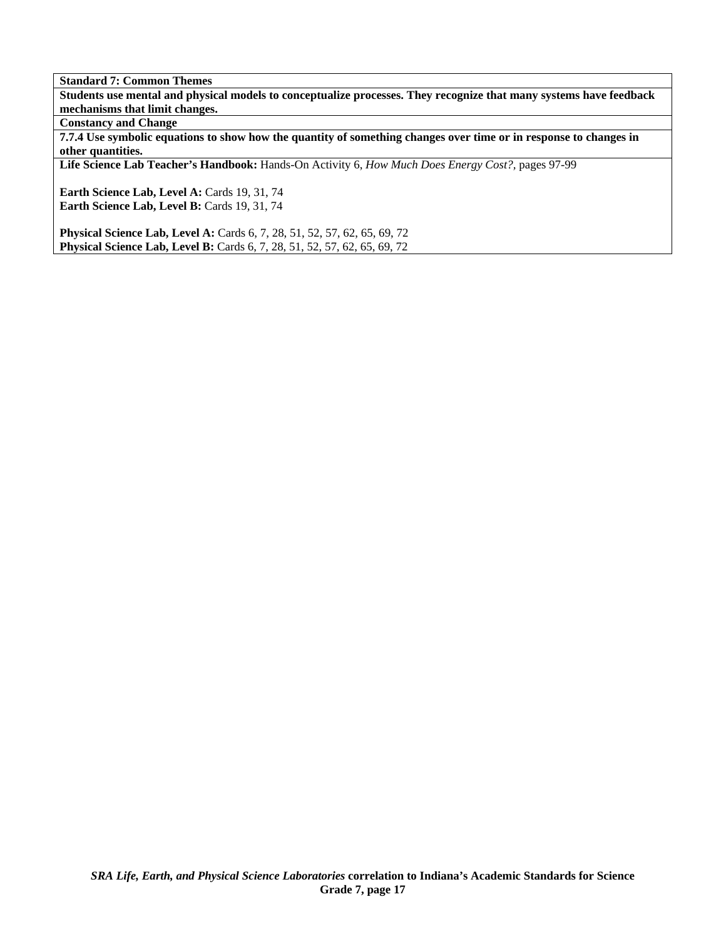**Students use mental and physical models to conceptualize processes. They recognize that many systems have feedback mechanisms that limit changes.** 

**Constancy and Change** 

**7.7.4 Use symbolic equations to show how the quantity of something changes over time or in response to changes in other quantities.** 

**Life Science Lab Teacher's Handbook:** Hands-On Activity 6, *How Much Does Energy Cost?,* pages 97-99

Earth Science Lab, Level A: Cards 19, 31, 74 Earth Science Lab, Level B: Cards 19, 31, 74

**Physical Science Lab, Level A: Cards 6, 7, 28, 51, 52, 57, 62, 65, 69, 72 Physical Science Lab, Level B:** Cards 6, 7, 28, 51, 52, 57, 62, 65, 69, 72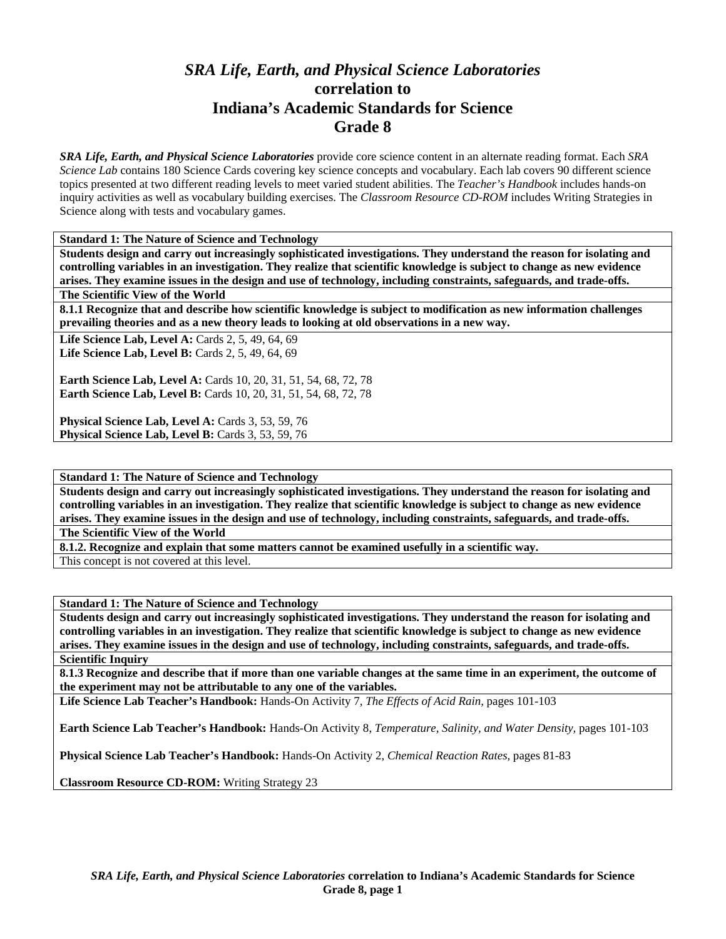# *SRA Life, Earth, and Physical Science Laboratories*  **correlation to Indiana's Academic Standards for Science Grade 8**

*SRA Life, Earth, and Physical Science Laboratories* provide core science content in an alternate reading format. Each *SRA Science Lab* contains 180 Science Cards covering key science concepts and vocabulary. Each lab covers 90 different science topics presented at two different reading levels to meet varied student abilities. The *Teacher's Handbook* includes hands-on inquiry activities as well as vocabulary building exercises. The *Classroom Resource CD-ROM* includes Writing Strategies in Science along with tests and vocabulary games.

**Standard 1: The Nature of Science and Technology** 

**Students design and carry out increasingly sophisticated investigations. They understand the reason for isolating and controlling variables in an investigation. They realize that scientific knowledge is subject to change as new evidence arises. They examine issues in the design and use of technology, including constraints, safeguards, and trade-offs.** 

**The Scientific View of the World** 

**8.1.1 Recognize that and describe how scientific knowledge is subject to modification as new information challenges prevailing theories and as a new theory leads to looking at old observations in a new way.** 

Life Science Lab, Level A: Cards 2, 5, 49, 64, 69 **Life Science Lab, Level B: Cards 2, 5, 49, 64, 69** 

**Earth Science Lab, Level A:** Cards 10, 20, 31, 51, 54, 68, 72, 78 **Earth Science Lab, Level B:** Cards 10, 20, 31, 51, 54, 68, 72, 78

**Physical Science Lab, Level A: Cards 3, 53, 59, 76 Physical Science Lab, Level B: Cards 3, 53, 59, 76** 

**Standard 1: The Nature of Science and Technology** 

**Students design and carry out increasingly sophisticated investigations. They understand the reason for isolating and controlling variables in an investigation. They realize that scientific knowledge is subject to change as new evidence arises. They examine issues in the design and use of technology, including constraints, safeguards, and trade-offs.** 

**The Scientific View of the World** 

**8.1.2. Recognize and explain that some matters cannot be examined usefully in a scientific way.** 

This concept is not covered at this level.

**Standard 1: The Nature of Science and Technology** 

**Students design and carry out increasingly sophisticated investigations. They understand the reason for isolating and controlling variables in an investigation. They realize that scientific knowledge is subject to change as new evidence arises. They examine issues in the design and use of technology, including constraints, safeguards, and trade-offs. Scientific Inquiry** 

**8.1.3 Recognize and describe that if more than one variable changes at the same time in an experiment, the outcome of the experiment may not be attributable to any one of the variables.** 

**Life Science Lab Teacher's Handbook:** Hands-On Activity 7, *The Effects of Acid Rain,* pages 101-103

**Earth Science Lab Teacher's Handbook:** Hands-On Activity 8, *Temperature, Salinity, and Water Density,* pages 101-103

**Physical Science Lab Teacher's Handbook:** Hands-On Activity 2, *Chemical Reaction Rates,* pages 81-83

**Classroom Resource CD-ROM:** Writing Strategy 23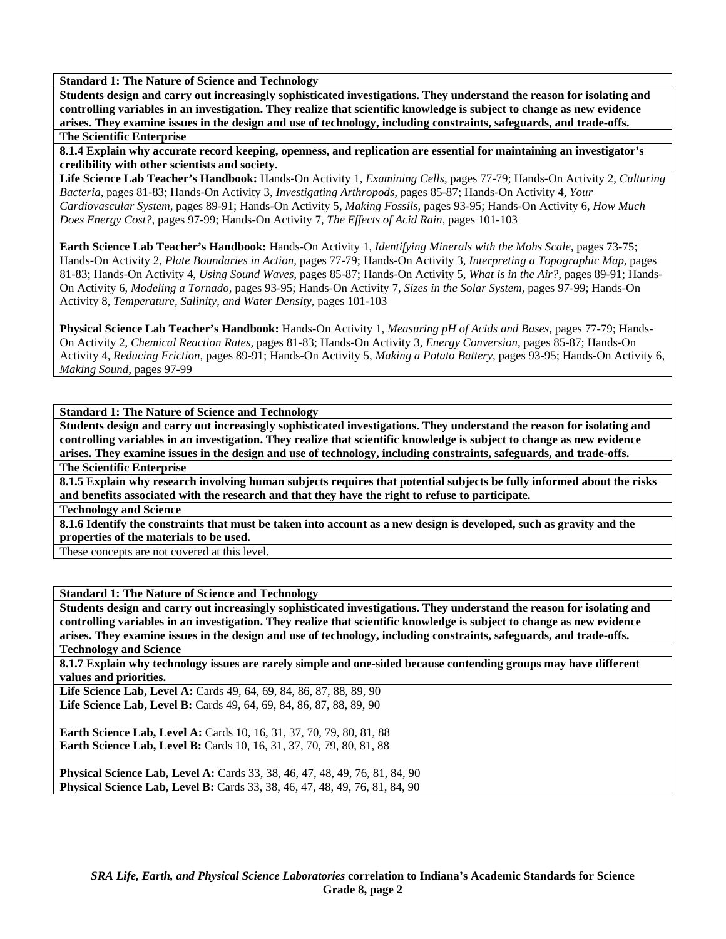**Students design and carry out increasingly sophisticated investigations. They understand the reason for isolating and controlling variables in an investigation. They realize that scientific knowledge is subject to change as new evidence arises. They examine issues in the design and use of technology, including constraints, safeguards, and trade-offs.** 

# **The Scientific Enterprise**

**8.1.4 Explain why accurate record keeping, openness, and replication are essential for maintaining an investigator's credibility with other scientists and society.** 

**Life Science Lab Teacher's Handbook:** Hands-On Activity 1, *Examining Cells,* pages 77-79; Hands-On Activity 2, *Culturing Bacteria,* pages 81-83; Hands-On Activity 3, *Investigating Arthropods,* pages 85-87; Hands-On Activity 4, *Your Cardiovascular System,* pages 89-91; Hands-On Activity 5, *Making Fossils,* pages 93-95; Hands-On Activity 6, *How Much Does Energy Cost?,* pages 97-99; Hands-On Activity 7, *The Effects of Acid Rain,* pages 101-103

**Earth Science Lab Teacher's Handbook:** Hands-On Activity 1, *Identifying Minerals with the Mohs Scale,* pages 73-75; Hands-On Activity 2, *Plate Boundaries in Action,* pages 77-79; Hands-On Activity 3, *Interpreting a Topographic Map,* pages 81-83; Hands-On Activity 4, *Using Sound Waves,* pages 85-87; Hands-On Activity 5, *What is in the Air?,* pages 89-91; Hands-On Activity 6, *Modeling a Tornado,* pages 93-95; Hands-On Activity 7, *Sizes in the Solar System,* pages 97-99; Hands-On Activity 8, *Temperature, Salinity, and Water Density,* pages 101-103

**Physical Science Lab Teacher's Handbook:** Hands-On Activity 1, *Measuring pH of Acids and Bases,* pages 77-79; Hands-On Activity 2, *Chemical Reaction Rates,* pages 81-83; Hands-On Activity 3, *Energy Conversion,* pages 85-87; Hands-On Activity 4, *Reducing Friction,* pages 89-91; Hands-On Activity 5, *Making a Potato Battery,* pages 93-95; Hands-On Activity 6, *Making Sound,* pages 97-99

# **Standard 1: The Nature of Science and Technology**

**Students design and carry out increasingly sophisticated investigations. They understand the reason for isolating and controlling variables in an investigation. They realize that scientific knowledge is subject to change as new evidence arises. They examine issues in the design and use of technology, including constraints, safeguards, and trade-offs.** 

**The Scientific Enterprise** 

**8.1.5 Explain why research involving human subjects requires that potential subjects be fully informed about the risks and benefits associated with the research and that they have the right to refuse to participate.** 

#### **Technology and Science**

**8.1.6 Identify the constraints that must be taken into account as a new design is developed, such as gravity and the properties of the materials to be used.** 

These concepts are not covered at this level.

# **Standard 1: The Nature of Science and Technology**

**Students design and carry out increasingly sophisticated investigations. They understand the reason for isolating and controlling variables in an investigation. They realize that scientific knowledge is subject to change as new evidence arises. They examine issues in the design and use of technology, including constraints, safeguards, and trade-offs.** 

**Technology and Science** 

**8.1.7 Explain why technology issues are rarely simple and one-sided because contending groups may have different values and priorities.** 

Life Science Lab, Level A: Cards 49, 64, 69, 84, 86, 87, 88, 89, 90 Life Science Lab, Level B: Cards 49, 64, 69, 84, 86, 87, 88, 89, 90

**Earth Science Lab, Level A: Cards 10, 16, 31, 37, 70, 79, 80, 81, 88 Earth Science Lab, Level B:** Cards 10, 16, 31, 37, 70, 79, 80, 81, 88

**Physical Science Lab, Level A:** Cards 33, 38, 46, 47, 48, 49, 76, 81, 84, 90 **Physical Science Lab, Level B:** Cards 33, 38, 46, 47, 48, 49, 76, 81, 84, 90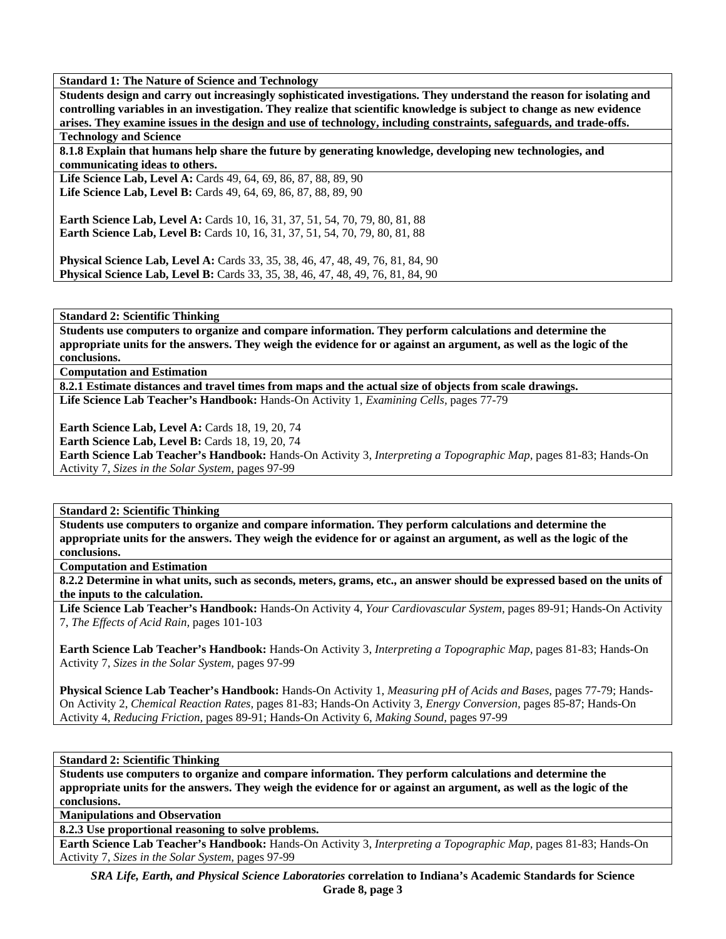**Students design and carry out increasingly sophisticated investigations. They understand the reason for isolating and controlling variables in an investigation. They realize that scientific knowledge is subject to change as new evidence arises. They examine issues in the design and use of technology, including constraints, safeguards, and trade-offs.** 

**Technology and Science** 

**8.1.8 Explain that humans help share the future by generating knowledge, developing new technologies, and communicating ideas to others.** 

**Life Science Lab, Level A:** Cards 49, 64, 69, 86, 87, 88, 89, 90 **Life Science Lab, Level B:** Cards 49, 64, 69, 86, 87, 88, 89, 90

**Earth Science Lab, Level A: Cards 10, 16, 31, 37, 51, 54, 70, 79, 80, 81, 88 Earth Science Lab, Level B:** Cards 10, 16, 31, 37, 51, 54, 70, 79, 80, 81, 88

**Physical Science Lab, Level A:** Cards 33, 35, 38, 46, 47, 48, 49, 76, 81, 84, 90 **Physical Science Lab, Level B:** Cards 33, 35, 38, 46, 47, 48, 49, 76, 81, 84, 90

**Standard 2: Scientific Thinking** 

**Students use computers to organize and compare information. They perform calculations and determine the appropriate units for the answers. They weigh the evidence for or against an argument, as well as the logic of the conclusions.** 

**Computation and Estimation** 

**8.2.1 Estimate distances and travel times from maps and the actual size of objects from scale drawings. Life Science Lab Teacher's Handbook:** Hands-On Activity 1, *Examining Cells,* pages 77-79

**Earth Science Lab, Level A: Cards 18, 19, 20, 74** 

**Earth Science Lab, Level B: Cards 18, 19, 20, 74** 

**Earth Science Lab Teacher's Handbook:** Hands-On Activity 3, *Interpreting a Topographic Map,* pages 81-83; Hands-On Activity 7, *Sizes in the Solar System,* pages 97-99

**Standard 2: Scientific Thinking** 

**Students use computers to organize and compare information. They perform calculations and determine the appropriate units for the answers. They weigh the evidence for or against an argument, as well as the logic of the conclusions.** 

**Computation and Estimation** 

**8.2.2 Determine in what units, such as seconds, meters, grams, etc., an answer should be expressed based on the units of the inputs to the calculation.** 

**Life Science Lab Teacher's Handbook:** Hands-On Activity 4, *Your Cardiovascular System,* pages 89-91; Hands-On Activity 7, *The Effects of Acid Rain,* pages 101-103

**Earth Science Lab Teacher's Handbook:** Hands-On Activity 3, *Interpreting a Topographic Map,* pages 81-83; Hands-On Activity 7, *Sizes in the Solar System,* pages 97-99

**Physical Science Lab Teacher's Handbook:** Hands-On Activity 1, *Measuring pH of Acids and Bases,* pages 77-79; Hands-On Activity 2, *Chemical Reaction Rates,* pages 81-83; Hands-On Activity 3, *Energy Conversion,* pages 85-87; Hands-On Activity 4, *Reducing Friction,* pages 89-91; Hands-On Activity 6, *Making Sound,* pages 97-99

**Standard 2: Scientific Thinking** 

**Students use computers to organize and compare information. They perform calculations and determine the appropriate units for the answers. They weigh the evidence for or against an argument, as well as the logic of the conclusions.** 

**Manipulations and Observation** 

**8.2.3 Use proportional reasoning to solve problems.** 

**Earth Science Lab Teacher's Handbook:** Hands-On Activity 3, *Interpreting a Topographic Map,* pages 81-83; Hands-On Activity 7, *Sizes in the Solar System,* pages 97-99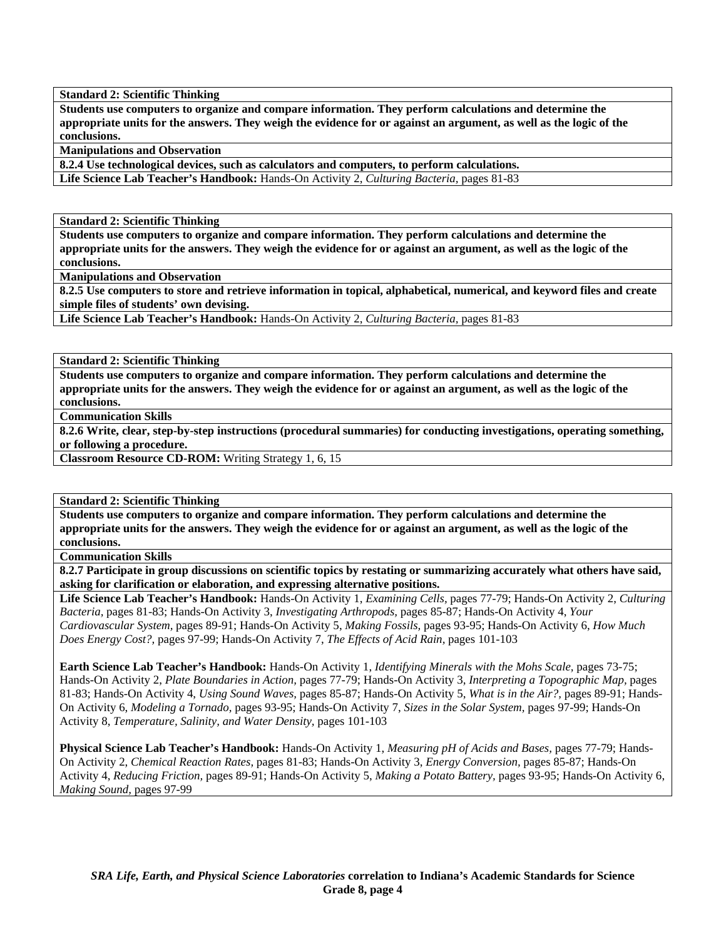**Standard 2: Scientific Thinking** 

**Students use computers to organize and compare information. They perform calculations and determine the appropriate units for the answers. They weigh the evidence for or against an argument, as well as the logic of the conclusions.** 

**Manipulations and Observation** 

**8.2.4 Use technological devices, such as calculators and computers, to perform calculations. Life Science Lab Teacher's Handbook:** Hands-On Activity 2, *Culturing Bacteria,* pages 81-83

**Standard 2: Scientific Thinking** 

**Students use computers to organize and compare information. They perform calculations and determine the appropriate units for the answers. They weigh the evidence for or against an argument, as well as the logic of the conclusions.** 

**Manipulations and Observation** 

**8.2.5 Use computers to store and retrieve information in topical, alphabetical, numerical, and keyword files and create simple files of students' own devising.** 

**Life Science Lab Teacher's Handbook:** Hands-On Activity 2, *Culturing Bacteria,* pages 81-83

**Standard 2: Scientific Thinking** 

**Students use computers to organize and compare information. They perform calculations and determine the appropriate units for the answers. They weigh the evidence for or against an argument, as well as the logic of the conclusions.** 

**Communication Skills** 

**8.2.6 Write, clear, step-by-step instructions (procedural summaries) for conducting investigations, operating something, or following a procedure.** 

**Classroom Resource CD-ROM:** Writing Strategy 1, 6, 15

**Standard 2: Scientific Thinking** 

**Students use computers to organize and compare information. They perform calculations and determine the appropriate units for the answers. They weigh the evidence for or against an argument, as well as the logic of the conclusions.** 

**Communication Skills** 

**8.2.7 Participate in group discussions on scientific topics by restating or summarizing accurately what others have said, asking for clarification or elaboration, and expressing alternative positions.** 

**Life Science Lab Teacher's Handbook:** Hands-On Activity 1, *Examining Cells,* pages 77-79; Hands-On Activity 2, *Culturing Bacteria,* pages 81-83; Hands-On Activity 3, *Investigating Arthropods,* pages 85-87; Hands-On Activity 4, *Your Cardiovascular System,* pages 89-91; Hands-On Activity 5, *Making Fossils,* pages 93-95; Hands-On Activity 6, *How Much Does Energy Cost?,* pages 97-99; Hands-On Activity 7, *The Effects of Acid Rain,* pages 101-103

**Earth Science Lab Teacher's Handbook:** Hands-On Activity 1, *Identifying Minerals with the Mohs Scale,* pages 73-75; Hands-On Activity 2, *Plate Boundaries in Action,* pages 77-79; Hands-On Activity 3, *Interpreting a Topographic Map,* pages 81-83; Hands-On Activity 4, *Using Sound Waves,* pages 85-87; Hands-On Activity 5, *What is in the Air?,* pages 89-91; Hands-On Activity 6, *Modeling a Tornado,* pages 93-95; Hands-On Activity 7, *Sizes in the Solar System,* pages 97-99; Hands-On Activity 8, *Temperature, Salinity, and Water Density,* pages 101-103

**Physical Science Lab Teacher's Handbook:** Hands-On Activity 1, *Measuring pH of Acids and Bases,* pages 77-79; Hands-On Activity 2, *Chemical Reaction Rates,* pages 81-83; Hands-On Activity 3, *Energy Conversion,* pages 85-87; Hands-On Activity 4, *Reducing Friction,* pages 89-91; Hands-On Activity 5, *Making a Potato Battery,* pages 93-95; Hands-On Activity 6, *Making Sound,* pages 97-99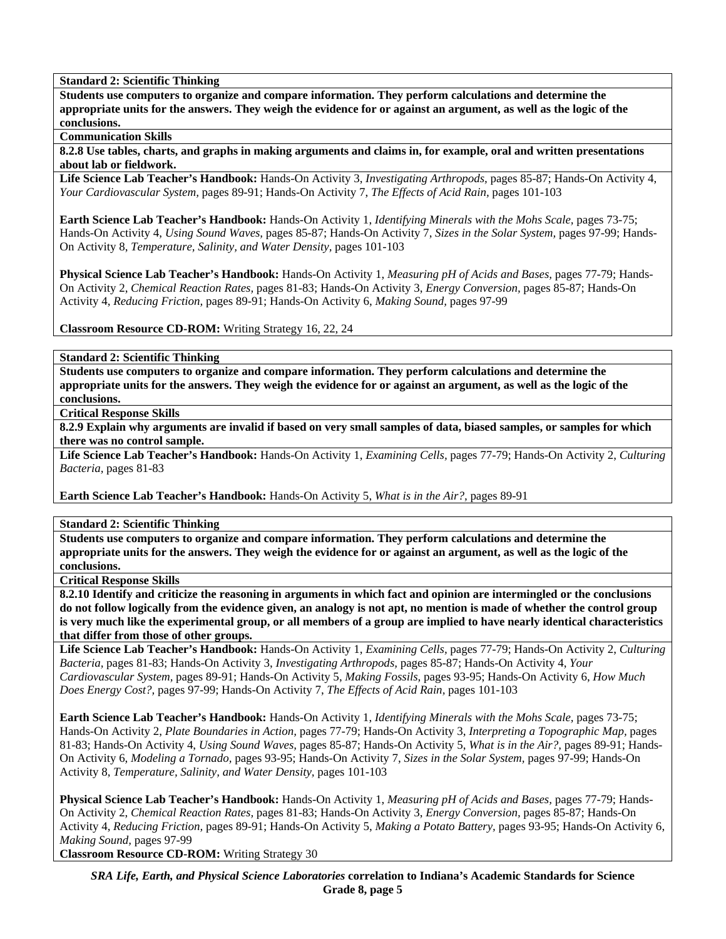**Standard 2: Scientific Thinking** 

**Students use computers to organize and compare information. They perform calculations and determine the appropriate units for the answers. They weigh the evidence for or against an argument, as well as the logic of the conclusions.** 

**Communication Skills** 

**8.2.8 Use tables, charts, and graphs in making arguments and claims in, for example, oral and written presentations about lab or fieldwork.** 

**Life Science Lab Teacher's Handbook:** Hands-On Activity 3, *Investigating Arthropods,* pages 85-87; Hands-On Activity 4, *Your Cardiovascular System,* pages 89-91; Hands-On Activity 7, *The Effects of Acid Rain,* pages 101-103

**Earth Science Lab Teacher's Handbook:** Hands-On Activity 1, *Identifying Minerals with the Mohs Scale,* pages 73-75; Hands-On Activity 4, *Using Sound Waves,* pages 85-87; Hands-On Activity 7, *Sizes in the Solar System,* pages 97-99; Hands-On Activity 8, *Temperature, Salinity, and Water Density,* pages 101-103

**Physical Science Lab Teacher's Handbook:** Hands-On Activity 1, *Measuring pH of Acids and Bases,* pages 77-79; Hands-On Activity 2, *Chemical Reaction Rates,* pages 81-83; Hands-On Activity 3, *Energy Conversion,* pages 85-87; Hands-On Activity 4, *Reducing Friction,* pages 89-91; Hands-On Activity 6, *Making Sound,* pages 97-99

**Classroom Resource CD-ROM:** Writing Strategy 16, 22, 24

**Standard 2: Scientific Thinking** 

**Students use computers to organize and compare information. They perform calculations and determine the appropriate units for the answers. They weigh the evidence for or against an argument, as well as the logic of the conclusions.** 

**Critical Response Skills** 

**8.2.9 Explain why arguments are invalid if based on very small samples of data, biased samples, or samples for which there was no control sample.** 

**Life Science Lab Teacher's Handbook:** Hands-On Activity 1, *Examining Cells,* pages 77-79; Hands-On Activity 2, *Culturing Bacteria,* pages 81-83

**Earth Science Lab Teacher's Handbook:** Hands-On Activity 5, *What is in the Air?,* pages 89-91

**Standard 2: Scientific Thinking** 

**Students use computers to organize and compare information. They perform calculations and determine the appropriate units for the answers. They weigh the evidence for or against an argument, as well as the logic of the conclusions.** 

**Critical Response Skills** 

**8.2.10 Identify and criticize the reasoning in arguments in which fact and opinion are intermingled or the conclusions do not follow logically from the evidence given, an analogy is not apt, no mention is made of whether the control group is very much like the experimental group, or all members of a group are implied to have nearly identical characteristics that differ from those of other groups.** 

**Life Science Lab Teacher's Handbook:** Hands-On Activity 1, *Examining Cells,* pages 77-79; Hands-On Activity 2, *Culturing Bacteria,* pages 81-83; Hands-On Activity 3, *Investigating Arthropods,* pages 85-87; Hands-On Activity 4, *Your Cardiovascular System,* pages 89-91; Hands-On Activity 5, *Making Fossils,* pages 93-95; Hands-On Activity 6, *How Much Does Energy Cost?,* pages 97-99; Hands-On Activity 7, *The Effects of Acid Rain,* pages 101-103

**Earth Science Lab Teacher's Handbook:** Hands-On Activity 1, *Identifying Minerals with the Mohs Scale,* pages 73-75; Hands-On Activity 2, *Plate Boundaries in Action,* pages 77-79; Hands-On Activity 3, *Interpreting a Topographic Map,* pages 81-83; Hands-On Activity 4, *Using Sound Waves,* pages 85-87; Hands-On Activity 5, *What is in the Air?,* pages 89-91; Hands-On Activity 6, *Modeling a Tornado,* pages 93-95; Hands-On Activity 7, *Sizes in the Solar System,* pages 97-99; Hands-On Activity 8, *Temperature, Salinity, and Water Density,* pages 101-103

**Physical Science Lab Teacher's Handbook:** Hands-On Activity 1, *Measuring pH of Acids and Bases,* pages 77-79; Hands-On Activity 2, *Chemical Reaction Rates,* pages 81-83; Hands-On Activity 3, *Energy Conversion,* pages 85-87; Hands-On Activity 4, *Reducing Friction,* pages 89-91; Hands-On Activity 5, *Making a Potato Battery,* pages 93-95; Hands-On Activity 6, *Making Sound,* pages 97-99

**Classroom Resource CD-ROM:** Writing Strategy 30

*SRA Life, Earth, and Physical Science Laboratories* **correlation to Indiana's Academic Standards for Science Grade 8, page 5**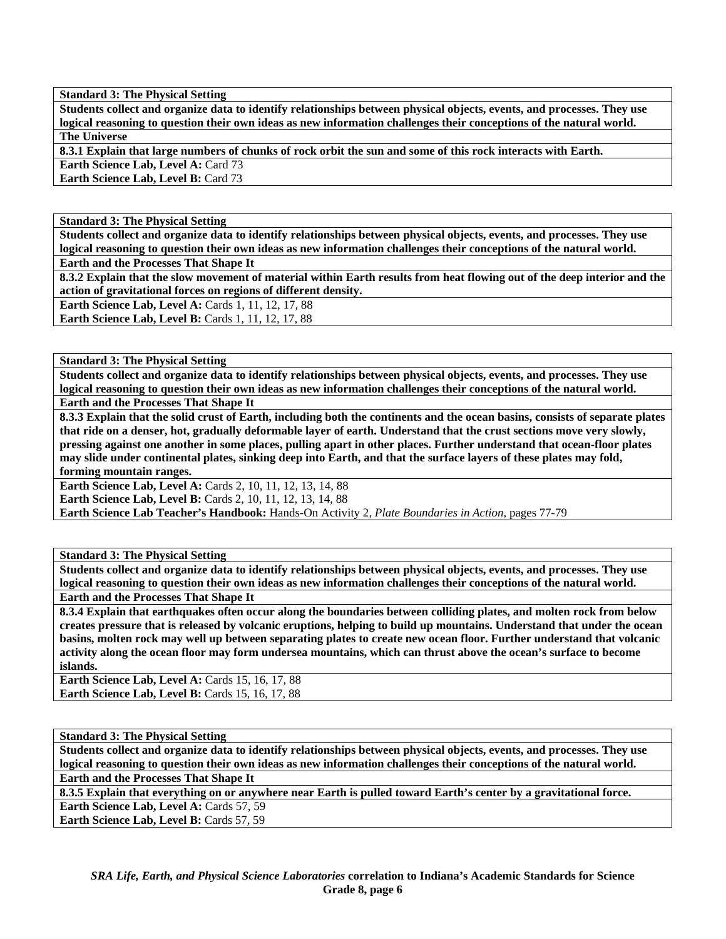**Students collect and organize data to identify relationships between physical objects, events, and processes. They use logical reasoning to question their own ideas as new information challenges their conceptions of the natural world. The Universe** 

**8.3.1 Explain that large numbers of chunks of rock orbit the sun and some of this rock interacts with Earth.** 

**Earth Science Lab, Level A: Card 73** 

**Earth Science Lab, Level B: Card 73** 

**Standard 3: The Physical Setting** 

**Students collect and organize data to identify relationships between physical objects, events, and processes. They use logical reasoning to question their own ideas as new information challenges their conceptions of the natural world. Earth and the Processes That Shape It** 

**8.3.2 Explain that the slow movement of material within Earth results from heat flowing out of the deep interior and the action of gravitational forces on regions of different density.** 

**Earth Science Lab, Level A: Cards 1, 11, 12, 17, 88** 

**Earth Science Lab, Level B: Cards 1, 11, 12, 17, 88** 

**Standard 3: The Physical Setting** 

**Students collect and organize data to identify relationships between physical objects, events, and processes. They use logical reasoning to question their own ideas as new information challenges their conceptions of the natural world.** 

**Earth and the Processes That Shape It** 

**8.3.3 Explain that the solid crust of Earth, including both the continents and the ocean basins, consists of separate plates that ride on a denser, hot, gradually deformable layer of earth. Understand that the crust sections move very slowly, pressing against one another in some places, pulling apart in other places. Further understand that ocean-floor plates may slide under continental plates, sinking deep into Earth, and that the surface layers of these plates may fold, forming mountain ranges.** 

**Earth Science Lab, Level A: Cards 2, 10, 11, 12, 13, 14, 88 Earth Science Lab, Level B:** Cards 2, 10, 11, 12, 13, 14, 88 **Earth Science Lab Teacher's Handbook:** Hands-On Activity 2, *Plate Boundaries in Action,* pages 77-79

# **Standard 3: The Physical Setting**

**Students collect and organize data to identify relationships between physical objects, events, and processes. They use logical reasoning to question their own ideas as new information challenges their conceptions of the natural world. Earth and the Processes That Shape It** 

**8.3.4 Explain that earthquakes often occur along the boundaries between colliding plates, and molten rock from below creates pressure that is released by volcanic eruptions, helping to build up mountains. Understand that under the ocean basins, molten rock may well up between separating plates to create new ocean floor. Further understand that volcanic activity along the ocean floor may form undersea mountains, which can thrust above the ocean's surface to become islands.** 

**Earth Science Lab, Level A: Cards 15, 16, 17, 88 Earth Science Lab, Level B:** Cards 15, 16, 17, 88

# **Standard 3: The Physical Setting**

**Students collect and organize data to identify relationships between physical objects, events, and processes. They use logical reasoning to question their own ideas as new information challenges their conceptions of the natural world.** 

**Earth and the Processes That Shape It** 

**8.3.5 Explain that everything on or anywhere near Earth is pulled toward Earth's center by a gravitational force.**  Earth Science Lab, Level A: Cards 57, 59

Earth Science Lab, Level B: Cards 57, 59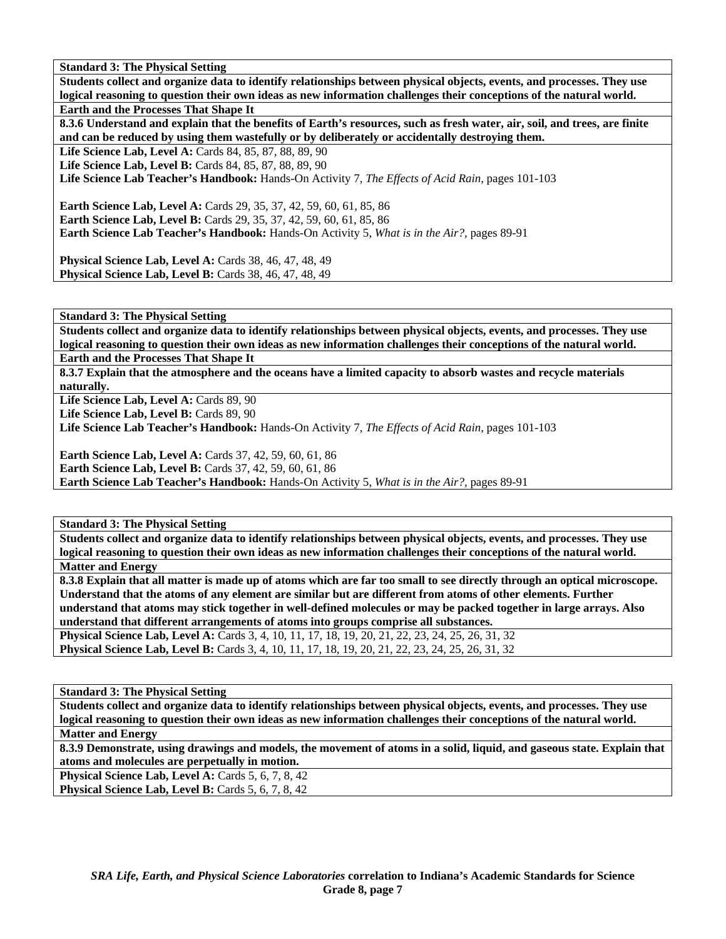**Students collect and organize data to identify relationships between physical objects, events, and processes. They use logical reasoning to question their own ideas as new information challenges their conceptions of the natural world. Earth and the Processes That Shape It** 

**8.3.6 Understand and explain that the benefits of Earth's resources, such as fresh water, air, soil, and trees, are finite and can be reduced by using them wastefully or by deliberately or accidentally destroying them.** 

Life Science Lab, Level A: Cards 84, 85, 87, 88, 89, 90

Life Science Lab, Level B: Cards 84, 85, 87, 88, 89, 90

**Life Science Lab Teacher's Handbook:** Hands-On Activity 7, *The Effects of Acid Rain,* pages 101-103

**Earth Science Lab, Level A: Cards 29, 35, 37, 42, 59, 60, 61, 85, 86 Earth Science Lab, Level B:** Cards 29, 35, 37, 42, 59, 60, 61, 85, 86 **Earth Science Lab Teacher's Handbook:** Hands-On Activity 5, *What is in the Air?,* pages 89-91

**Physical Science Lab, Level A: Cards 38, 46, 47, 48, 49 Physical Science Lab, Level B: Cards 38, 46, 47, 48, 49** 

**Standard 3: The Physical Setting** 

**Students collect and organize data to identify relationships between physical objects, events, and processes. They use logical reasoning to question their own ideas as new information challenges their conceptions of the natural world. Earth and the Processes That Shape It** 

**8.3.7 Explain that the atmosphere and the oceans have a limited capacity to absorb wastes and recycle materials naturally.** 

Life Science Lab, Level A: Cards 89, 90

Life Science Lab, Level B: Cards 89, 90

**Life Science Lab Teacher's Handbook:** Hands-On Activity 7, *The Effects of Acid Rain,* pages 101-103

**Earth Science Lab, Level A: Cards 37, 42, 59, 60, 61, 86** 

**Earth Science Lab, Level B:** Cards 37, 42, 59, 60, 61, 86

**Earth Science Lab Teacher's Handbook:** Hands-On Activity 5, *What is in the Air?,* pages 89-91

**Standard 3: The Physical Setting** 

**Students collect and organize data to identify relationships between physical objects, events, and processes. They use logical reasoning to question their own ideas as new information challenges their conceptions of the natural world. Matter and Energy** 

**8.3.8 Explain that all matter is made up of atoms which are far too small to see directly through an optical microscope. Understand that the atoms of any element are similar but are different from atoms of other elements. Further understand that atoms may stick together in well-defined molecules or may be packed together in large arrays. Also understand that different arrangements of atoms into groups comprise all substances.** 

**Physical Science Lab, Level A:** Cards 3, 4, 10, 11, 17, 18, 19, 20, 21, 22, 23, 24, 25, 26, 31, 32 **Physical Science Lab, Level B:** Cards 3, 4, 10, 11, 17, 18, 19, 20, 21, 22, 23, 24, 25, 26, 31, 32

**Standard 3: The Physical Setting** 

**Students collect and organize data to identify relationships between physical objects, events, and processes. They use logical reasoning to question their own ideas as new information challenges their conceptions of the natural world. Matter and Energy** 

**8.3.9 Demonstrate, using drawings and models, the movement of atoms in a solid, liquid, and gaseous state. Explain that atoms and molecules are perpetually in motion.** 

**Physical Science Lab, Level A: Cards 5, 6, 7, 8, 42** 

**Physical Science Lab, Level B: Cards 5, 6, 7, 8, 42**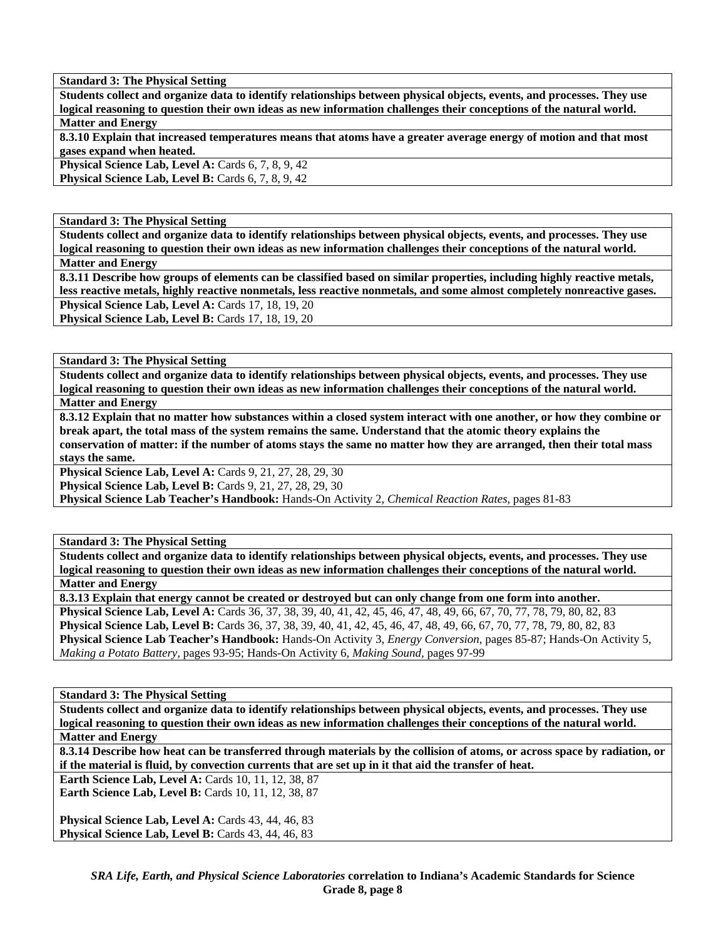**Students collect and organize data to identify relationships between physical objects, events, and processes. They use logical reasoning to question their own ideas as new information challenges their conceptions of the natural world. Matter and Energy** 

**8.3.10 Explain that increased temperatures means that atoms have a greater average energy of motion and that most gases expand when heated.** 

**Physical Science Lab, Level A: Cards 6, 7, 8, 9, 42 Physical Science Lab, Level B: Cards 6, 7, 8, 9, 42** 

**Standard 3: The Physical Setting** 

**Students collect and organize data to identify relationships between physical objects, events, and processes. They use logical reasoning to question their own ideas as new information challenges their conceptions of the natural world. Matter and Energy** 

**8.3.11 Describe how groups of elements can be classified based on similar properties, including highly reactive metals, less reactive metals, highly reactive nonmetals, less reactive nonmetals, and some almost completely nonreactive gases. Physical Science Lab, Level A: Cards 17, 18, 19, 20 Physical Science Lab, Level B: Cards 17, 18, 19, 20** 

**Standard 3: The Physical Setting** 

**Students collect and organize data to identify relationships between physical objects, events, and processes. They use logical reasoning to question their own ideas as new information challenges their conceptions of the natural world. Matter and Energy** 

**8.3.12 Explain that no matter how substances within a closed system interact with one another, or how they combine or break apart, the total mass of the system remains the same. Understand that the atomic theory explains the conservation of matter: if the number of atoms stays the same no matter how they are arranged, then their total mass stays the same.** 

**Physical Science Lab, Level A: Cards 9, 21, 27, 28, 29, 30** 

**Physical Science Lab, Level B:** Cards 9, 21, 27, 28, 29, 30

**Physical Science Lab Teacher's Handbook:** Hands-On Activity 2, *Chemical Reaction Rates,* pages 81-83

**Standard 3: The Physical Setting** 

**Students collect and organize data to identify relationships between physical objects, events, and processes. They use logical reasoning to question their own ideas as new information challenges their conceptions of the natural world. Matter and Energy** 

**8.3.13 Explain that energy cannot be created or destroyed but can only change from one form into another. Physical Science Lab, Level A:** Cards 36, 37, 38, 39, 40, 41, 42, 45, 46, 47, 48, 49, 66, 67, 70, 77, 78, 79, 80, 82, 83 **Physical Science Lab, Level B:** Cards 36, 37, 38, 39, 40, 41, 42, 45, 46, 47, 48, 49, 66, 67, 70, 77, 78, 79, 80, 82, 83 **Physical Science Lab Teacher's Handbook:** Hands-On Activity 3, *Energy Conversion,* pages 85-87; Hands-On Activity 5, *Making a Potato Battery,* pages 93-95; Hands-On Activity 6, *Making Sound,* pages 97-99

# **Standard 3: The Physical Setting**

**Students collect and organize data to identify relationships between physical objects, events, and processes. They use logical reasoning to question their own ideas as new information challenges their conceptions of the natural world. Matter and Energy** 

**8.3.14 Describe how heat can be transferred through materials by the collision of atoms, or across space by radiation, or if the material is fluid, by convection currents that are set up in it that aid the transfer of heat.** 

**Earth Science Lab, Level A: Cards 10, 11, 12, 38, 87 Earth Science Lab, Level B: Cards 10, 11, 12, 38, 87** 

Physical Science Lab, Level A: Cards 43, 44, 46, 83 Physical Science Lab, Level B: Cards 43, 44, 46, 83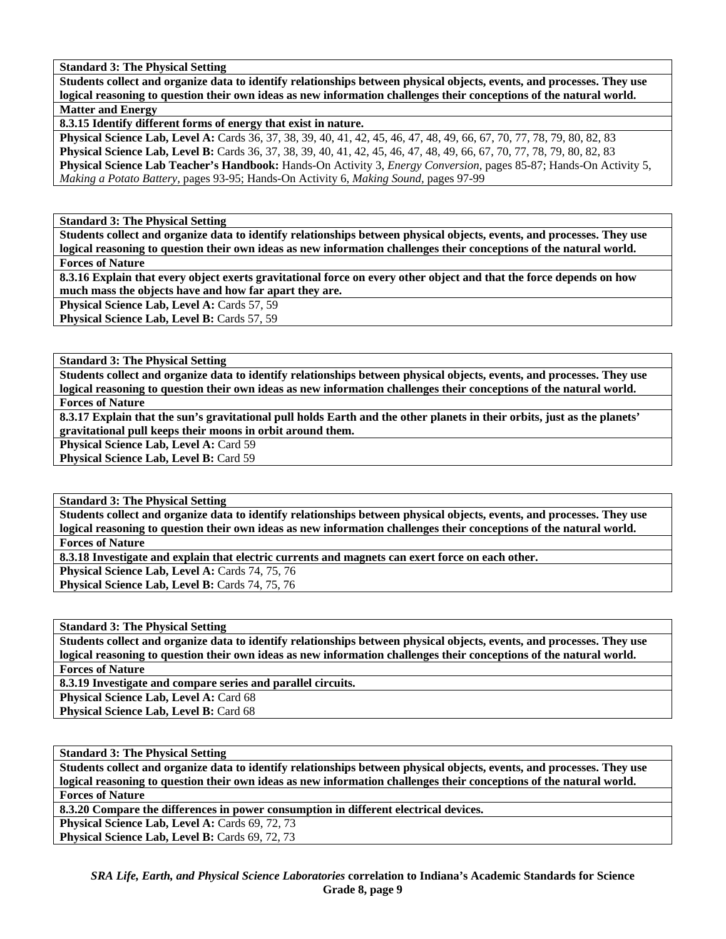**Students collect and organize data to identify relationships between physical objects, events, and processes. They use logical reasoning to question their own ideas as new information challenges their conceptions of the natural world. Matter and Energy** 

**8.3.15 Identify different forms of energy that exist in nature.** 

**Physical Science Lab, Level A:** Cards 36, 37, 38, 39, 40, 41, 42, 45, 46, 47, 48, 49, 66, 67, 70, 77, 78, 79, 80, 82, 83 **Physical Science Lab, Level B:** Cards 36, 37, 38, 39, 40, 41, 42, 45, 46, 47, 48, 49, 66, 67, 70, 77, 78, 79, 80, 82, 83 **Physical Science Lab Teacher's Handbook:** Hands-On Activity 3, *Energy Conversion,* pages 85-87; Hands-On Activity 5, *Making a Potato Battery,* pages 93-95; Hands-On Activity 6, *Making Sound,* pages 97-99

**Standard 3: The Physical Setting** 

**Students collect and organize data to identify relationships between physical objects, events, and processes. They use logical reasoning to question their own ideas as new information challenges their conceptions of the natural world. Forces of Nature** 

**8.3.16 Explain that every object exerts gravitational force on every other object and that the force depends on how much mass the objects have and how far apart they are.** 

Physical Science Lab, Level A: Cards 57, 59

Physical Science Lab, Level B: Cards 57, 59

**Standard 3: The Physical Setting** 

**Students collect and organize data to identify relationships between physical objects, events, and processes. They use logical reasoning to question their own ideas as new information challenges their conceptions of the natural world. Forces of Nature** 

**8.3.17 Explain that the sun's gravitational pull holds Earth and the other planets in their orbits, just as the planets' gravitational pull keeps their moons in orbit around them.** 

Physical Science Lab, Level A: Card 59

Physical Science Lab, Level B: Card 59

**Standard 3: The Physical Setting** 

**Students collect and organize data to identify relationships between physical objects, events, and processes. They use logical reasoning to question their own ideas as new information challenges their conceptions of the natural world. Forces of Nature** 

**8.3.18 Investigate and explain that electric currents and magnets can exert force on each other.** 

Physical Science Lab, Level A: Cards 74, 75, 76

Physical Science Lab, Level B: Cards 74, 75, 76

**Standard 3: The Physical Setting** 

**Students collect and organize data to identify relationships between physical objects, events, and processes. They use logical reasoning to question their own ideas as new information challenges their conceptions of the natural world. Forces of Nature** 

**8.3.19 Investigate and compare series and parallel circuits.** 

Physical Science Lab, Level A: Card 68

Physical Science Lab, Level B: Card 68

# **Standard 3: The Physical Setting**

**Students collect and organize data to identify relationships between physical objects, events, and processes. They use logical reasoning to question their own ideas as new information challenges their conceptions of the natural world. Forces of Nature** 

**8.3.20 Compare the differences in power consumption in different electrical devices.** 

Physical Science Lab, Level A: Cards 69, 72, 73 Physical Science Lab, Level B: Cards 69, 72, 73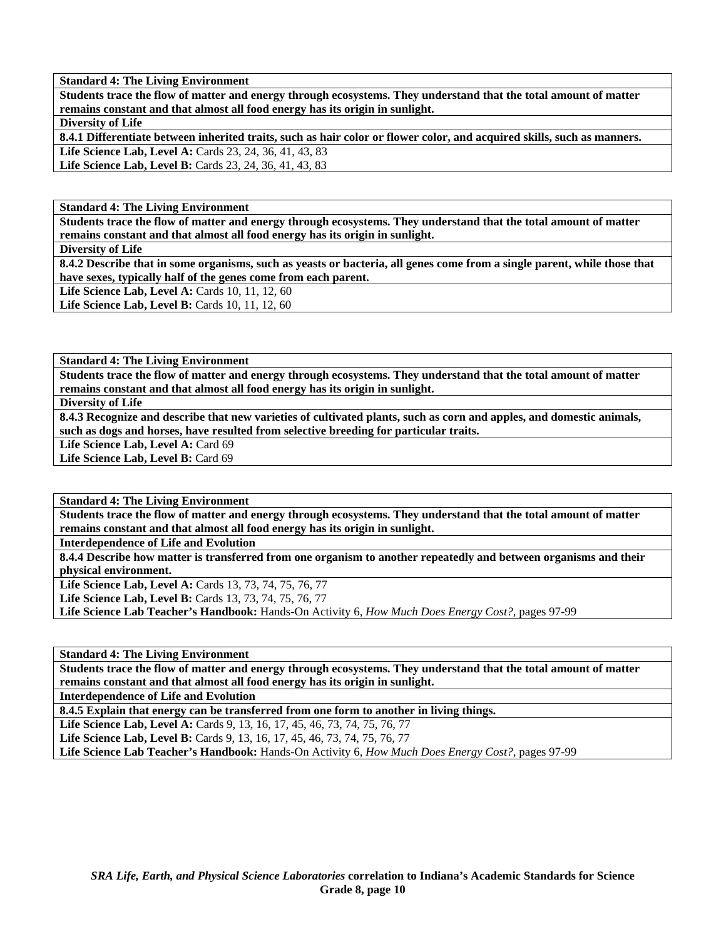**Students trace the flow of matter and energy through ecosystems. They understand that the total amount of matter remains constant and that almost all food energy has its origin in sunlight.** 

**Diversity of Life** 

**8.4.1 Differentiate between inherited traits, such as hair color or flower color, and acquired skills, such as manners.**  Life Science Lab, Level A: Cards 23, 24, 36, 41, 43, 83 Life Science Lab, Level B: Cards 23, 24, 36, 41, 43, 83

**Standard 4: The Living Environment** 

**Students trace the flow of matter and energy through ecosystems. They understand that the total amount of matter remains constant and that almost all food energy has its origin in sunlight.** 

**Diversity of Life** 

**8.4.2 Describe that in some organisms, such as yeasts or bacteria, all genes come from a single parent, while those that have sexes, typically half of the genes come from each parent.** 

**Life Science Lab, Level A: Cards 10, 11, 12, 60** 

**Life Science Lab, Level B: Cards 10, 11, 12, 60** 

**Standard 4: The Living Environment** 

**Students trace the flow of matter and energy through ecosystems. They understand that the total amount of matter remains constant and that almost all food energy has its origin in sunlight.** 

**Diversity of Life** 

**8.4.3 Recognize and describe that new varieties of cultivated plants, such as corn and apples, and domestic animals, such as dogs and horses, have resulted from selective breeding for particular traits.** 

Life Science Lab, Level A: Card 69

Life Science Lab, Level B: Card 69

**Standard 4: The Living Environment** 

**Students trace the flow of matter and energy through ecosystems. They understand that the total amount of matter remains constant and that almost all food energy has its origin in sunlight.** 

**Interdependence of Life and Evolution** 

**8.4.4 Describe how matter is transferred from one organism to another repeatedly and between organisms and their physical environment.** 

Life Science Lab, Level A: Cards 13, 73, 74, 75, 76, 77

**Life Science Lab, Level B:** Cards 13, 73, 74, 75, 76, 77

**Life Science Lab Teacher's Handbook:** Hands-On Activity 6, *How Much Does Energy Cost?,* pages 97-99

**Standard 4: The Living Environment** 

**Students trace the flow of matter and energy through ecosystems. They understand that the total amount of matter remains constant and that almost all food energy has its origin in sunlight.** 

**Interdependence of Life and Evolution** 

**8.4.5 Explain that energy can be transferred from one form to another in living things.** 

Life Science Lab, Level A: Cards 9, 13, 16, 17, 45, 46, 73, 74, 75, 76, 77

Life Science Lab, Level B: Cards 9, 13, 16, 17, 45, 46, 73, 74, 75, 76, 77

**Life Science Lab Teacher's Handbook:** Hands-On Activity 6, *How Much Does Energy Cost?,* pages 97-99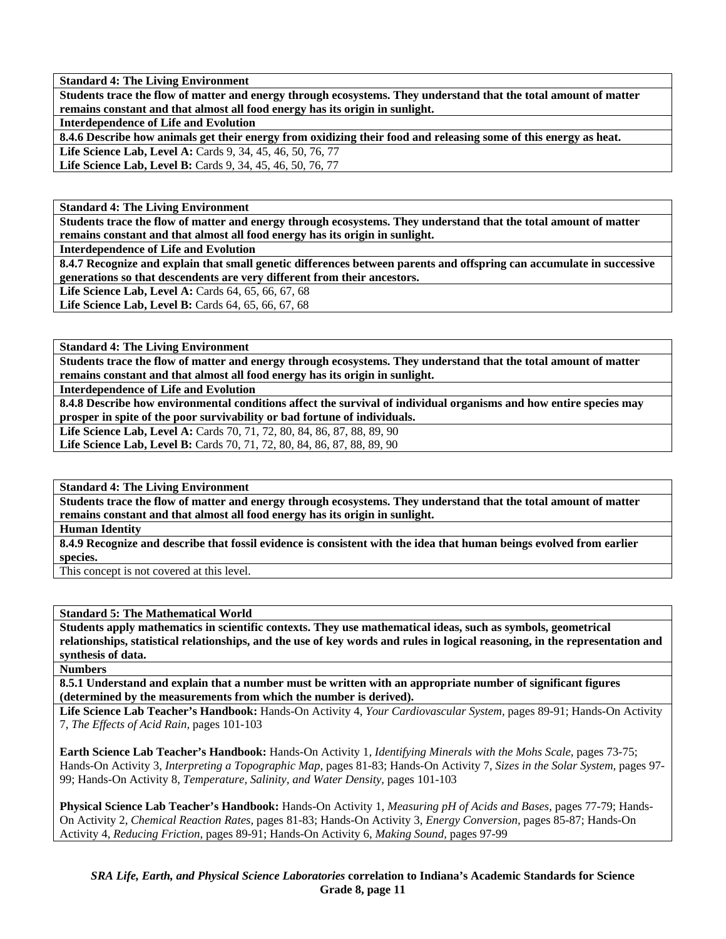**Students trace the flow of matter and energy through ecosystems. They understand that the total amount of matter remains constant and that almost all food energy has its origin in sunlight.** 

**Interdependence of Life and Evolution** 

**8.4.6 Describe how animals get their energy from oxidizing their food and releasing some of this energy as heat.** 

Life Science Lab, Level A: Cards 9, 34, 45, 46, 50, 76, 77 Life Science Lab, Level B: Cards 9, 34, 45, 46, 50, 76, 77

**Standard 4: The Living Environment** 

**Students trace the flow of matter and energy through ecosystems. They understand that the total amount of matter remains constant and that almost all food energy has its origin in sunlight.** 

**Interdependence of Life and Evolution** 

**8.4.7 Recognize and explain that small genetic differences between parents and offspring can accumulate in successive generations so that descendents are very different from their ancestors.** 

**Life Science Lab, Level A: Cards 64, 65, 66, 67, 68** 

**Life Science Lab, Level B:** Cards 64, 65, 66, 67, 68

**Standard 4: The Living Environment** 

**Students trace the flow of matter and energy through ecosystems. They understand that the total amount of matter remains constant and that almost all food energy has its origin in sunlight.** 

**Interdependence of Life and Evolution** 

**8.4.8 Describe how environmental conditions affect the survival of individual organisms and how entire species may prosper in spite of the poor survivability or bad fortune of individuals.** 

Life Science Lab, Level A: Cards 70, 71, 72, 80, 84, 86, 87, 88, 89, 90 Life Science Lab, Level B: Cards 70, 71, 72, 80, 84, 86, 87, 88, 89, 90

**Standard 4: The Living Environment** 

**Students trace the flow of matter and energy through ecosystems. They understand that the total amount of matter remains constant and that almost all food energy has its origin in sunlight.** 

**Human Identity** 

**8.4.9 Recognize and describe that fossil evidence is consistent with the idea that human beings evolved from earlier species.** 

This concept is not covered at this level.

# **Standard 5: The Mathematical World**

**Students apply mathematics in scientific contexts. They use mathematical ideas, such as symbols, geometrical relationships, statistical relationships, and the use of key words and rules in logical reasoning, in the representation and synthesis of data.** 

**Numbers** 

**8.5.1 Understand and explain that a number must be written with an appropriate number of significant figures (determined by the measurements from which the number is derived).** 

**Life Science Lab Teacher's Handbook:** Hands-On Activity 4, *Your Cardiovascular System,* pages 89-91; Hands-On Activity 7, *The Effects of Acid Rain,* pages 101-103

**Earth Science Lab Teacher's Handbook:** Hands-On Activity 1, *Identifying Minerals with the Mohs Scale,* pages 73-75; Hands-On Activity 3, *Interpreting a Topographic Map,* pages 81-83; Hands-On Activity 7, *Sizes in the Solar System,* pages 97- 99; Hands-On Activity 8, *Temperature, Salinity, and Water Density,* pages 101-103

**Physical Science Lab Teacher's Handbook:** Hands-On Activity 1, *Measuring pH of Acids and Bases,* pages 77-79; Hands-On Activity 2, *Chemical Reaction Rates,* pages 81-83; Hands-On Activity 3, *Energy Conversion,* pages 85-87; Hands-On Activity 4, *Reducing Friction,* pages 89-91; Hands-On Activity 6, *Making Sound,* pages 97-99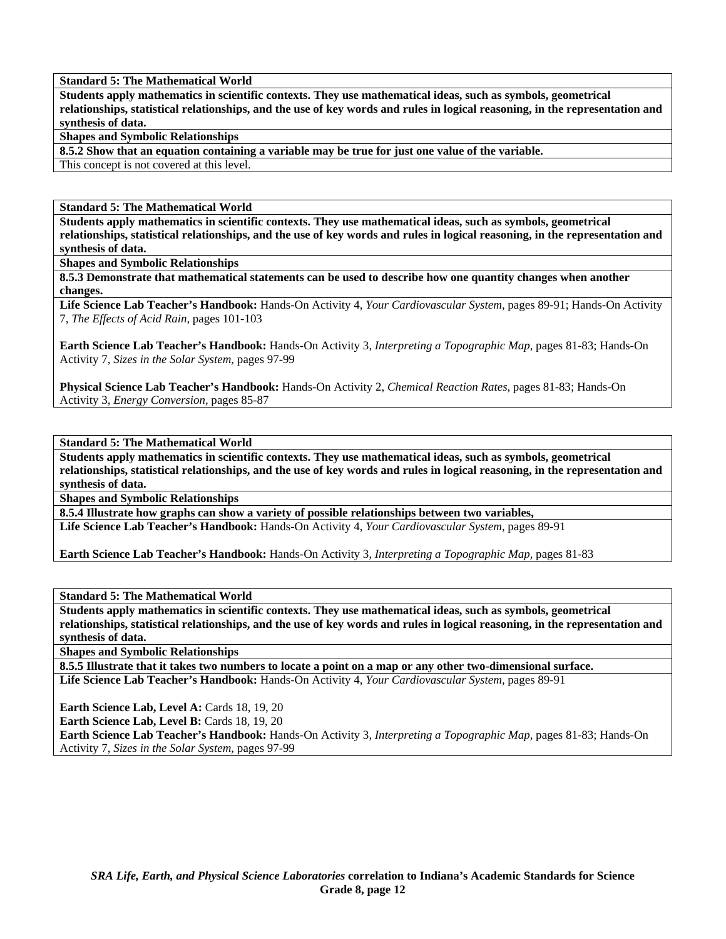**Standard 5: The Mathematical World** 

**Students apply mathematics in scientific contexts. They use mathematical ideas, such as symbols, geometrical relationships, statistical relationships, and the use of key words and rules in logical reasoning, in the representation and synthesis of data.** 

**Shapes and Symbolic Relationships** 

**8.5.2 Show that an equation containing a variable may be true for just one value of the variable.** 

This concept is not covered at this level.

**Standard 5: The Mathematical World** 

**Students apply mathematics in scientific contexts. They use mathematical ideas, such as symbols, geometrical relationships, statistical relationships, and the use of key words and rules in logical reasoning, in the representation and synthesis of data.** 

**Shapes and Symbolic Relationships** 

**8.5.3 Demonstrate that mathematical statements can be used to describe how one quantity changes when another changes.** 

**Life Science Lab Teacher's Handbook:** Hands-On Activity 4, *Your Cardiovascular System,* pages 89-91; Hands-On Activity 7, *The Effects of Acid Rain,* pages 101-103

**Earth Science Lab Teacher's Handbook:** Hands-On Activity 3, *Interpreting a Topographic Map,* pages 81-83; Hands-On Activity 7, *Sizes in the Solar System,* pages 97-99

**Physical Science Lab Teacher's Handbook:** Hands-On Activity 2, *Chemical Reaction Rates,* pages 81-83; Hands-On Activity 3, *Energy Conversion,* pages 85-87

**Standard 5: The Mathematical World** 

**Students apply mathematics in scientific contexts. They use mathematical ideas, such as symbols, geometrical relationships, statistical relationships, and the use of key words and rules in logical reasoning, in the representation and synthesis of data.** 

**Shapes and Symbolic Relationships** 

**8.5.4 Illustrate how graphs can show a variety of possible relationships between two variables,** 

**Life Science Lab Teacher's Handbook:** Hands-On Activity 4, *Your Cardiovascular System,* pages 89-91

**Earth Science Lab Teacher's Handbook:** Hands-On Activity 3, *Interpreting a Topographic Map,* pages 81-83

**Standard 5: The Mathematical World** 

**Students apply mathematics in scientific contexts. They use mathematical ideas, such as symbols, geometrical relationships, statistical relationships, and the use of key words and rules in logical reasoning, in the representation and synthesis of data.** 

**Shapes and Symbolic Relationships** 

**8.5.5 Illustrate that it takes two numbers to locate a point on a map or any other two-dimensional surface. Life Science Lab Teacher's Handbook:** Hands-On Activity 4, *Your Cardiovascular System,* pages 89-91

**Earth Science Lab, Level A: Cards 18, 19, 20** 

Earth Science Lab, Level B: Cards 18, 19, 20

**Earth Science Lab Teacher's Handbook:** Hands-On Activity 3, *Interpreting a Topographic Map,* pages 81-83; Hands-On Activity 7, *Sizes in the Solar System,* pages 97-99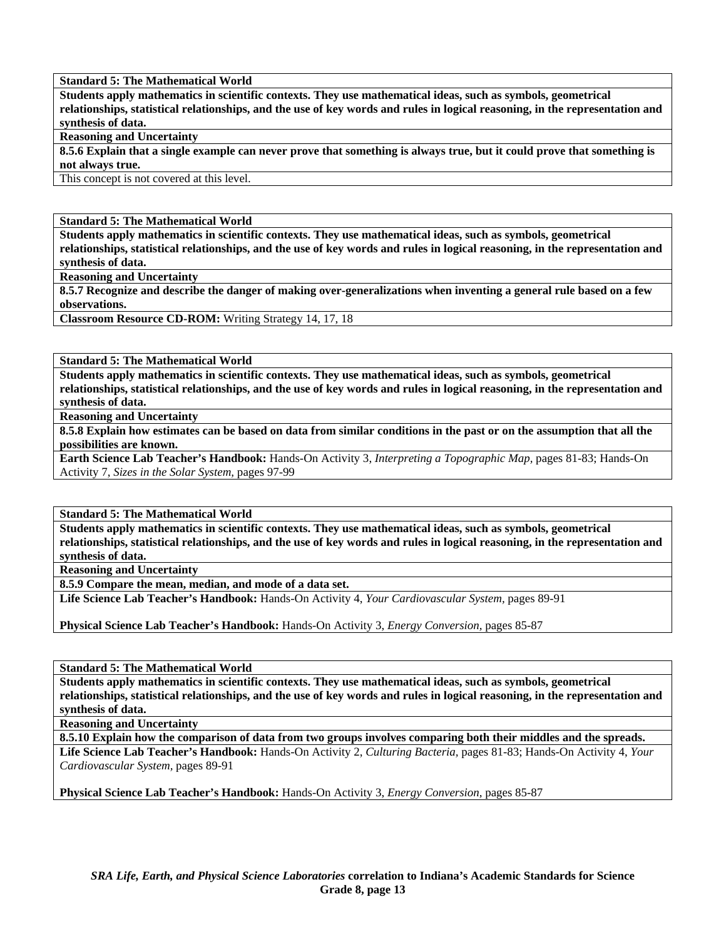#### **Standard 5: The Mathematical World**

**Students apply mathematics in scientific contexts. They use mathematical ideas, such as symbols, geometrical relationships, statistical relationships, and the use of key words and rules in logical reasoning, in the representation and synthesis of data.** 

# **Reasoning and Uncertainty**

**8.5.6 Explain that a single example can never prove that something is always true, but it could prove that something is not always true.** 

This concept is not covered at this level.

#### **Standard 5: The Mathematical World**

**Students apply mathematics in scientific contexts. They use mathematical ideas, such as symbols, geometrical relationships, statistical relationships, and the use of key words and rules in logical reasoning, in the representation and synthesis of data.** 

**Reasoning and Uncertainty** 

**8.5.7 Recognize and describe the danger of making over-generalizations when inventing a general rule based on a few observations.** 

**Classroom Resource CD-ROM:** Writing Strategy 14, 17, 18

#### **Standard 5: The Mathematical World**

**Students apply mathematics in scientific contexts. They use mathematical ideas, such as symbols, geometrical relationships, statistical relationships, and the use of key words and rules in logical reasoning, in the representation and synthesis of data.** 

**Reasoning and Uncertainty** 

**8.5.8 Explain how estimates can be based on data from similar conditions in the past or on the assumption that all the possibilities are known.** 

**Earth Science Lab Teacher's Handbook:** Hands-On Activity 3, *Interpreting a Topographic Map,* pages 81-83; Hands-On Activity 7, *Sizes in the Solar System,* pages 97-99

**Standard 5: The Mathematical World** 

**Students apply mathematics in scientific contexts. They use mathematical ideas, such as symbols, geometrical relationships, statistical relationships, and the use of key words and rules in logical reasoning, in the representation and synthesis of data.** 

**Reasoning and Uncertainty** 

**8.5.9 Compare the mean, median, and mode of a data set.** 

**Life Science Lab Teacher's Handbook:** Hands-On Activity 4, *Your Cardiovascular System,* pages 89-91

**Physical Science Lab Teacher's Handbook:** Hands-On Activity 3, *Energy Conversion,* pages 85-87

**Standard 5: The Mathematical World** 

**Students apply mathematics in scientific contexts. They use mathematical ideas, such as symbols, geometrical relationships, statistical relationships, and the use of key words and rules in logical reasoning, in the representation and synthesis of data.** 

**Reasoning and Uncertainty** 

**8.5.10 Explain how the comparison of data from two groups involves comparing both their middles and the spreads.** 

**Life Science Lab Teacher's Handbook:** Hands-On Activity 2, *Culturing Bacteria,* pages 81-83; Hands-On Activity 4, *Your Cardiovascular System,* pages 89-91

**Physical Science Lab Teacher's Handbook:** Hands-On Activity 3, *Energy Conversion,* pages 85-87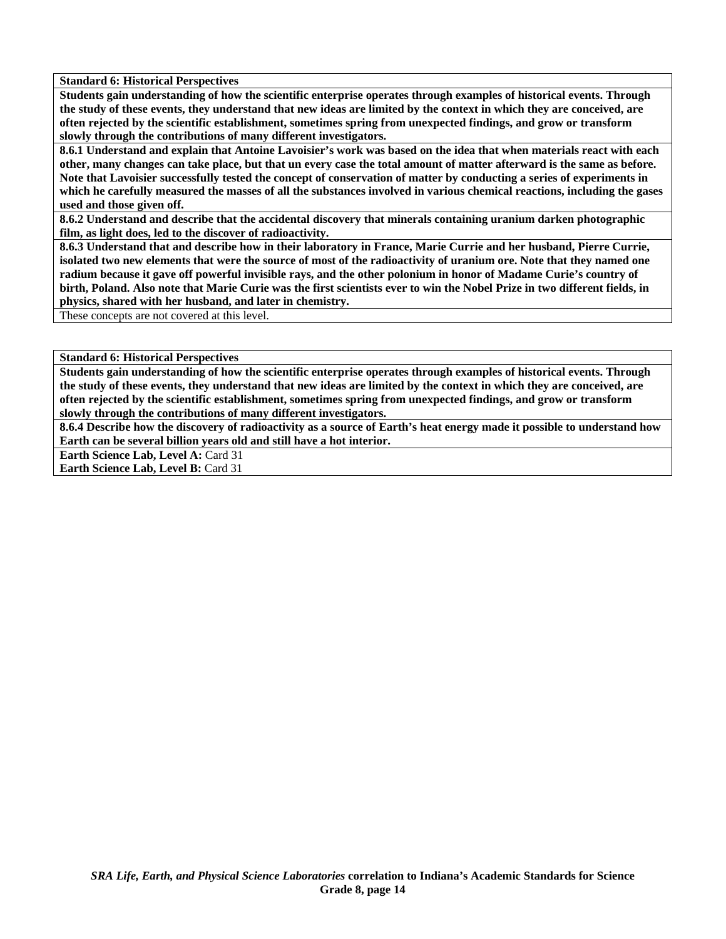**Standard 6: Historical Perspectives** 

**Students gain understanding of how the scientific enterprise operates through examples of historical events. Through the study of these events, they understand that new ideas are limited by the context in which they are conceived, are often rejected by the scientific establishment, sometimes spring from unexpected findings, and grow or transform slowly through the contributions of many different investigators.** 

**8.6.1 Understand and explain that Antoine Lavoisier's work was based on the idea that when materials react with each other, many changes can take place, but that un every case the total amount of matter afterward is the same as before. Note that Lavoisier successfully tested the concept of conservation of matter by conducting a series of experiments in which he carefully measured the masses of all the substances involved in various chemical reactions, including the gases used and those given off.** 

**8.6.2 Understand and describe that the accidental discovery that minerals containing uranium darken photographic film, as light does, led to the discover of radioactivity.** 

**8.6.3 Understand that and describe how in their laboratory in France, Marie Currie and her husband, Pierre Currie, isolated two new elements that were the source of most of the radioactivity of uranium ore. Note that they named one radium because it gave off powerful invisible rays, and the other polonium in honor of Madame Curie's country of birth, Poland. Also note that Marie Curie was the first scientists ever to win the Nobel Prize in two different fields, in physics, shared with her husband, and later in chemistry.** 

These concepts are not covered at this level.

**Standard 6: Historical Perspectives** 

**Students gain understanding of how the scientific enterprise operates through examples of historical events. Through the study of these events, they understand that new ideas are limited by the context in which they are conceived, are often rejected by the scientific establishment, sometimes spring from unexpected findings, and grow or transform slowly through the contributions of many different investigators.** 

**8.6.4 Describe how the discovery of radioactivity as a source of Earth's heat energy made it possible to understand how Earth can be several billion years old and still have a hot interior.** 

**Earth Science Lab, Level A: Card 31** 

**Earth Science Lab, Level B: Card 31**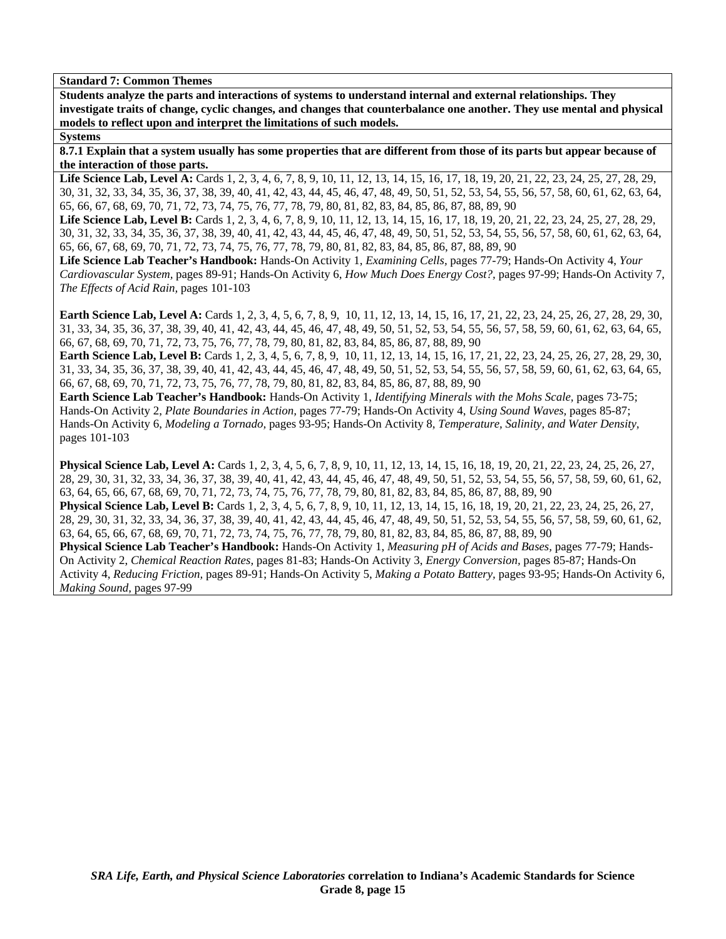**Students analyze the parts and interactions of systems to understand internal and external relationships. They investigate traits of change, cyclic changes, and changes that counterbalance one another. They use mental and physical models to reflect upon and interpret the limitations of such models.** 

# **Systems**

**8.7.1 Explain that a system usually has some properties that are different from those of its parts but appear because of the interaction of those parts.** 

Life Science Lab, Level A: Cards 1, 2, 3, 4, 6, 7, 8, 9, 10, 11, 12, 13, 14, 15, 16, 17, 18, 19, 20, 21, 22, 23, 24, 25, 27, 28, 29, 30, 31, 32, 33, 34, 35, 36, 37, 38, 39, 40, 41, 42, 43, 44, 45, 46, 47, 48, 49, 50, 51, 52, 53, 54, 55, 56, 57, 58, 60, 61, 62, 63, 64, 65, 66, 67, 68, 69, 70, 71, 72, 73, 74, 75, 76, 77, 78, 79, 80, 81, 82, 83, 84, 85, 86, 87, 88, 89, 90

Life Science Lab, Level B: Cards 1, 2, 3, 4, 6, 7, 8, 9, 10, 11, 12, 13, 14, 15, 16, 17, 18, 19, 20, 21, 22, 23, 24, 25, 27, 28, 29, 30, 31, 32, 33, 34, 35, 36, 37, 38, 39, 40, 41, 42, 43, 44, 45, 46, 47, 48, 49, 50, 51, 52, 53, 54, 55, 56, 57, 58, 60, 61, 62, 63, 64, 65, 66, 67, 68, 69, 70, 71, 72, 73, 74, 75, 76, 77, 78, 79, 80, 81, 82, 83, 84, 85, 86, 87, 88, 89, 90

**Life Science Lab Teacher's Handbook:** Hands-On Activity 1, *Examining Cells,* pages 77-79; Hands-On Activity 4, *Your Cardiovascular System,* pages 89-91; Hands-On Activity 6, *How Much Does Energy Cost?,* pages 97-99; Hands-On Activity 7, *The Effects of Acid Rain,* pages 101-103

**Earth Science Lab, Level A:** Cards 1, 2, 3, 4, 5, 6, 7, 8, 9, 10, 11, 12, 13, 14, 15, 16, 17, 21, 22, 23, 24, 25, 26, 27, 28, 29, 30, 31, 33, 34, 35, 36, 37, 38, 39, 40, 41, 42, 43, 44, 45, 46, 47, 48, 49, 50, 51, 52, 53, 54, 55, 56, 57, 58, 59, 60, 61, 62, 63, 64, 65, 66, 67, 68, 69, 70, 71, 72, 73, 75, 76, 77, 78, 79, 80, 81, 82, 83, 84, 85, 86, 87, 88, 89, 90

**Earth Science Lab, Level B:** Cards 1, 2, 3, 4, 5, 6, 7, 8, 9, 10, 11, 12, 13, 14, 15, 16, 17, 21, 22, 23, 24, 25, 26, 27, 28, 29, 30, 31, 33, 34, 35, 36, 37, 38, 39, 40, 41, 42, 43, 44, 45, 46, 47, 48, 49, 50, 51, 52, 53, 54, 55, 56, 57, 58, 59, 60, 61, 62, 63, 64, 65, 66, 67, 68, 69, 70, 71, 72, 73, 75, 76, 77, 78, 79, 80, 81, 82, 83, 84, 85, 86, 87, 88, 89, 90

**Earth Science Lab Teacher's Handbook:** Hands-On Activity 1, *Identifying Minerals with the Mohs Scale,* pages 73-75; Hands-On Activity 2, *Plate Boundaries in Action,* pages 77-79; Hands-On Activity 4, *Using Sound Waves,* pages 85-87; Hands-On Activity 6, *Modeling a Tornado,* pages 93-95; Hands-On Activity 8, *Temperature, Salinity, and Water Density,* pages 101-103

**Physical Science Lab, Level A:** Cards 1, 2, 3, 4, 5, 6, 7, 8, 9, 10, 11, 12, 13, 14, 15, 16, 18, 19, 20, 21, 22, 23, 24, 25, 26, 27, 28, 29, 30, 31, 32, 33, 34, 36, 37, 38, 39, 40, 41, 42, 43, 44, 45, 46, 47, 48, 49, 50, 51, 52, 53, 54, 55, 56, 57, 58, 59, 60, 61, 62, 63, 64, 65, 66, 67, 68, 69, 70, 71, 72, 73, 74, 75, 76, 77, 78, 79, 80, 81, 82, 83, 84, 85, 86, 87, 88, 89, 90 **Physical Science Lab, Level B:** Cards 1, 2, 3, 4, 5, 6, 7, 8, 9, 10, 11, 12, 13, 14, 15, 16, 18, 19, 20, 21, 22, 23, 24, 25, 26, 27,

28, 29, 30, 31, 32, 33, 34, 36, 37, 38, 39, 40, 41, 42, 43, 44, 45, 46, 47, 48, 49, 50, 51, 52, 53, 54, 55, 56, 57, 58, 59, 60, 61, 62, 63, 64, 65, 66, 67, 68, 69, 70, 71, 72, 73, 74, 75, 76, 77, 78, 79, 80, 81, 82, 83, 84, 85, 86, 87, 88, 89, 90

**Physical Science Lab Teacher's Handbook:** Hands-On Activity 1, *Measuring pH of Acids and Bases,* pages 77-79; Hands-On Activity 2, *Chemical Reaction Rates,* pages 81-83; Hands-On Activity 3, *Energy Conversion,* pages 85-87; Hands-On Activity 4, *Reducing Friction,* pages 89-91; Hands-On Activity 5, *Making a Potato Battery,* pages 93-95; Hands-On Activity 6, *Making Sound,* pages 97-99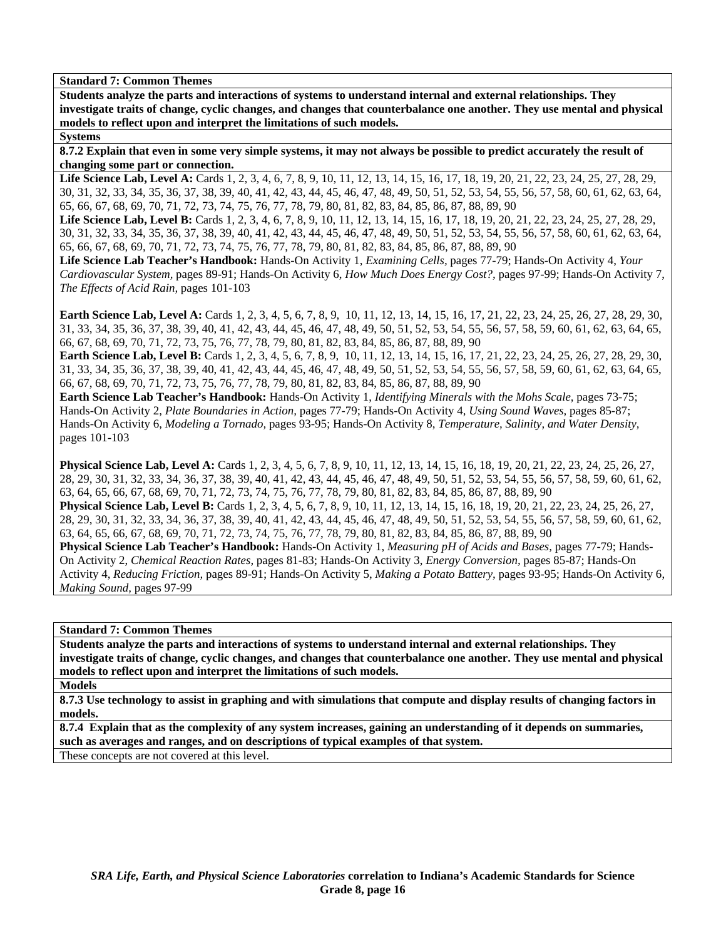**Students analyze the parts and interactions of systems to understand internal and external relationships. They investigate traits of change, cyclic changes, and changes that counterbalance one another. They use mental and physical models to reflect upon and interpret the limitations of such models.** 

# **Systems**

**8.7.2 Explain that even in some very simple systems, it may not always be possible to predict accurately the result of changing some part or connection.** 

Life Science Lab, Level A: Cards 1, 2, 3, 4, 6, 7, 8, 9, 10, 11, 12, 13, 14, 15, 16, 17, 18, 19, 20, 21, 22, 23, 24, 25, 27, 28, 29, 30, 31, 32, 33, 34, 35, 36, 37, 38, 39, 40, 41, 42, 43, 44, 45, 46, 47, 48, 49, 50, 51, 52, 53, 54, 55, 56, 57, 58, 60, 61, 62, 63, 64, 65, 66, 67, 68, 69, 70, 71, 72, 73, 74, 75, 76, 77, 78, 79, 80, 81, 82, 83, 84, 85, 86, 87, 88, 89, 90

Life Science Lab, Level B: Cards 1, 2, 3, 4, 6, 7, 8, 9, 10, 11, 12, 13, 14, 15, 16, 17, 18, 19, 20, 21, 22, 23, 24, 25, 27, 28, 29, 30, 31, 32, 33, 34, 35, 36, 37, 38, 39, 40, 41, 42, 43, 44, 45, 46, 47, 48, 49, 50, 51, 52, 53, 54, 55, 56, 57, 58, 60, 61, 62, 63, 64, 65, 66, 67, 68, 69, 70, 71, 72, 73, 74, 75, 76, 77, 78, 79, 80, 81, 82, 83, 84, 85, 86, 87, 88, 89, 90

**Life Science Lab Teacher's Handbook:** Hands-On Activity 1, *Examining Cells,* pages 77-79; Hands-On Activity 4, *Your Cardiovascular System,* pages 89-91; Hands-On Activity 6, *How Much Does Energy Cost?,* pages 97-99; Hands-On Activity 7, *The Effects of Acid Rain,* pages 101-103

**Earth Science Lab, Level A:** Cards 1, 2, 3, 4, 5, 6, 7, 8, 9, 10, 11, 12, 13, 14, 15, 16, 17, 21, 22, 23, 24, 25, 26, 27, 28, 29, 30, 31, 33, 34, 35, 36, 37, 38, 39, 40, 41, 42, 43, 44, 45, 46, 47, 48, 49, 50, 51, 52, 53, 54, 55, 56, 57, 58, 59, 60, 61, 62, 63, 64, 65, 66, 67, 68, 69, 70, 71, 72, 73, 75, 76, 77, 78, 79, 80, 81, 82, 83, 84, 85, 86, 87, 88, 89, 90

**Earth Science Lab, Level B:** Cards 1, 2, 3, 4, 5, 6, 7, 8, 9, 10, 11, 12, 13, 14, 15, 16, 17, 21, 22, 23, 24, 25, 26, 27, 28, 29, 30, 31, 33, 34, 35, 36, 37, 38, 39, 40, 41, 42, 43, 44, 45, 46, 47, 48, 49, 50, 51, 52, 53, 54, 55, 56, 57, 58, 59, 60, 61, 62, 63, 64, 65, 66, 67, 68, 69, 70, 71, 72, 73, 75, 76, 77, 78, 79, 80, 81, 82, 83, 84, 85, 86, 87, 88, 89, 90

**Earth Science Lab Teacher's Handbook:** Hands-On Activity 1, *Identifying Minerals with the Mohs Scale,* pages 73-75; Hands-On Activity 2, *Plate Boundaries in Action,* pages 77-79; Hands-On Activity 4, *Using Sound Waves,* pages 85-87; Hands-On Activity 6, *Modeling a Tornado,* pages 93-95; Hands-On Activity 8, *Temperature, Salinity, and Water Density,* pages 101-103

**Physical Science Lab, Level A:** Cards 1, 2, 3, 4, 5, 6, 7, 8, 9, 10, 11, 12, 13, 14, 15, 16, 18, 19, 20, 21, 22, 23, 24, 25, 26, 27, 28, 29, 30, 31, 32, 33, 34, 36, 37, 38, 39, 40, 41, 42, 43, 44, 45, 46, 47, 48, 49, 50, 51, 52, 53, 54, 55, 56, 57, 58, 59, 60, 61, 62, 63, 64, 65, 66, 67, 68, 69, 70, 71, 72, 73, 74, 75, 76, 77, 78, 79, 80, 81, 82, 83, 84, 85, 86, 87, 88, 89, 90 **Physical Science Lab, Level B:** Cards 1, 2, 3, 4, 5, 6, 7, 8, 9, 10, 11, 12, 13, 14, 15, 16, 18, 19, 20, 21, 22, 23, 24, 25, 26, 27, 28, 29, 30, 31, 32, 33, 34, 36, 37, 38, 39, 40, 41, 42, 43, 44, 45, 46, 47, 48, 49, 50, 51, 52, 53, 54, 55, 56, 57, 58, 59, 60, 61, 62, 63, 64, 65, 66, 67, 68, 69, 70, 71, 72, 73, 74, 75, 76, 77, 78, 79, 80, 81, 82, 83, 84, 85, 86, 87, 88, 89, 90

**Physical Science Lab Teacher's Handbook:** Hands-On Activity 1, *Measuring pH of Acids and Bases,* pages 77-79; Hands-On Activity 2, *Chemical Reaction Rates,* pages 81-83; Hands-On Activity 3, *Energy Conversion,* pages 85-87; Hands-On Activity 4, *Reducing Friction,* pages 89-91; Hands-On Activity 5, *Making a Potato Battery,* pages 93-95; Hands-On Activity 6, *Making Sound,* pages 97-99

**Standard 7: Common Themes** 

**Students analyze the parts and interactions of systems to understand internal and external relationships. They investigate traits of change, cyclic changes, and changes that counterbalance one another. They use mental and physical models to reflect upon and interpret the limitations of such models.** 

**Models** 

**8.7.3 Use technology to assist in graphing and with simulations that compute and display results of changing factors in models.** 

**8.7.4 Explain that as the complexity of any system increases, gaining an understanding of it depends on summaries, such as averages and ranges, and on descriptions of typical examples of that system.** 

These concepts are not covered at this level.